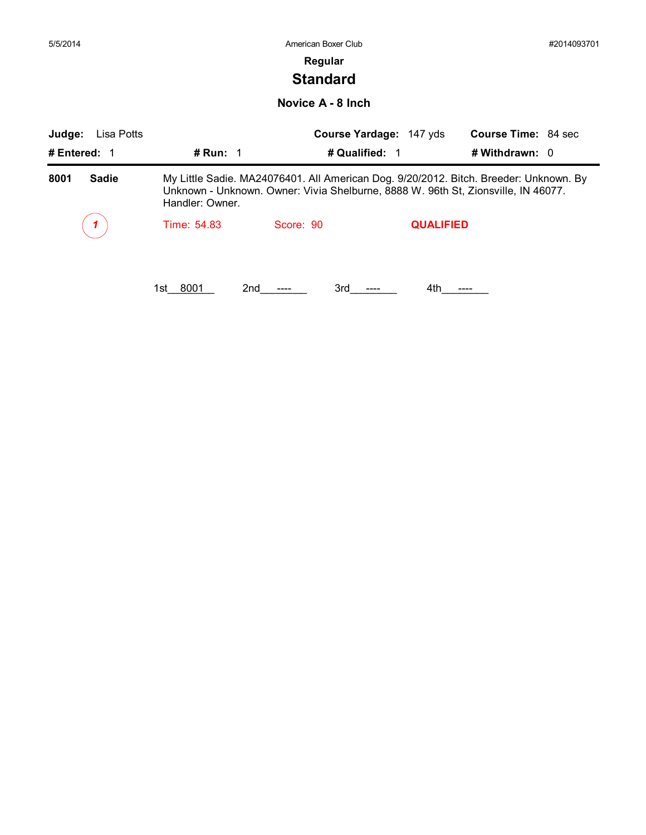| 5/5/2014             |                 | American Boxer Club                                                                                                                                                        |                  |                            | #2014093701 |
|----------------------|-----------------|----------------------------------------------------------------------------------------------------------------------------------------------------------------------------|------------------|----------------------------|-------------|
|                      |                 | Regular                                                                                                                                                                    |                  |                            |             |
|                      |                 | <b>Standard</b>                                                                                                                                                            |                  |                            |             |
|                      |                 | Novice A - 8 Inch                                                                                                                                                          |                  |                            |             |
| Judge:<br>Lisa Potts |                 | Course Yardage: 147 yds                                                                                                                                                    |                  | <b>Course Time: 84 sec</b> |             |
| # Entered: 1         | # Run: $1$      | # Qualified: 1                                                                                                                                                             |                  | # Withdrawn: 0             |             |
| 8001<br><b>Sadie</b> | Handler: Owner. | My Little Sadie. MA24076401. All American Dog. 9/20/2012. Bitch. Breeder: Unknown. By<br>Unknown - Unknown. Owner: Vivia Shelburne, 8888 W. 96th St, Zionsville, IN 46077. |                  |                            |             |
|                      | Time: 54.83     | Score: 90                                                                                                                                                                  | <b>QUALIFIED</b> |                            |             |
|                      |                 |                                                                                                                                                                            |                  |                            |             |
|                      | 8001<br>1st     | 2nd<br>3rd                                                                                                                                                                 | 4th              | ----                       |             |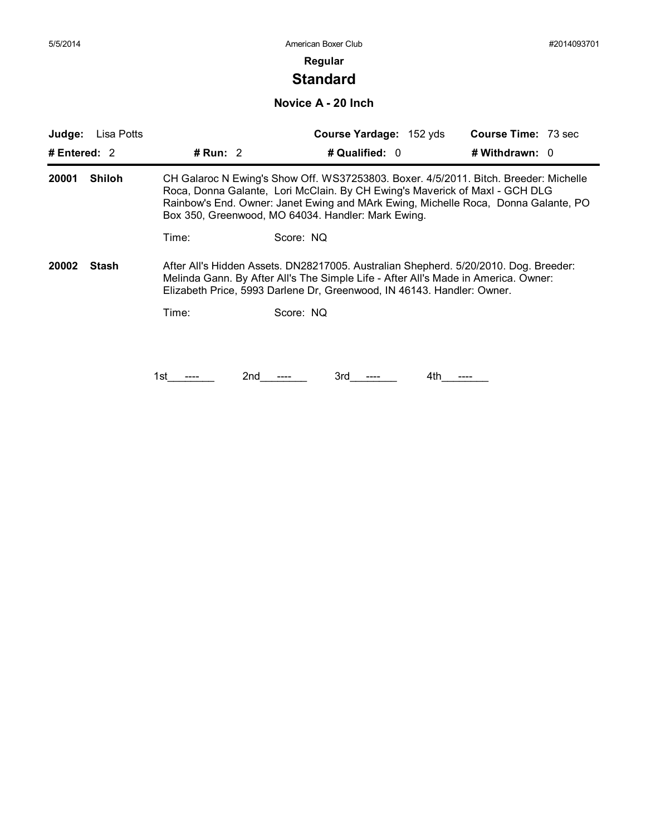# **Standard**

**Novice A - 20 Inch**

| Judge:       | Lisa Potts    |            |                                                                                                                                                              | Course Yardage: 152 yds | <b>Course Time: 73 sec</b>                                                                                                                                                 |
|--------------|---------------|------------|--------------------------------------------------------------------------------------------------------------------------------------------------------------|-------------------------|----------------------------------------------------------------------------------------------------------------------------------------------------------------------------|
| # Entered: 2 |               | # Run: $2$ |                                                                                                                                                              | # Qualified: 0          | # Withdrawn: 0                                                                                                                                                             |
| 20001        | <b>Shiloh</b> |            | Roca, Donna Galante, Lori McClain. By CH Ewing's Maverick of Maxl - GCH DLG<br>Box 350, Greenwood, MO 64034. Handler: Mark Ewing.                            |                         | CH Galaroc N Ewing's Show Off. WS37253803. Boxer. 4/5/2011. Bitch. Breeder: Michelle<br>Rainbow's End. Owner: Janet Ewing and MArk Ewing, Michelle Roca, Donna Galante, PO |
|              |               | Time:      | Score: NQ                                                                                                                                                    |                         |                                                                                                                                                                            |
| 20002        | Stash         |            | Melinda Gann. By After All's The Simple Life - After All's Made in America. Owner:<br>Elizabeth Price, 5993 Darlene Dr, Greenwood, IN 46143. Handler: Owner. |                         | After All's Hidden Assets. DN28217005. Australian Shepherd. 5/20/2010. Dog. Breeder:                                                                                       |
|              |               | Time:      | Score: NQ                                                                                                                                                    |                         |                                                                                                                                                                            |
|              |               |            |                                                                                                                                                              |                         |                                                                                                                                                                            |
|              |               | 1st        | 3rd<br>2nd                                                                                                                                                   | 4th                     |                                                                                                                                                                            |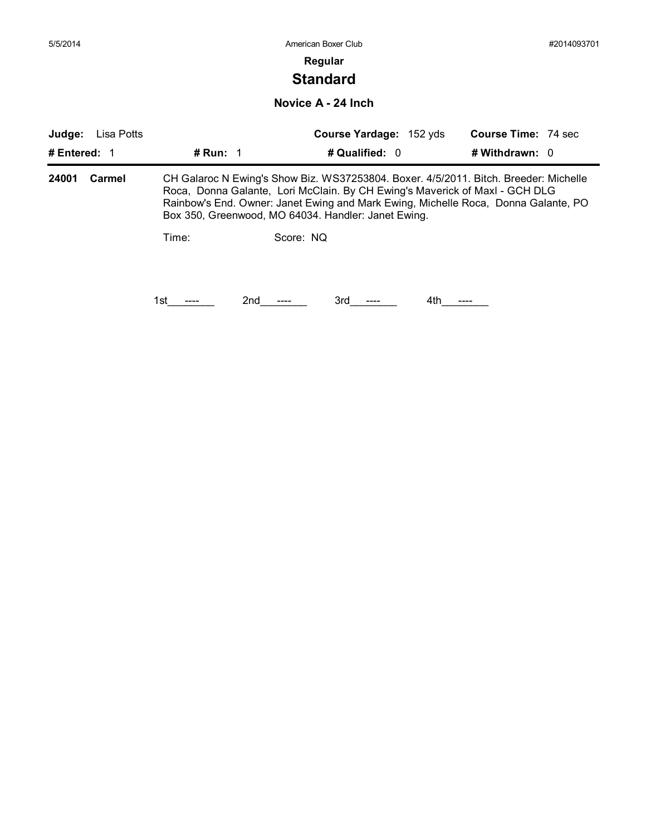# **Standard**

**Novice A - 24 Inch**

| Judge:       | Lisa Potts |                   | Course Yardage: 152 yds                             | <b>Course Time: 74 sec</b>                                                                                                                                                                                                                                |
|--------------|------------|-------------------|-----------------------------------------------------|-----------------------------------------------------------------------------------------------------------------------------------------------------------------------------------------------------------------------------------------------------------|
| # Entered: 1 |            | # Run: $\sqrt{1}$ | # Qualified: 0                                      | # Withdrawn: $0$                                                                                                                                                                                                                                          |
| 24001        | Carmel     |                   | Box 350, Greenwood, MO 64034. Handler: Janet Ewing. | CH Galaroc N Ewing's Show Biz. WS37253804. Boxer. 4/5/2011. Bitch. Breeder: Michelle<br>Roca, Donna Galante, Lori McClain. By CH Ewing's Maverick of Maxl - GCH DLG<br>Rainbow's End. Owner: Janet Ewing and Mark Ewing, Michelle Roca, Donna Galante, PO |
|              |            | Time:             | Score: NO                                           |                                                                                                                                                                                                                                                           |
|              |            | 2nd<br>1st        | 3rd                                                 | 4th                                                                                                                                                                                                                                                       |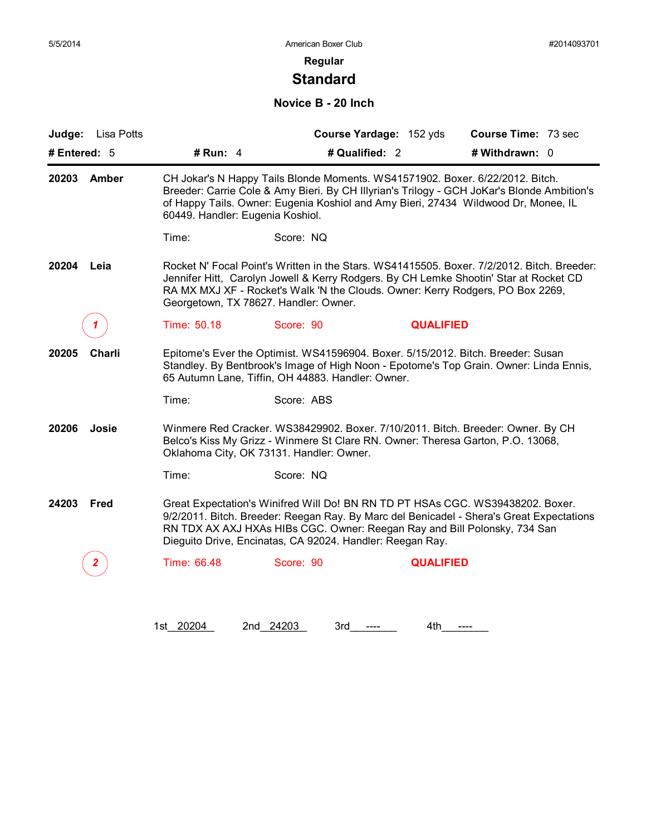# **Standard**

#### **Novice B - 20 Inch**

|                 | Judge: Lisa Potts |                                                                                                                                                                                                                                                                                                       |                                                                                                                                                                                                                                                                                                                      | Course Yardage: 152 yds | Course Time: 73 sec |  |  |
|-----------------|-------------------|-------------------------------------------------------------------------------------------------------------------------------------------------------------------------------------------------------------------------------------------------------------------------------------------------------|----------------------------------------------------------------------------------------------------------------------------------------------------------------------------------------------------------------------------------------------------------------------------------------------------------------------|-------------------------|---------------------|--|--|
|                 | # Entered: $5$    | # Run: $4$                                                                                                                                                                                                                                                                                            | # Qualified: 2                                                                                                                                                                                                                                                                                                       |                         | # Withdrawn: 0      |  |  |
| 20203<br>Amber  |                   | CH Jokar's N Happy Tails Blonde Moments. WS41571902. Boxer. 6/22/2012. Bitch.<br>Breeder: Carrie Cole & Amy Bieri. By CH Illyrian's Trilogy - GCH JoKar's Blonde Ambition's<br>of Happy Tails. Owner: Eugenia Koshiol and Amy Bieri, 27434 Wildwood Dr, Monee, IL<br>60449. Handler: Eugenia Koshiol. |                                                                                                                                                                                                                                                                                                                      |                         |                     |  |  |
|                 |                   | Time:                                                                                                                                                                                                                                                                                                 | Score: NQ                                                                                                                                                                                                                                                                                                            |                         |                     |  |  |
| 20204           | Leia              |                                                                                                                                                                                                                                                                                                       | Rocket N' Focal Point's Written in the Stars. WS41415505. Boxer. 7/2/2012. Bitch. Breeder:<br>Jennifer Hitt, Carolyn Jowell & Kerry Rodgers. By CH Lemke Shootin' Star at Rocket CD<br>RA MX MXJ XF - Rocket's Walk 'N the Clouds. Owner: Kerry Rodgers, PO Box 2269,<br>Georgetown, TX 78627. Handler: Owner.       |                         |                     |  |  |
|                 |                   | Time: 50.18                                                                                                                                                                                                                                                                                           | Score: 90                                                                                                                                                                                                                                                                                                            | <b>QUALIFIED</b>        |                     |  |  |
| 20205<br>Charli |                   | Epitome's Ever the Optimist. WS41596904. Boxer. 5/15/2012. Bitch. Breeder: Susan<br>Standley. By Bentbrook's Image of High Noon - Epotome's Top Grain. Owner: Linda Ennis,<br>65 Autumn Lane, Tiffin, OH 44883. Handler: Owner.                                                                       |                                                                                                                                                                                                                                                                                                                      |                         |                     |  |  |
|                 |                   | Time:                                                                                                                                                                                                                                                                                                 | Score: ABS                                                                                                                                                                                                                                                                                                           |                         |                     |  |  |
| 20206           | Josie             |                                                                                                                                                                                                                                                                                                       | Winmere Red Cracker. WS38429902. Boxer. 7/10/2011. Bitch. Breeder: Owner. By CH<br>Belco's Kiss My Grizz - Winmere St Clare RN. Owner: Theresa Garton, P.O. 13068,<br>Oklahoma City, OK 73131. Handler: Owner.                                                                                                       |                         |                     |  |  |
|                 |                   | Time:                                                                                                                                                                                                                                                                                                 | Score: NQ                                                                                                                                                                                                                                                                                                            |                         |                     |  |  |
| 24203           | Fred              |                                                                                                                                                                                                                                                                                                       | Great Expectation's Winifred Will Do! BN RN TD PT HSAs CGC. WS39438202. Boxer.<br>9/2/2011. Bitch. Breeder: Reegan Ray. By Marc del Benicadel - Shera's Great Expectations<br>RN TDX AX AXJ HXAs HIBs CGC. Owner: Reegan Ray and Bill Polonsky, 734 San<br>Dieguito Drive, Encinatas, CA 92024. Handler: Reegan Ray. |                         |                     |  |  |
|                 |                   | Time: 66.48                                                                                                                                                                                                                                                                                           | Score: 90                                                                                                                                                                                                                                                                                                            | <b>QUALIFIED</b>        |                     |  |  |
|                 |                   |                                                                                                                                                                                                                                                                                                       |                                                                                                                                                                                                                                                                                                                      |                         |                     |  |  |

1st\_20204 2nd\_24203 3rd\_\_\_\_\_ 4th\_\_\_\_\_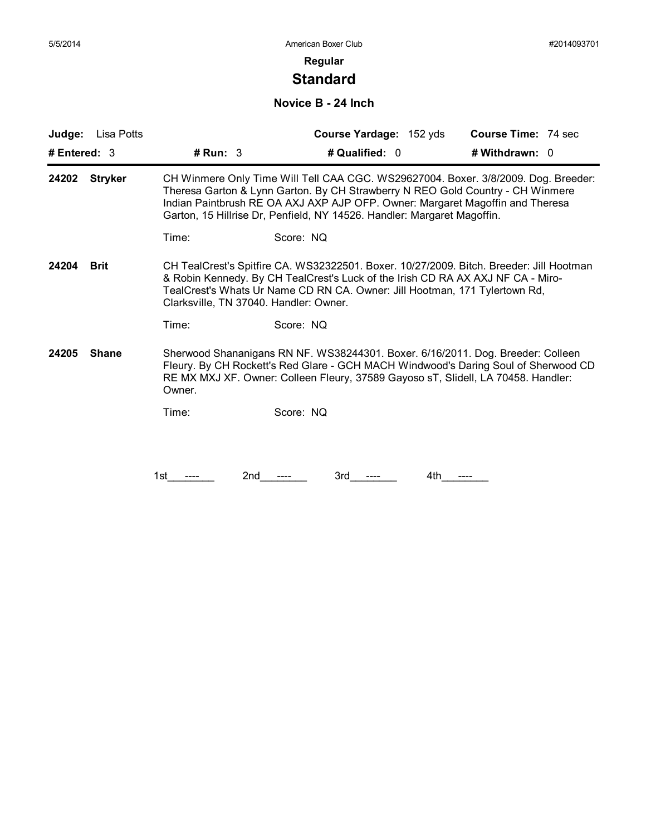# **Standard**

#### **Novice B - 24 Inch**

| # Entered: $3$<br># $Run: 3$<br># Qualified: 0<br># Withdrawn: 0<br>CH Winmere Only Time Will Tell CAA CGC. WS29627004. Boxer. 3/8/2009. Dog. Breeder:<br><b>Stryker</b><br>24202<br>Theresa Garton & Lynn Garton. By CH Strawberry N REO Gold Country - CH Winmere<br>Indian Paintbrush RE OA AXJ AXP AJP OFP. Owner: Margaret Magoffin and Theresa<br>Garton, 15 Hillrise Dr, Penfield, NY 14526. Handler: Margaret Magoffin.<br>Score: NQ<br>Time:<br>24204<br><b>Brit</b><br>CH TealCrest's Spitfire CA. WS32322501. Boxer. 10/27/2009. Bitch. Breeder: Jill Hootman<br>& Robin Kennedy. By CH TealCrest's Luck of the Irish CD RA AX AXJ NF CA - Miro-<br>TealCrest's Whats Ur Name CD RN CA. Owner: Jill Hootman, 171 Tylertown Rd,<br>Clarksville, TN 37040. Handler: Owner.<br>Score: NQ<br>Time:<br>24205<br><b>Shane</b><br>Sherwood Shananigans RN NF. WS38244301. Boxer. 6/16/2011. Dog. Breeder: Colleen<br>Fleury. By CH Rockett's Red Glare - GCH MACH Windwood's Daring Soul of Sherwood CD<br>RE MX MXJ XF. Owner: Colleen Fleury, 37589 Gayoso sT, Slidell, LA 70458. Handler:<br>Owner. |  |
|------------------------------------------------------------------------------------------------------------------------------------------------------------------------------------------------------------------------------------------------------------------------------------------------------------------------------------------------------------------------------------------------------------------------------------------------------------------------------------------------------------------------------------------------------------------------------------------------------------------------------------------------------------------------------------------------------------------------------------------------------------------------------------------------------------------------------------------------------------------------------------------------------------------------------------------------------------------------------------------------------------------------------------------------------------------------------------------------------------|--|
|                                                                                                                                                                                                                                                                                                                                                                                                                                                                                                                                                                                                                                                                                                                                                                                                                                                                                                                                                                                                                                                                                                            |  |
|                                                                                                                                                                                                                                                                                                                                                                                                                                                                                                                                                                                                                                                                                                                                                                                                                                                                                                                                                                                                                                                                                                            |  |
|                                                                                                                                                                                                                                                                                                                                                                                                                                                                                                                                                                                                                                                                                                                                                                                                                                                                                                                                                                                                                                                                                                            |  |
|                                                                                                                                                                                                                                                                                                                                                                                                                                                                                                                                                                                                                                                                                                                                                                                                                                                                                                                                                                                                                                                                                                            |  |
|                                                                                                                                                                                                                                                                                                                                                                                                                                                                                                                                                                                                                                                                                                                                                                                                                                                                                                                                                                                                                                                                                                            |  |
|                                                                                                                                                                                                                                                                                                                                                                                                                                                                                                                                                                                                                                                                                                                                                                                                                                                                                                                                                                                                                                                                                                            |  |
| Score: NQ<br>Time:                                                                                                                                                                                                                                                                                                                                                                                                                                                                                                                                                                                                                                                                                                                                                                                                                                                                                                                                                                                                                                                                                         |  |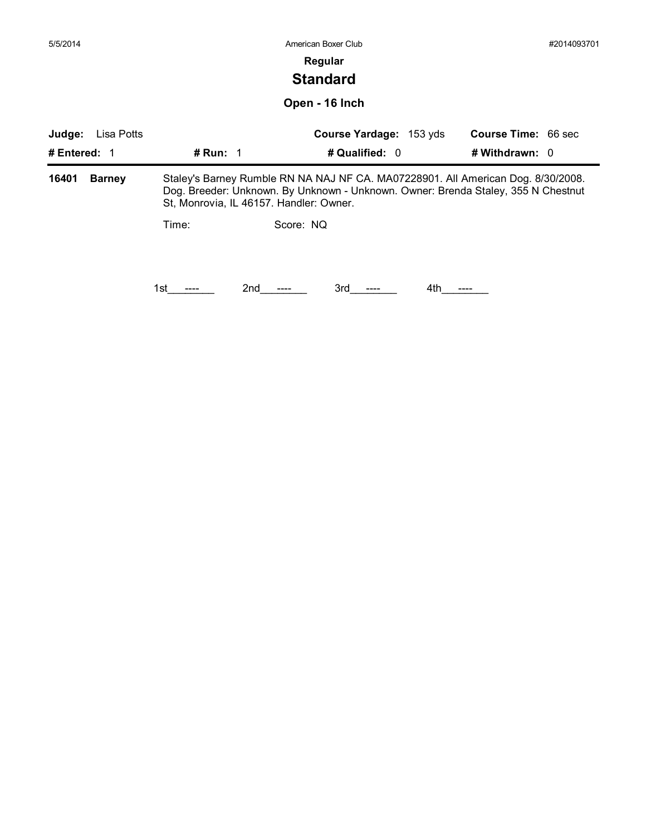| 5/5/2014     |               |                                         | American Boxer Club                                                                                                                                                   |                     | #2014093701 |
|--------------|---------------|-----------------------------------------|-----------------------------------------------------------------------------------------------------------------------------------------------------------------------|---------------------|-------------|
|              |               |                                         | Regular                                                                                                                                                               |                     |             |
|              |               |                                         | <b>Standard</b>                                                                                                                                                       |                     |             |
|              |               |                                         | Open - 16 Inch                                                                                                                                                        |                     |             |
| Judge:       | Lisa Potts    |                                         | Course Yardage: 153 yds                                                                                                                                               | Course Time: 66 sec |             |
| # Entered: 1 |               | # Run: $1$                              | # Qualified: 0                                                                                                                                                        | # Withdrawn: 0      |             |
| 16401        | <b>Barney</b> | St, Monrovia, IL 46157. Handler: Owner. | Staley's Barney Rumble RN NA NAJ NF CA. MA07228901. All American Dog. 8/30/2008.<br>Dog. Breeder: Unknown. By Unknown - Unknown. Owner: Brenda Staley, 355 N Chestnut |                     |             |
|              |               | Time:                                   | Score: NQ                                                                                                                                                             |                     |             |
|              |               | 2nd<br>1st                              | 3rd<br>4th                                                                                                                                                            |                     |             |
|              |               |                                         |                                                                                                                                                                       |                     |             |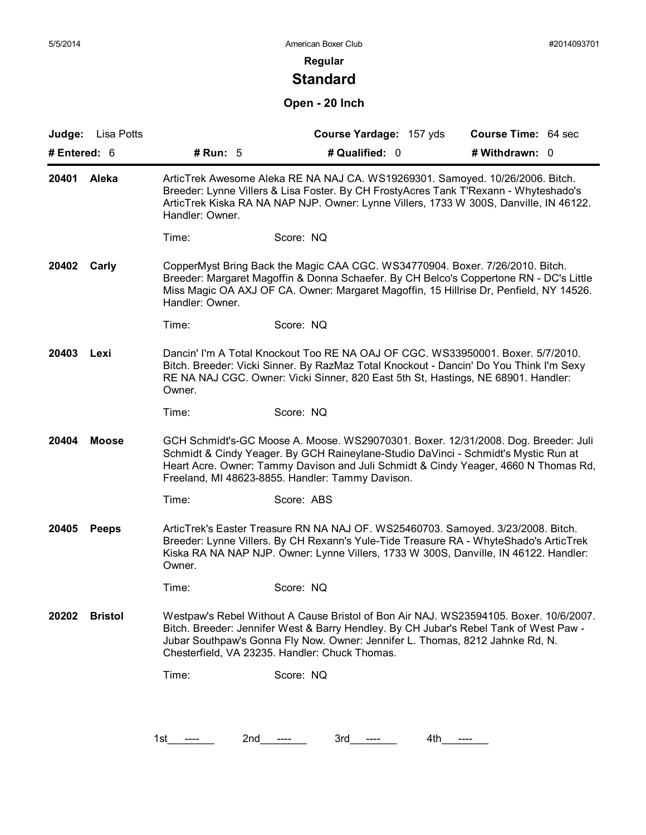# **Standard**

## **Open - 20 Inch**

| Judge: Lisa Potts<br># Entered: 6 |                |                                                                                                                                                                                                                                                                                                                     | Course Yardage: 157 yds<br># Qualified: 0                                                                                                                                                                                                                                                                         | Course Time: 64 sec<br># Withdrawn: 0 |  |  |
|-----------------------------------|----------------|---------------------------------------------------------------------------------------------------------------------------------------------------------------------------------------------------------------------------------------------------------------------------------------------------------------------|-------------------------------------------------------------------------------------------------------------------------------------------------------------------------------------------------------------------------------------------------------------------------------------------------------------------|---------------------------------------|--|--|
|                                   |                | # Run: $5$                                                                                                                                                                                                                                                                                                          |                                                                                                                                                                                                                                                                                                                   |                                       |  |  |
| 20401<br>Aleka                    |                | ArticTrek Awesome Aleka RE NA NAJ CA. WS19269301. Samoyed. 10/26/2006. Bitch.<br>Breeder: Lynne Villers & Lisa Foster. By CH FrostyAcres Tank T'Rexann - Whyteshado's<br>ArticTrek Kiska RA NA NAP NJP. Owner: Lynne Villers, 1733 W 300S, Danville, IN 46122.<br>Handler: Owner.                                   |                                                                                                                                                                                                                                                                                                                   |                                       |  |  |
|                                   |                | Time:                                                                                                                                                                                                                                                                                                               | Score: NQ                                                                                                                                                                                                                                                                                                         |                                       |  |  |
| 20402<br>Carly                    |                | Handler: Owner.                                                                                                                                                                                                                                                                                                     | CopperMyst Bring Back the Magic CAA CGC. WS34770904. Boxer. 7/26/2010. Bitch.<br>Breeder: Margaret Magoffin & Donna Schaefer. By CH Belco's Coppertone RN - DC's Little<br>Miss Magic OA AXJ OF CA. Owner: Margaret Magoffin, 15 Hillrise Dr, Penfield, NY 14526.                                                 |                                       |  |  |
|                                   |                | Time:                                                                                                                                                                                                                                                                                                               | Score: NQ                                                                                                                                                                                                                                                                                                         |                                       |  |  |
| 20403                             | Lexi           | Owner.                                                                                                                                                                                                                                                                                                              | Dancin' I'm A Total Knockout Too RE NA OAJ OF CGC. WS33950001. Boxer. 5/7/2010.<br>Bitch. Breeder: Vicki Sinner. By RazMaz Total Knockout - Dancin' Do You Think I'm Sexy<br>RE NA NAJ CGC. Owner: Vicki Sinner, 820 East 5th St, Hastings, NE 68901. Handler:                                                    |                                       |  |  |
|                                   |                | Time:                                                                                                                                                                                                                                                                                                               | Score: NQ                                                                                                                                                                                                                                                                                                         |                                       |  |  |
| 20404<br><b>Moose</b>             |                | GCH Schmidt's-GC Moose A. Moose. WS29070301. Boxer. 12/31/2008. Dog. Breeder: Juli<br>Schmidt & Cindy Yeager. By GCH Raineylane-Studio DaVinci - Schmidt's Mystic Run at<br>Heart Acre. Owner: Tammy Davison and Juli Schmidt & Cindy Yeager, 4660 N Thomas Rd,<br>Freeland, MI 48623-8855. Handler: Tammy Davison. |                                                                                                                                                                                                                                                                                                                   |                                       |  |  |
|                                   |                | Time:                                                                                                                                                                                                                                                                                                               | Score: ABS                                                                                                                                                                                                                                                                                                        |                                       |  |  |
| 20405                             | <b>Peeps</b>   | Owner.                                                                                                                                                                                                                                                                                                              | ArticTrek's Easter Treasure RN NA NAJ OF. WS25460703. Samoyed. 3/23/2008. Bitch.<br>Breeder: Lynne Villers. By CH Rexann's Yule-Tide Treasure RA - WhyteShado's ArticTrek<br>Kiska RA NA NAP NJP. Owner: Lynne Villers, 1733 W 300S, Danville, IN 46122. Handler:                                                 |                                       |  |  |
|                                   |                | Time:                                                                                                                                                                                                                                                                                                               | Score: NQ                                                                                                                                                                                                                                                                                                         |                                       |  |  |
| 20202                             | <b>Bristol</b> |                                                                                                                                                                                                                                                                                                                     | Westpaw's Rebel Without A Cause Bristol of Bon Air NAJ. WS23594105. Boxer. 10/6/2007.<br>Bitch. Breeder: Jennifer West & Barry Hendley. By CH Jubar's Rebel Tank of West Paw -<br>Jubar Southpaw's Gonna Fly Now. Owner: Jennifer L. Thomas, 8212 Jahnke Rd, N.<br>Chesterfield, VA 23235. Handler: Chuck Thomas. |                                       |  |  |
|                                   |                | Time:                                                                                                                                                                                                                                                                                                               | Score: NQ                                                                                                                                                                                                                                                                                                         |                                       |  |  |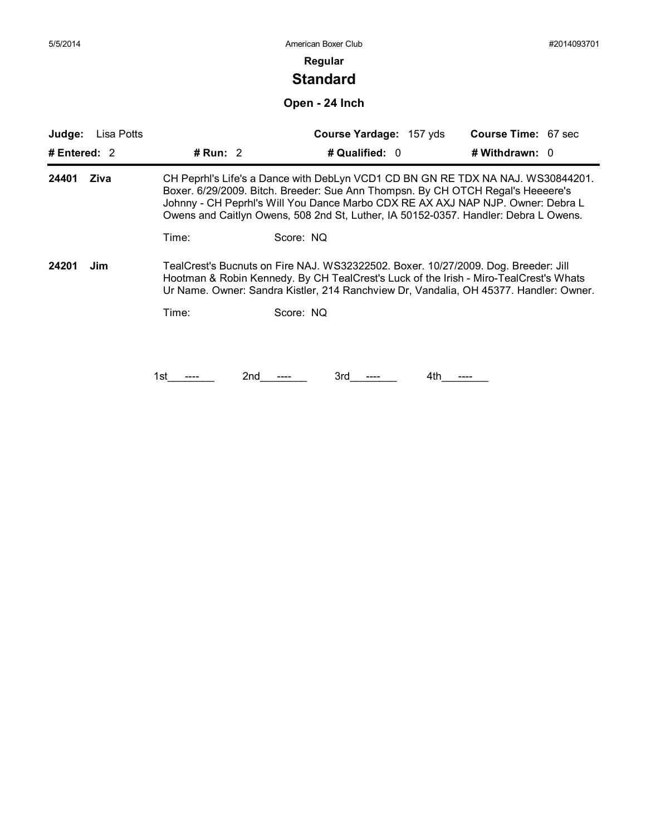### **Regular**

# **Standard**

**Open - 24 Inch**

| Judge:         | Lisa Potts |            | Course Yardage: 157 yds                                                                                                                                                                                                                                                                                                                      | <b>Course Time: 67 sec</b> |
|----------------|------------|------------|----------------------------------------------------------------------------------------------------------------------------------------------------------------------------------------------------------------------------------------------------------------------------------------------------------------------------------------------|----------------------------|
| # Entered: $2$ |            | # Run: 2   | # Qualified: 0                                                                                                                                                                                                                                                                                                                               | # Withdrawn: 0             |
| 24401          | Ziva       |            | CH Peprhl's Life's a Dance with DebLyn VCD1 CD BN GN RE TDX NA NAJ. WS30844201.<br>Boxer. 6/29/2009. Bitch. Breeder: Sue Ann Thompsn. By CH OTCH Regal's Heeeere's<br>Johnny - CH Peprhl's Will You Dance Marbo CDX RE AX AXJ NAP NJP. Owner: Debra L<br>Owens and Caitlyn Owens, 508 2nd St, Luther, IA 50152-0357. Handler: Debra L Owens. |                            |
|                |            | Time:      | Score: NQ                                                                                                                                                                                                                                                                                                                                    |                            |
| 24201          | Jim        |            | TealCrest's Bucnuts on Fire NAJ. WS32322502. Boxer. 10/27/2009. Dog. Breeder: Jill<br>Hootman & Robin Kennedy. By CH TealCrest's Luck of the Irish - Miro-TealCrest's Whats<br>Ur Name. Owner: Sandra Kistler, 214 Ranchview Dr, Vandalia, OH 45377. Handler: Owner.                                                                         |                            |
|                |            | Time:      | Score: NQ                                                                                                                                                                                                                                                                                                                                    |                            |
|                |            |            |                                                                                                                                                                                                                                                                                                                                              |                            |
|                |            |            |                                                                                                                                                                                                                                                                                                                                              |                            |
|                |            | 2nd<br>1st | 3rd<br>4th                                                                                                                                                                                                                                                                                                                                   |                            |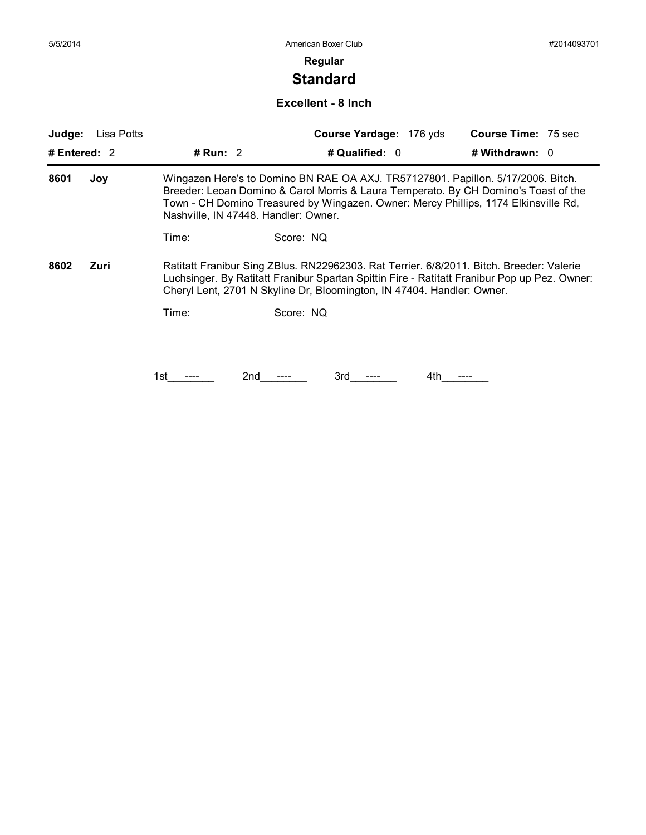# **Standard**

#### **Excellent - 8 Inch**

| Judge:         | Lisa Potts |            |                                      | Course Yardage: 176 yds                                                | <b>Course Time: 75 sec</b>                                                                                                                                                                                                                                     |
|----------------|------------|------------|--------------------------------------|------------------------------------------------------------------------|----------------------------------------------------------------------------------------------------------------------------------------------------------------------------------------------------------------------------------------------------------------|
| # Entered: $2$ |            | # Run: $2$ |                                      | # Qualified: 0                                                         | # Withdrawn: $0$                                                                                                                                                                                                                                               |
| 8601           | Joy        |            | Nashville, IN 47448. Handler: Owner. |                                                                        | Wingazen Here's to Domino BN RAE OA AXJ. TR57127801. Papillon. 5/17/2006. Bitch.<br>Breeder: Leoan Domino & Carol Morris & Laura Temperato. By CH Domino's Toast of the<br>Town - CH Domino Treasured by Wingazen. Owner: Mercy Phillips, 1174 Elkinsville Rd, |
|                |            | Time:      | Score: NQ                            |                                                                        |                                                                                                                                                                                                                                                                |
| 8602           | Zuri       |            |                                      | Cheryl Lent, 2701 N Skyline Dr, Bloomington, IN 47404. Handler: Owner. | Ratitatt Franibur Sing ZBlus. RN22962303. Rat Terrier. 6/8/2011. Bitch. Breeder: Valerie<br>Luchsinger. By Ratitatt Franibur Spartan Spittin Fire - Ratitatt Franibur Pop up Pez. Owner:                                                                       |
|                |            | Time:      | Score: NQ                            |                                                                        |                                                                                                                                                                                                                                                                |
|                |            |            |                                      |                                                                        |                                                                                                                                                                                                                                                                |
|                |            | 1st        | 3rd<br>2nd                           | 4th                                                                    |                                                                                                                                                                                                                                                                |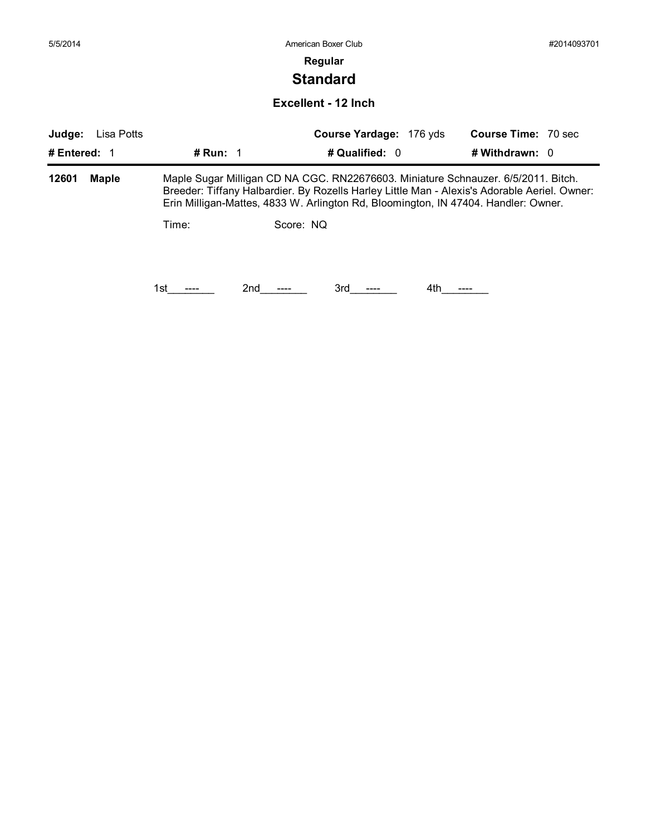| 5/5/2014              |            |                                                                                    |           | American Boxer Club                                                                                                                                                               |                            | #2014093701 |
|-----------------------|------------|------------------------------------------------------------------------------------|-----------|-----------------------------------------------------------------------------------------------------------------------------------------------------------------------------------|----------------------------|-------------|
|                       |            |                                                                                    |           | Regular                                                                                                                                                                           |                            |             |
|                       |            |                                                                                    |           | <b>Standard</b>                                                                                                                                                                   |                            |             |
|                       |            |                                                                                    |           | <b>Excellent - 12 Inch</b>                                                                                                                                                        |                            |             |
| Judge:                | Lisa Potts |                                                                                    |           | Course Yardage: 176 yds                                                                                                                                                           | <b>Course Time: 70 sec</b> |             |
| # Entered: 1          |            | # Run: $1$                                                                         |           | # Qualified: 0                                                                                                                                                                    | # Withdrawn: 0             |             |
| <b>Maple</b><br>12601 |            |                                                                                    |           | Maple Sugar Milligan CD NA CGC. RN22676603. Miniature Schnauzer. 6/5/2011. Bitch.<br>Breeder: Tiffany Halbardier. By Rozells Harley Little Man - Alexis's Adorable Aeriel. Owner: |                            |             |
|                       |            | Erin Milligan-Mattes, 4833 W. Arlington Rd, Bloomington, IN 47404. Handler: Owner. |           |                                                                                                                                                                                   |                            |             |
|                       |            | Time:                                                                              | Score: NQ |                                                                                                                                                                                   |                            |             |
|                       |            |                                                                                    |           |                                                                                                                                                                                   |                            |             |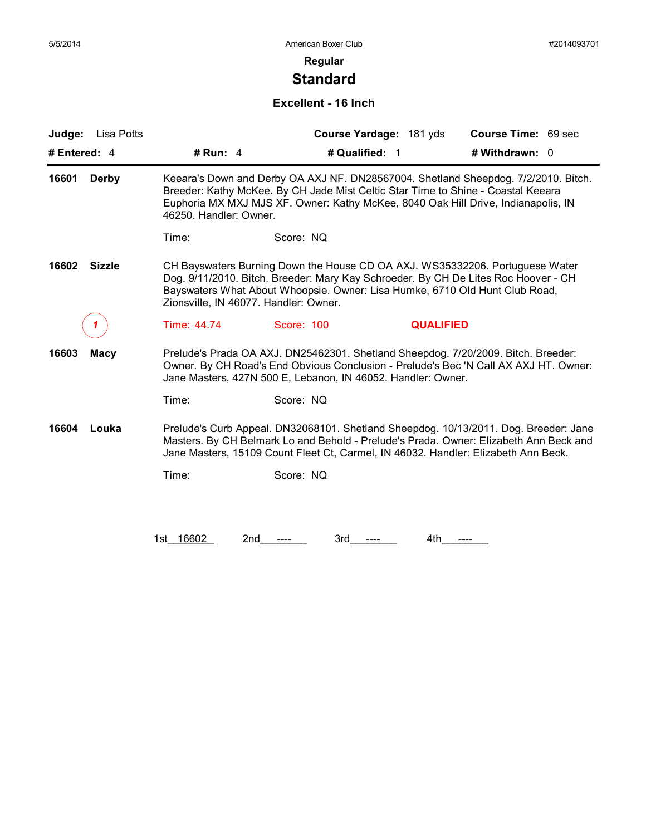# **Standard**

#### **Excellent - 16 Inch**

| Lisa Potts<br>Judge:   |                        | Course Yardage: 181 yds                                                                                                                                                                                                                                                                    | Course Time: 69 sec |
|------------------------|------------------------|--------------------------------------------------------------------------------------------------------------------------------------------------------------------------------------------------------------------------------------------------------------------------------------------|---------------------|
| # Entered: 4           | # Run: 4               | # Qualified: 1                                                                                                                                                                                                                                                                             | # Withdrawn: 0      |
| 16601<br>Derby         | 46250. Handler: Owner. | Keeara's Down and Derby OA AXJ NF. DN28567004. Shetland Sheepdog. 7/2/2010. Bitch.<br>Breeder: Kathy McKee. By CH Jade Mist Celtic Star Time to Shine - Coastal Keeara<br>Euphoria MX MXJ MJS XF. Owner: Kathy McKee, 8040 Oak Hill Drive, Indianapolis, IN                                |                     |
|                        | Time:                  | Score: NQ                                                                                                                                                                                                                                                                                  |                     |
| 16602<br><b>Sizzle</b> |                        | CH Bayswaters Burning Down the House CD OA AXJ. WS35332206. Portuguese Water<br>Dog. 9/11/2010. Bitch. Breeder: Mary Kay Schroeder. By CH De Lites Roc Hoover - CH<br>Bayswaters What About Whoopsie. Owner: Lisa Humke, 6710 Old Hunt Club Road,<br>Zionsville, IN 46077. Handler: Owner. |                     |
|                        | Time: 44.74            | Score: 100<br><b>QUALIFIED</b>                                                                                                                                                                                                                                                             |                     |
| 16603<br><b>Macy</b>   |                        | Prelude's Prada OA AXJ. DN25462301. Shetland Sheepdog. 7/20/2009. Bitch. Breeder:<br>Owner. By CH Road's End Obvious Conclusion - Prelude's Bec 'N Call AX AXJ HT. Owner:<br>Jane Masters, 427N 500 E, Lebanon, IN 46052. Handler: Owner.                                                  |                     |
|                        | Time:                  | Score: NQ                                                                                                                                                                                                                                                                                  |                     |
| 16604<br>Louka         |                        | Prelude's Curb Appeal. DN32068101. Shetland Sheepdog. 10/13/2011. Dog. Breeder: Jane<br>Masters. By CH Belmark Lo and Behold - Prelude's Prada. Owner: Elizabeth Ann Beck and<br>Jane Masters, 15109 Count Fleet Ct, Carmel, IN 46032. Handler: Elizabeth Ann Beck.                        |                     |
|                        | Time:                  | Score: NQ                                                                                                                                                                                                                                                                                  |                     |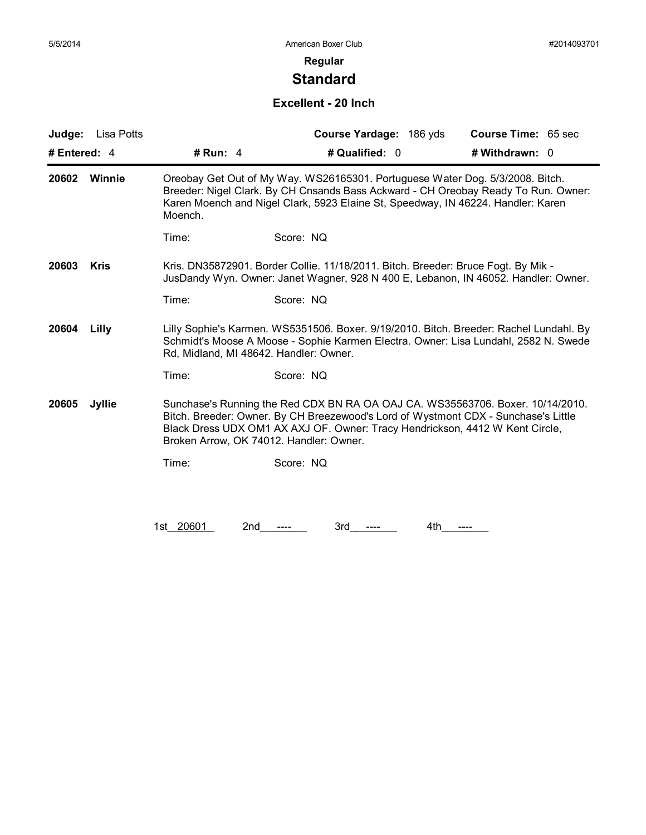# **Standard**

### **Excellent - 20 Inch**

| Judge:<br>Lisa Potts   |                                                                                                                                                                         | Course Yardage: 186 yds                                                                                                                                                                                                                                                                         | Course Time: 65 sec |  |  |
|------------------------|-------------------------------------------------------------------------------------------------------------------------------------------------------------------------|-------------------------------------------------------------------------------------------------------------------------------------------------------------------------------------------------------------------------------------------------------------------------------------------------|---------------------|--|--|
| # Entered: 4           | # Run: $4$                                                                                                                                                              | # Qualified: 0                                                                                                                                                                                                                                                                                  | # Withdrawn: 0      |  |  |
| 20602<br>Winnie        | Moench.                                                                                                                                                                 | Oreobay Get Out of My Way. WS26165301. Portuguese Water Dog. 5/3/2008. Bitch.<br>Breeder: Nigel Clark. By CH Cnsands Bass Ackward - CH Oreobay Ready To Run. Owner:<br>Karen Moench and Nigel Clark, 5923 Elaine St, Speedway, IN 46224. Handler: Karen                                         |                     |  |  |
|                        | Time:                                                                                                                                                                   | Score: NQ                                                                                                                                                                                                                                                                                       |                     |  |  |
| 20603<br><b>Kris</b>   | Kris. DN35872901. Border Collie. 11/18/2011. Bitch. Breeder: Bruce Fogt. By Mik -<br>JusDandy Wyn. Owner: Janet Wagner, 928 N 400 E, Lebanon, IN 46052. Handler: Owner. |                                                                                                                                                                                                                                                                                                 |                     |  |  |
|                        | Time:                                                                                                                                                                   | Score: NQ                                                                                                                                                                                                                                                                                       |                     |  |  |
| 20604<br>Lilly         |                                                                                                                                                                         | Lilly Sophie's Karmen. WS5351506. Boxer. 9/19/2010. Bitch. Breeder: Rachel Lundahl. By<br>Schmidt's Moose A Moose - Sophie Karmen Electra. Owner: Lisa Lundahl, 2582 N. Swede<br>Rd, Midland, MI 48642. Handler: Owner.                                                                         |                     |  |  |
|                        | Time:                                                                                                                                                                   | Score: NQ                                                                                                                                                                                                                                                                                       |                     |  |  |
| 20605<br><b>Jyllie</b> |                                                                                                                                                                         | Sunchase's Running the Red CDX BN RA OA OAJ CA. WS35563706. Boxer. 10/14/2010.<br>Bitch. Breeder: Owner. By CH Breezewood's Lord of Wystmont CDX - Sunchase's Little<br>Black Dress UDX OM1 AX AXJ OF. Owner: Tracy Hendrickson, 4412 W Kent Circle,<br>Broken Arrow, OK 74012. Handler: Owner. |                     |  |  |
|                        | Time:                                                                                                                                                                   | Score: NQ                                                                                                                                                                                                                                                                                       |                     |  |  |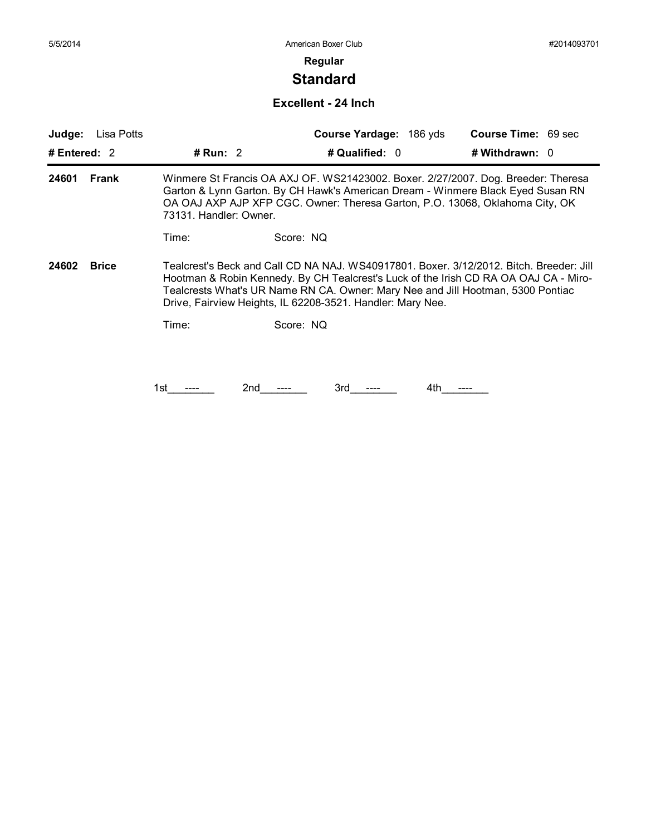# **Standard**

#### **Excellent - 24 Inch**

| Judge:       | Lisa Potts   |                                                                                                                                                                                                                                                                                |           | Course Yardage: 186 yds                                                                                                                                                                                                                                                                                                          |     | <b>Course Time: 69 sec</b> |  |
|--------------|--------------|--------------------------------------------------------------------------------------------------------------------------------------------------------------------------------------------------------------------------------------------------------------------------------|-----------|----------------------------------------------------------------------------------------------------------------------------------------------------------------------------------------------------------------------------------------------------------------------------------------------------------------------------------|-----|----------------------------|--|
| # Entered: 2 |              | # Run: 2                                                                                                                                                                                                                                                                       |           | # Qualified: 0                                                                                                                                                                                                                                                                                                                   |     | # Withdrawn: 0             |  |
| 24601        | Frank        | Winmere St Francis OA AXJ OF. WS21423002. Boxer. 2/27/2007. Dog. Breeder: Theresa<br>Garton & Lynn Garton. By CH Hawk's American Dream - Winmere Black Eyed Susan RN<br>OA OAJ AXP AJP XFP CGC. Owner: Theresa Garton, P.O. 13068, Oklahoma City, OK<br>73131. Handler: Owner. |           |                                                                                                                                                                                                                                                                                                                                  |     |                            |  |
|              |              | Time:                                                                                                                                                                                                                                                                          | Score: NQ |                                                                                                                                                                                                                                                                                                                                  |     |                            |  |
| 24602        | <b>Brice</b> |                                                                                                                                                                                                                                                                                |           | Tealcrest's Beck and Call CD NA NAJ. WS40917801. Boxer. 3/12/2012. Bitch. Breeder: Jill<br>Hootman & Robin Kennedy. By CH Tealcrest's Luck of the Irish CD RA OA OAJ CA - Miro-<br>Tealcrests What's UR Name RN CA. Owner: Mary Nee and Jill Hootman, 5300 Pontiac<br>Drive, Fairview Heights, IL 62208-3521. Handler: Mary Nee. |     |                            |  |
|              |              | Time:                                                                                                                                                                                                                                                                          | Score: NQ |                                                                                                                                                                                                                                                                                                                                  |     |                            |  |
|              |              |                                                                                                                                                                                                                                                                                |           |                                                                                                                                                                                                                                                                                                                                  |     |                            |  |
|              |              | 1st                                                                                                                                                                                                                                                                            | 2nd       | 3rd                                                                                                                                                                                                                                                                                                                              | 4th |                            |  |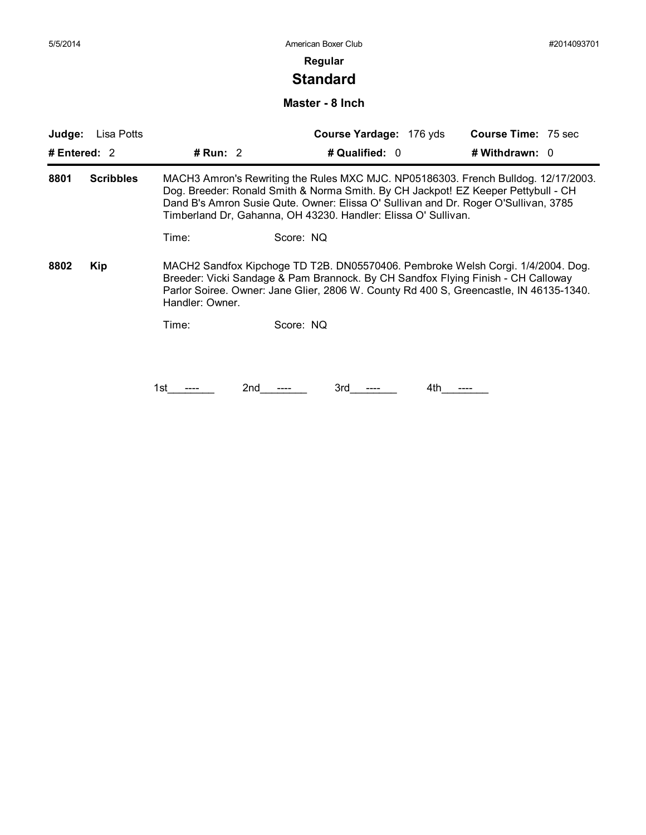# **Standard**

#### **Master - 8 Inch**

| Judge:         | Lisa Potts       |                                                                                                                                                                                                                                                                                                                                  |           | Course Yardage: 176 yds                                                                                                                                                                                                                                       |  | <b>Course Time: 75 sec</b> |  |
|----------------|------------------|----------------------------------------------------------------------------------------------------------------------------------------------------------------------------------------------------------------------------------------------------------------------------------------------------------------------------------|-----------|---------------------------------------------------------------------------------------------------------------------------------------------------------------------------------------------------------------------------------------------------------------|--|----------------------------|--|
| # Entered: $2$ |                  | # Run: 2                                                                                                                                                                                                                                                                                                                         |           | # Qualified: 0                                                                                                                                                                                                                                                |  | # Withdrawn: 0             |  |
| 8801           | <b>Scribbles</b> | MACH3 Amron's Rewriting the Rules MXC MJC. NP05186303. French Bulldog. 12/17/2003.<br>Dog. Breeder: Ronald Smith & Norma Smith. By CH Jackpot! EZ Keeper Pettybull - CH<br>Dand B's Amron Susie Qute. Owner: Elissa O' Sullivan and Dr. Roger O'Sullivan, 3785<br>Timberland Dr, Gahanna, OH 43230. Handler: Elissa O' Sullivan. |           |                                                                                                                                                                                                                                                               |  |                            |  |
|                |                  | Time:                                                                                                                                                                                                                                                                                                                            | Score: NQ |                                                                                                                                                                                                                                                               |  |                            |  |
| 8802           | <b>Kip</b>       | Handler: Owner.                                                                                                                                                                                                                                                                                                                  |           | MACH2 Sandfox Kipchoge TD T2B. DN05570406. Pembroke Welsh Corgi. 1/4/2004. Dog.<br>Breeder: Vicki Sandage & Pam Brannock. By CH Sandfox Flying Finish - CH Calloway<br>Parlor Soiree. Owner: Jane Glier, 2806 W. County Rd 400 S, Greencastle, IN 46135-1340. |  |                            |  |
|                |                  | Time:                                                                                                                                                                                                                                                                                                                            | Score: NQ |                                                                                                                                                                                                                                                               |  |                            |  |
|                |                  |                                                                                                                                                                                                                                                                                                                                  |           |                                                                                                                                                                                                                                                               |  |                            |  |
|                |                  | 1st                                                                                                                                                                                                                                                                                                                              | 2nd       | 3rd                                                                                                                                                                                                                                                           |  |                            |  |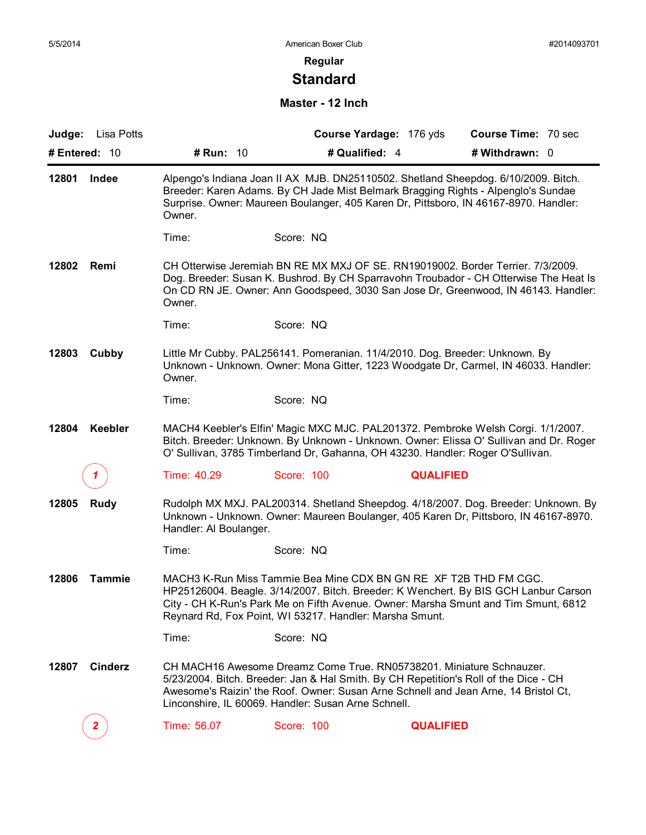# **Standard**

#### **Master - 12 Inch**

|                        | Judge: Lisa Potts |                                                                                                                                                                                                      | Course Yardage: 176 yds                                                                                                                                                                                                                                                                                    | <b>Course Time: 70 sec</b>                                                                                                                                                  |  |  |
|------------------------|-------------------|------------------------------------------------------------------------------------------------------------------------------------------------------------------------------------------------------|------------------------------------------------------------------------------------------------------------------------------------------------------------------------------------------------------------------------------------------------------------------------------------------------------------|-----------------------------------------------------------------------------------------------------------------------------------------------------------------------------|--|--|
|                        | # Entered: 10     | # Run: 10                                                                                                                                                                                            | # Qualified: 4                                                                                                                                                                                                                                                                                             | # Withdrawn: 0                                                                                                                                                              |  |  |
| 12801<br>Indee         |                   | Owner.                                                                                                                                                                                               | Breeder: Karen Adams. By CH Jade Mist Belmark Bragging Rights - Alpenglo's Sundae<br>Surprise. Owner: Maureen Boulanger, 405 Karen Dr, Pittsboro, IN 46167-8970. Handler:                                                                                                                                  | Alpengo's Indiana Joan II AX MJB. DN25110502. Shetland Sheepdog. 6/10/2009. Bitch.                                                                                          |  |  |
|                        |                   | Time:                                                                                                                                                                                                | Score: NQ                                                                                                                                                                                                                                                                                                  |                                                                                                                                                                             |  |  |
| 12802<br>Remi          |                   | Owner.                                                                                                                                                                                               | CH Otterwise Jeremiah BN RE MX MXJ OF SE. RN19019002. Border Terrier. 7/3/2009.                                                                                                                                                                                                                            | Dog. Breeder: Susan K. Bushrod. By CH Sparravohn Troubador - CH Otterwise The Heat Is<br>On CD RN JE. Owner: Ann Goodspeed, 3030 San Jose Dr, Greenwood, IN 46143. Handler: |  |  |
|                        |                   | Time:                                                                                                                                                                                                | Score: NQ                                                                                                                                                                                                                                                                                                  |                                                                                                                                                                             |  |  |
| 12803<br>Cubby         |                   | Owner.                                                                                                                                                                                               | Little Mr Cubby. PAL256141. Pomeranian. 11/4/2010. Dog. Breeder: Unknown. By                                                                                                                                                                                                                               | Unknown - Unknown. Owner: Mona Gitter, 1223 Woodgate Dr, Carmel, IN 46033. Handler:                                                                                         |  |  |
|                        |                   | Time:                                                                                                                                                                                                | Score: NQ                                                                                                                                                                                                                                                                                                  |                                                                                                                                                                             |  |  |
| 12804                  | Keebler           |                                                                                                                                                                                                      | O' Sullivan, 3785 Timberland Dr, Gahanna, OH 43230. Handler: Roger O'Sullivan.                                                                                                                                                                                                                             | MACH4 Keebler's Elfin' Magic MXC MJC. PAL201372. Pembroke Welsh Corgi. 1/1/2007.<br>Bitch. Breeder: Unknown. By Unknown - Unknown. Owner: Elissa O' Sullivan and Dr. Roger  |  |  |
|                        |                   | Time: 40.29                                                                                                                                                                                          | Score: 100                                                                                                                                                                                                                                                                                                 | <b>QUALIFIED</b>                                                                                                                                                            |  |  |
| 12805                  | Rudy              | Rudolph MX MXJ. PAL200314. Shetland Sheepdog. 4/18/2007. Dog. Breeder: Unknown. By<br>Unknown - Unknown. Owner: Maureen Boulanger, 405 Karen Dr, Pittsboro, IN 46167-8970.<br>Handler: Al Boulanger. |                                                                                                                                                                                                                                                                                                            |                                                                                                                                                                             |  |  |
|                        |                   | Time:                                                                                                                                                                                                | Score: NQ                                                                                                                                                                                                                                                                                                  |                                                                                                                                                                             |  |  |
| 12806<br><b>Tammie</b> |                   |                                                                                                                                                                                                      | MACH3 K-Run Miss Tammie Bea Mine CDX BN GN RE XF T2B THD FM CGC.<br>Reynard Rd, Fox Point, WI 53217. Handler: Marsha Smunt.                                                                                                                                                                                | HP25126004. Beagle. 3/14/2007. Bitch. Breeder: K Wenchert. By BIS GCH Lanbur Carson<br>City - CH K-Run's Park Me on Fifth Avenue. Owner: Marsha Smunt and Tim Smunt, 6812   |  |  |
|                        |                   | Time:                                                                                                                                                                                                | Score: NQ                                                                                                                                                                                                                                                                                                  |                                                                                                                                                                             |  |  |
| 12807                  | <b>Cinderz</b>    |                                                                                                                                                                                                      | CH MACH16 Awesome Dreamz Come True, RN05738201, Miniature Schnauzer.<br>5/23/2004. Bitch. Breeder: Jan & Hal Smith. By CH Repetition's Roll of the Dice - CH<br>Awesome's Raizin' the Roof. Owner: Susan Arne Schnell and Jean Arne, 14 Bristol Ct,<br>Linconshire, IL 60069. Handler: Susan Arne Schnell. |                                                                                                                                                                             |  |  |
|                        | $\mathbf{2}$      | Time: 56.07                                                                                                                                                                                          | Score: 100                                                                                                                                                                                                                                                                                                 | <b>QUALIFIED</b>                                                                                                                                                            |  |  |
|                        |                   |                                                                                                                                                                                                      |                                                                                                                                                                                                                                                                                                            |                                                                                                                                                                             |  |  |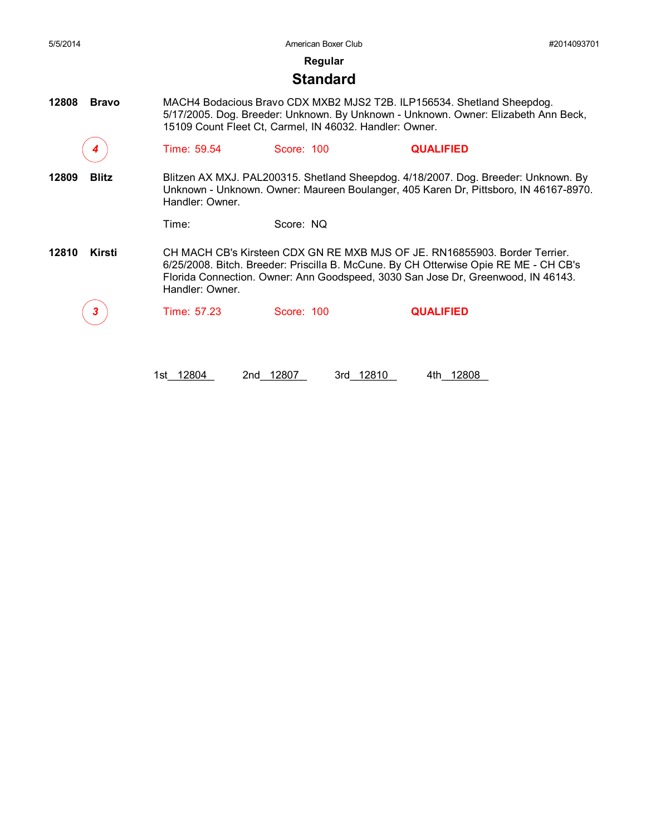| 5/5/2014              |                 | American Boxer Club                                     | #2014093701                                                                                                                                                                                                                                            |  |
|-----------------------|-----------------|---------------------------------------------------------|--------------------------------------------------------------------------------------------------------------------------------------------------------------------------------------------------------------------------------------------------------|--|
|                       |                 | Regular                                                 |                                                                                                                                                                                                                                                        |  |
|                       |                 | <b>Standard</b>                                         |                                                                                                                                                                                                                                                        |  |
| <b>Bravo</b><br>12808 |                 | 15109 Count Fleet Ct, Carmel, IN 46032. Handler: Owner. | MACH4 Bodacious Bravo CDX MXB2 MJS2 T2B. ILP156534. Shetland Sheepdog.<br>5/17/2005. Dog. Breeder: Unknown. By Unknown - Unknown. Owner: Elizabeth Ann Beck,                                                                                           |  |
|                       | Time: 59.54     | Score: 100                                              | <b>QUALIFIED</b>                                                                                                                                                                                                                                       |  |
| 12809<br><b>Blitz</b> | Handler: Owner. |                                                         | Blitzen AX MXJ. PAL200315. Shetland Sheepdog. 4/18/2007. Dog. Breeder: Unknown. By<br>Unknown - Unknown. Owner: Maureen Boulanger, 405 Karen Dr, Pittsboro, IN 46167-8970.                                                                             |  |
|                       | Time:           | Score: NO                                               |                                                                                                                                                                                                                                                        |  |
| Kirsti<br>12810       | Handler: Owner. |                                                         | CH MACH CB's Kirsteen CDX GN RE MXB MJS OF JE. RN16855903. Border Terrier.<br>6/25/2008. Bitch. Breeder: Priscilla B. McCune. By CH Otterwise Opie RE ME - CH CB's<br>Florida Connection. Owner: Ann Goodspeed, 3030 San Jose Dr, Greenwood, IN 46143. |  |

*3* Time: 57.23 Score: 100 **QUALIFIED**

1st\_12804 2nd\_12807 3rd\_12810 4th\_12808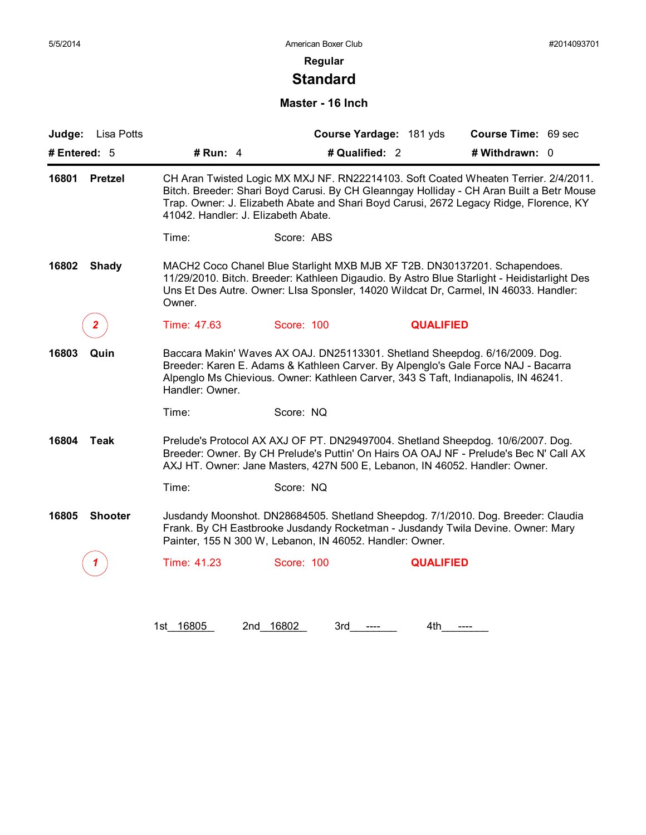# **Standard**

#### **Master - 16 Inch**

| Lisa Potts<br>Judge:    |                                     |                                                                                                                                                                   | Course Yardage: 181 yds | Course Time: 69 sec                                                                                                                                                                                                                                                       |
|-------------------------|-------------------------------------|-------------------------------------------------------------------------------------------------------------------------------------------------------------------|-------------------------|---------------------------------------------------------------------------------------------------------------------------------------------------------------------------------------------------------------------------------------------------------------------------|
| # Entered: 5            | # Run: $4$                          |                                                                                                                                                                   | # Qualified: 2          | # Withdrawn: 0                                                                                                                                                                                                                                                            |
| 16801<br><b>Pretzel</b> | 41042. Handler: J. Elizabeth Abate. |                                                                                                                                                                   |                         | CH Aran Twisted Logic MX MXJ NF. RN22214103. Soft Coated Wheaten Terrier. 2/4/2011.<br>Bitch. Breeder: Shari Boyd Carusi. By CH Gleanngay Holliday - CH Aran Built a Betr Mouse<br>Trap. Owner: J. Elizabeth Abate and Shari Boyd Carusi, 2672 Legacy Ridge, Florence, KY |
|                         | Time:                               | Score: ABS                                                                                                                                                        |                         |                                                                                                                                                                                                                                                                           |
| 16802<br><b>Shady</b>   | Owner.                              | MACH2 Coco Chanel Blue Starlight MXB MJB XF T2B. DN30137201. Schapendoes.                                                                                         |                         | 11/29/2010. Bitch. Breeder: Kathleen Digaudio. By Astro Blue Starlight - Heidistarlight Des<br>Uns Et Des Autre. Owner: Lisa Sponsler, 14020 Wildcat Dr, Carmel, IN 46033. Handler:                                                                                       |
| 2.                      | Time: 47.63                         | Score: 100                                                                                                                                                        | <b>QUALIFIED</b>        |                                                                                                                                                                                                                                                                           |
| 16803<br>Quin           | Handler: Owner.                     | Baccara Makin' Waves AX OAJ. DN25113301. Shetland Sheepdog. 6/16/2009. Dog.<br>Alpenglo Ms Chievious. Owner: Kathleen Carver, 343 S Taft, Indianapolis, IN 46241. |                         | Breeder: Karen E. Adams & Kathleen Carver. By Alpenglo's Gale Force NAJ - Bacarra                                                                                                                                                                                         |
|                         | Time:                               | Score: NQ                                                                                                                                                         |                         |                                                                                                                                                                                                                                                                           |
| 16804<br><b>Teak</b>    |                                     | AXJ HT. Owner: Jane Masters, 427N 500 E, Lebanon, IN 46052. Handler: Owner.                                                                                       |                         | Prelude's Protocol AX AXJ OF PT. DN29497004. Shetland Sheepdog. 10/6/2007. Dog.<br>Breeder: Owner. By CH Prelude's Puttin' On Hairs OA OAJ NF - Prelude's Bec N' Call AX                                                                                                  |
|                         | Time:                               | Score: NQ                                                                                                                                                         |                         |                                                                                                                                                                                                                                                                           |
| <b>Shooter</b><br>16805 |                                     | Painter, 155 N 300 W, Lebanon, IN 46052. Handler: Owner.                                                                                                          |                         | Jusdandy Moonshot. DN28684505. Shetland Sheepdog. 7/1/2010. Dog. Breeder: Claudia<br>Frank. By CH Eastbrooke Jusdandy Rocketman - Jusdandy Twila Devine. Owner: Mary                                                                                                      |
|                         | Time: 41.23                         | Score: 100                                                                                                                                                        | <b>QUALIFIED</b>        |                                                                                                                                                                                                                                                                           |

1st\_16805 2nd\_16802 3rd\_\_\_\_\_\_ 4th\_\_\_\_\_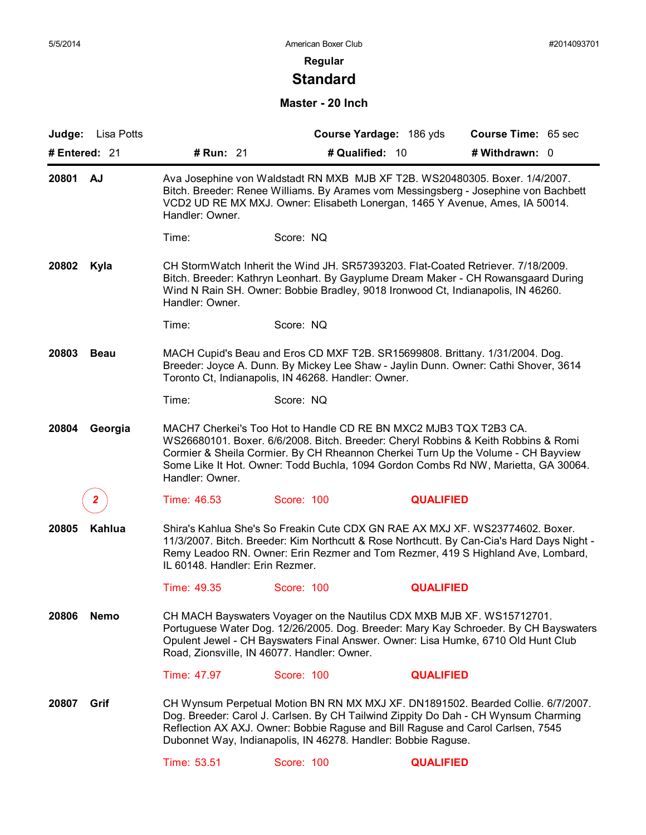# **Standard**

#### **Master - 20 Inch**

|                      | Judge: Lisa Potts |                                                                                                                                                                                                                            | Course Yardage: 186 yds                                                                                                                                                                                                                                                                                                           | Course Time: 65 sec |  |  |  |
|----------------------|-------------------|----------------------------------------------------------------------------------------------------------------------------------------------------------------------------------------------------------------------------|-----------------------------------------------------------------------------------------------------------------------------------------------------------------------------------------------------------------------------------------------------------------------------------------------------------------------------------|---------------------|--|--|--|
|                      | # Entered: 21     | # Run: 21                                                                                                                                                                                                                  | # Qualified: 10                                                                                                                                                                                                                                                                                                                   | # Withdrawn: 0      |  |  |  |
| 20801 AJ             |                   | Handler: Owner.                                                                                                                                                                                                            | Ava Josephine von Waldstadt RN MXB MJB XF T2B. WS20480305. Boxer. 1/4/2007.<br>Bitch. Breeder: Renee Williams. By Arames vom Messingsberg - Josephine von Bachbett<br>VCD2 UD RE MX MXJ. Owner: Elisabeth Lonergan, 1465 Y Avenue, Ames, IA 50014.                                                                                |                     |  |  |  |
|                      |                   | Time:                                                                                                                                                                                                                      | Score: NQ                                                                                                                                                                                                                                                                                                                         |                     |  |  |  |
| 20802                | Kyla              | Handler: Owner.                                                                                                                                                                                                            | CH StormWatch Inherit the Wind JH. SR57393203. Flat-Coated Retriever. 7/18/2009.<br>Bitch. Breeder: Kathryn Leonhart. By Gayplume Dream Maker - CH Rowansgaard During<br>Wind N Rain SH. Owner: Bobbie Bradley, 9018 Ironwood Ct, Indianapolis, IN 46260.                                                                         |                     |  |  |  |
|                      |                   | Time:                                                                                                                                                                                                                      | Score: NQ                                                                                                                                                                                                                                                                                                                         |                     |  |  |  |
| 20803<br><b>Beau</b> |                   | MACH Cupid's Beau and Eros CD MXF T2B. SR15699808. Brittany. 1/31/2004. Dog.<br>Breeder: Joyce A. Dunn. By Mickey Lee Shaw - Jaylin Dunn. Owner: Cathi Shover, 3614<br>Toronto Ct, Indianapolis, IN 46268. Handler: Owner. |                                                                                                                                                                                                                                                                                                                                   |                     |  |  |  |
|                      |                   | Time:                                                                                                                                                                                                                      | Score: NQ                                                                                                                                                                                                                                                                                                                         |                     |  |  |  |
| 20804                | Georgia           | Handler: Owner.                                                                                                                                                                                                            | MACH7 Cherkei's Too Hot to Handle CD RE BN MXC2 MJB3 TQX T2B3 CA.<br>WS26680101. Boxer. 6/6/2008. Bitch. Breeder: Cheryl Robbins & Keith Robbins & Romi<br>Cormier & Sheila Cormier. By CH Rheannon Cherkei Turn Up the Volume - CH Bayview<br>Some Like It Hot. Owner: Todd Buchla, 1094 Gordon Combs Rd NW, Marietta, GA 30064. |                     |  |  |  |
|                      | 2.                | Time: 46.53                                                                                                                                                                                                                | Score: 100                                                                                                                                                                                                                                                                                                                        | <b>QUALIFIED</b>    |  |  |  |
| Kahlua<br>20805      |                   | IL 60148. Handler: Erin Rezmer.                                                                                                                                                                                            | Shira's Kahlua She's So Freakin Cute CDX GN RAE AX MXJ XF. WS23774602. Boxer.<br>11/3/2007. Bitch. Breeder: Kim Northcutt & Rose Northcutt. By Can-Cia's Hard Days Night -<br>Remy Leadoo RN. Owner: Erin Rezmer and Tom Rezmer, 419 S Highland Ave, Lombard,                                                                     |                     |  |  |  |
|                      |                   | Time: 49.35                                                                                                                                                                                                                | Score: 100                                                                                                                                                                                                                                                                                                                        | <b>QUALIFIED</b>    |  |  |  |
| 20806<br><b>Nemo</b> |                   |                                                                                                                                                                                                                            | CH MACH Bayswaters Voyager on the Nautilus CDX MXB MJB XF. WS15712701.<br>Portuguese Water Dog. 12/26/2005. Dog. Breeder: Mary Kay Schroeder. By CH Bayswaters<br>Opulent Jewel - CH Bayswaters Final Answer. Owner: Lisa Humke, 6710 Old Hunt Club<br>Road, Zionsville, IN 46077. Handler: Owner.                                |                     |  |  |  |
|                      |                   | Time: 47.97                                                                                                                                                                                                                | Score: 100                                                                                                                                                                                                                                                                                                                        | <b>QUALIFIED</b>    |  |  |  |
| 20807                | Grif              |                                                                                                                                                                                                                            | CH Wynsum Perpetual Motion BN RN MX MXJ XF. DN1891502. Bearded Collie. 6/7/2007.<br>Dog. Breeder: Carol J. Carlsen. By CH Tailwind Zippity Do Dah - CH Wynsum Charming<br>Reflection AX AXJ. Owner: Bobbie Raguse and Bill Raguse and Carol Carlsen, 7545<br>Dubonnet Way, Indianapolis, IN 46278. Handler: Bobbie Raguse.        |                     |  |  |  |
|                      |                   | Time: 53.51                                                                                                                                                                                                                | Score: 100                                                                                                                                                                                                                                                                                                                        | <b>QUALIFIED</b>    |  |  |  |
|                      |                   |                                                                                                                                                                                                                            |                                                                                                                                                                                                                                                                                                                                   |                     |  |  |  |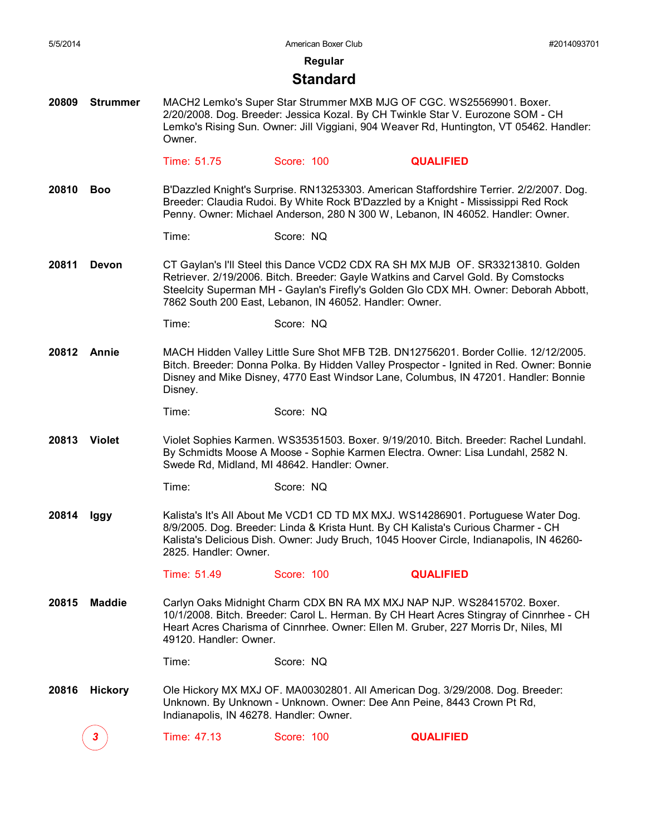**Regular**

#### **Standard**

**20809 Strummer** MACH2 Lemko's Super Star Strummer MXB MJG OF CGC. WS25569901. Boxer. 2/20/2008. Dog. Breeder: Jessica Kozal. By CH Twinkle Star V. Eurozone SOM - CH Lemko's Rising Sun. Owner: Jill Viggiani, 904 Weaver Rd, Huntington, VT 05462. Handler: Owner.

Time: 51.75 Score: 100 **QUALIFIED**

**20810 Boo** B'Dazzled Knight's Surprise. RN13253303. American Staffordshire Terrier. 2/2/2007. Dog. Breeder: Claudia Rudoi. By White Rock B'Dazzled by a Knight - Mississippi Red Rock Penny. Owner: Michael Anderson, 280 N 300 W, Lebanon, IN 46052. Handler: Owner.

Time: Score: NQ

**20811 Devon** CT Gaylan's I'll Steel this Dance VCD2 CDX RA SH MX MJB OF. SR33213810. Golden Retriever. 2/19/2006. Bitch. Breeder: Gayle Watkins and Carvel Gold. By Comstocks Steelcity Superman MH - Gaylan's Firefly's Golden Glo CDX MH. Owner: Deborah Abbott, 7862 South 200 East, Lebanon, IN 46052. Handler: Owner.

**20812 Annie** MACH Hidden Valley Little Sure Shot MFB T2B. DN12756201. Border Collie. 12/12/2005. Bitch. Breeder: Donna Polka. By Hidden Valley Prospector - Ignited in Red. Owner: Bonnie Disney and Mike Disney, 4770 East Windsor Lane, Columbus, IN 47201. Handler: Bonnie Disney.

Time: Score: NQ

- **20813 Violet** Violet Sophies Karmen. WS35351503. Boxer. 9/19/2010. Bitch. Breeder: Rachel Lundahl. By Schmidts Moose A Moose - Sophie Karmen Electra. Owner: Lisa Lundahl, 2582 N. Swede Rd, Midland, MI 48642. Handler: Owner.
	- Time: Score: NQ
- **20814 Iggy** Kalista's It's All About Me VCD1 CD TD MX MXJ. WS14286901. Portuguese Water Dog. 8/9/2005. Dog. Breeder: Linda & Krista Hunt. By CH Kalista's Curious Charmer - CH Kalista's Delicious Dish. Owner: Judy Bruch, 1045 Hoover Circle, Indianapolis, IN 46260- 2825. Handler: Owner.

Time: 51.49 Score: 100 **QUALIFIED**

**20815 Maddie** Carlyn Oaks Midnight Charm CDX BN RA MX MXJ NAP NJP. WS28415702. Boxer. 10/1/2008. Bitch. Breeder: Carol L. Herman. By CH Heart Acres Stingray of Cinnrhee - CH Heart Acres Charisma of Cinnrhee. Owner: Ellen M. Gruber, 227 Morris Dr, Niles, MI 49120. Handler: Owner.

Time: Score: NQ

**20816 Hickory** Ole Hickory MX MXJ OF. MA00302801. All American Dog. 3/29/2008. Dog. Breeder: Unknown. By Unknown - Unknown. Owner: Dee Ann Peine, 8443 Crown Pt Rd, Indianapolis, IN 46278. Handler: Owner.

*3* Time: 47.13 Score: 100 **QUALIFIED**

Time: Score: NQ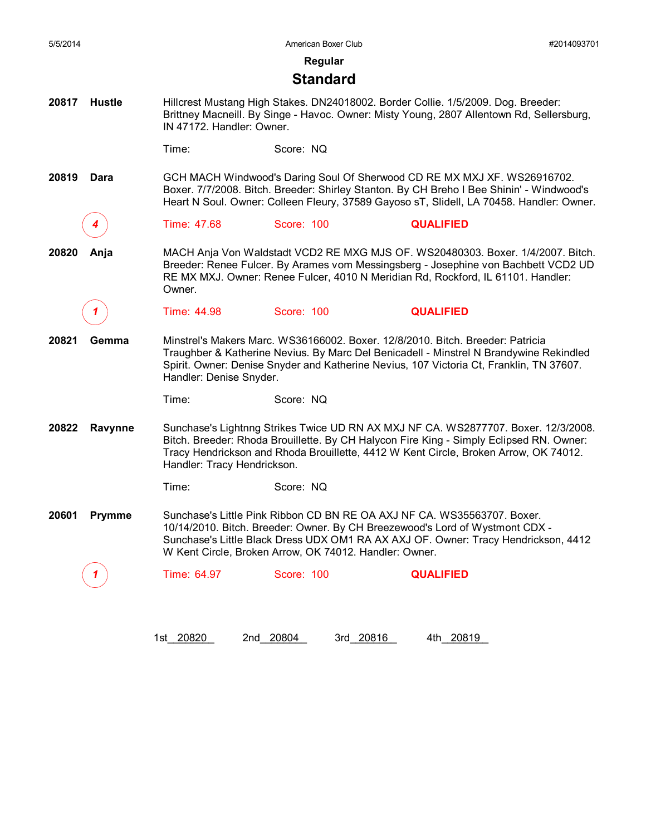**Regular**

#### **Standard**

**20817 Hustle** Hillcrest Mustang High Stakes. DN24018002. Border Collie. 1/5/2009. Dog. Breeder: Brittney Macneill. By Singe - Havoc. Owner: Misty Young, 2807 Allentown Rd, Sellersburg, IN 47172. Handler: Owner.

Time: Score: NQ

**20819 Dara** GCH MACH Windwood's Daring Soul Of Sherwood CD RE MX MXJ XF. WS26916702. Boxer. 7/7/2008. Bitch. Breeder: Shirley Stanton. By CH Breho I Bee Shinin' - Windwood's Heart N Soul. Owner: Colleen Fleury, 37589 Gayoso sT, Slidell, LA 70458. Handler: Owner.

*4* Time: 47.68 Score: 100 **QUALIFIED**

**20820 Anja** MACH Anja Von Waldstadt VCD2 RE MXG MJS OF. WS20480303. Boxer. 1/4/2007. Bitch. Breeder: Renee Fulcer. By Arames vom Messingsberg - Josephine von Bachbett VCD2 UD RE MX MXJ. Owner: Renee Fulcer, 4010 N Meridian Rd, Rockford, IL 61101. Handler: Owner.

*1* Time: 44.98 Score: 100 **QUALIFIED**

**20821 Gemma** Minstrel's Makers Marc. WS36166002. Boxer. 12/8/2010. Bitch. Breeder: Patricia Traughber & Katherine Nevius. By Marc Del Benicadell - Minstrel N Brandywine Rekindled Spirit. Owner: Denise Snyder and Katherine Nevius, 107 Victoria Ct, Franklin, TN 37607. Handler: Denise Snyder.

Time: Score: NQ

**20822 Ravynne** Sunchase's Lightnng Strikes Twice UD RN AX MXJ NF CA. WS2877707. Boxer. 12/3/2008. Bitch. Breeder: Rhoda Brouillette. By CH Halycon Fire King - Simply Eclipsed RN. Owner: Tracy Hendrickson and Rhoda Brouillette, 4412 W Kent Circle, Broken Arrow, OK 74012. Handler: Tracy Hendrickson.

Time: Score: NQ

**20601 Prymme** Sunchase's Little Pink Ribbon CD BN RE OA AXJ NF CA. WS35563707. Boxer. 10/14/2010. Bitch. Breeder: Owner. By CH Breezewood's Lord of Wystmont CDX - Sunchase's Little Black Dress UDX OM1 RA AX AXJ OF. Owner: Tracy Hendrickson, 4412 W Kent Circle, Broken Arrow, OK 74012. Handler: Owner.

*1* Time: 64.97 Score: 100 **QUALIFIED**

1st 20820 2nd 20804 3rd 20816 4th 20819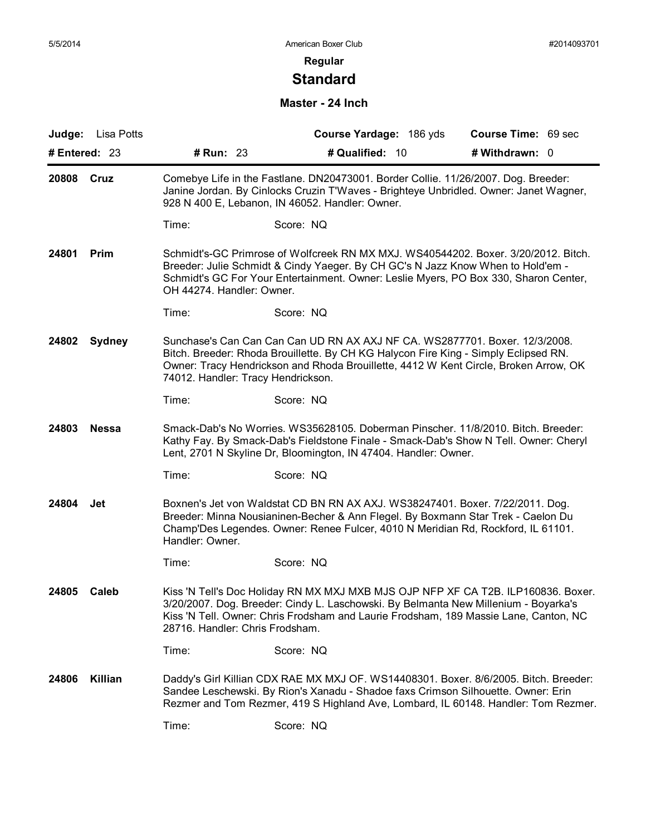# **Standard**

#### **Master - 24 Inch**

|                        | Judge: Lisa Potts |                                                                                                                                                                                                                                | Course Yardage: 186 yds                                                                                                                                                                                                                                          | Course Time: 69 sec |  |  |  |
|------------------------|-------------------|--------------------------------------------------------------------------------------------------------------------------------------------------------------------------------------------------------------------------------|------------------------------------------------------------------------------------------------------------------------------------------------------------------------------------------------------------------------------------------------------------------|---------------------|--|--|--|
| # Entered: 23          |                   | # Run: 23                                                                                                                                                                                                                      | # Qualified: 10                                                                                                                                                                                                                                                  | # Withdrawn: 0      |  |  |  |
| 20808                  | Cruz              | Comebye Life in the Fastlane. DN20473001. Border Collie. 11/26/2007. Dog. Breeder:<br>Janine Jordan. By Cinlocks Cruzin T'Waves - Brighteye Unbridled. Owner: Janet Wagner,<br>928 N 400 E, Lebanon, IN 46052. Handler: Owner. |                                                                                                                                                                                                                                                                  |                     |  |  |  |
|                        |                   | Time:                                                                                                                                                                                                                          | Score: NQ                                                                                                                                                                                                                                                        |                     |  |  |  |
| 24801<br>Prim          |                   | OH 44274. Handler: Owner.                                                                                                                                                                                                      | Schmidt's-GC Primrose of Wolfcreek RN MX MXJ. WS40544202. Boxer. 3/20/2012. Bitch.<br>Breeder: Julie Schmidt & Cindy Yaeger. By CH GC's N Jazz Know When to Hold'em -<br>Schmidt's GC For Your Entertainment. Owner: Leslie Myers, PO Box 330, Sharon Center,    |                     |  |  |  |
|                        |                   | Time:                                                                                                                                                                                                                          | Score: NQ                                                                                                                                                                                                                                                        |                     |  |  |  |
| 24802<br><b>Sydney</b> |                   | 74012. Handler: Tracy Hendrickson.                                                                                                                                                                                             | Sunchase's Can Can Can Can UD RN AX AXJ NF CA. WS2877701. Boxer. 12/3/2008.<br>Bitch. Breeder: Rhoda Brouillette. By CH KG Halycon Fire King - Simply Eclipsed RN.<br>Owner: Tracy Hendrickson and Rhoda Brouillette, 4412 W Kent Circle, Broken Arrow, OK       |                     |  |  |  |
|                        |                   | Time:                                                                                                                                                                                                                          | Score: NQ                                                                                                                                                                                                                                                        |                     |  |  |  |
| 24803<br><b>Nessa</b>  |                   |                                                                                                                                                                                                                                | Smack-Dab's No Worries. WS35628105. Doberman Pinscher. 11/8/2010. Bitch. Breeder:<br>Kathy Fay. By Smack-Dab's Fieldstone Finale - Smack-Dab's Show N Tell. Owner: Cheryl<br>Lent, 2701 N Skyline Dr, Bloomington, IN 47404. Handler: Owner.                     |                     |  |  |  |
|                        |                   | Time:                                                                                                                                                                                                                          | Score: NQ                                                                                                                                                                                                                                                        |                     |  |  |  |
| 24804                  | Jet               | Handler: Owner.                                                                                                                                                                                                                | Boxnen's Jet von Waldstat CD BN RN AX AXJ. WS38247401. Boxer. 7/22/2011. Dog.<br>Breeder: Minna Nousianinen-Becher & Ann Flegel. By Boxmann Star Trek - Caelon Du<br>Champ'Des Legendes. Owner: Renee Fulcer, 4010 N Meridian Rd, Rockford, IL 61101.            |                     |  |  |  |
|                        |                   | Time:                                                                                                                                                                                                                          | Score: NQ                                                                                                                                                                                                                                                        |                     |  |  |  |
| 24805                  | Caleb             | 28716. Handler: Chris Frodsham.                                                                                                                                                                                                | Kiss 'N Tell's Doc Holiday RN MX MXJ MXB MJS OJP NFP XF CA T2B. ILP160836. Boxer.<br>3/20/2007. Dog. Breeder: Cindy L. Laschowski. By Belmanta New Millenium - Boyarka's<br>Kiss 'N Tell. Owner: Chris Frodsham and Laurie Frodsham, 189 Massie Lane, Canton, NC |                     |  |  |  |
|                        |                   | Time:                                                                                                                                                                                                                          | Score: NQ                                                                                                                                                                                                                                                        |                     |  |  |  |
| 24806                  | Killian           |                                                                                                                                                                                                                                | Daddy's Girl Killian CDX RAE MX MXJ OF. WS14408301. Boxer. 8/6/2005. Bitch. Breeder:<br>Sandee Leschewski. By Rion's Xanadu - Shadoe faxs Crimson Silhouette. Owner: Erin<br>Rezmer and Tom Rezmer, 419 S Highland Ave, Lombard, IL 60148. Handler: Tom Rezmer.  |                     |  |  |  |
|                        |                   | Time:                                                                                                                                                                                                                          | Score: NQ                                                                                                                                                                                                                                                        |                     |  |  |  |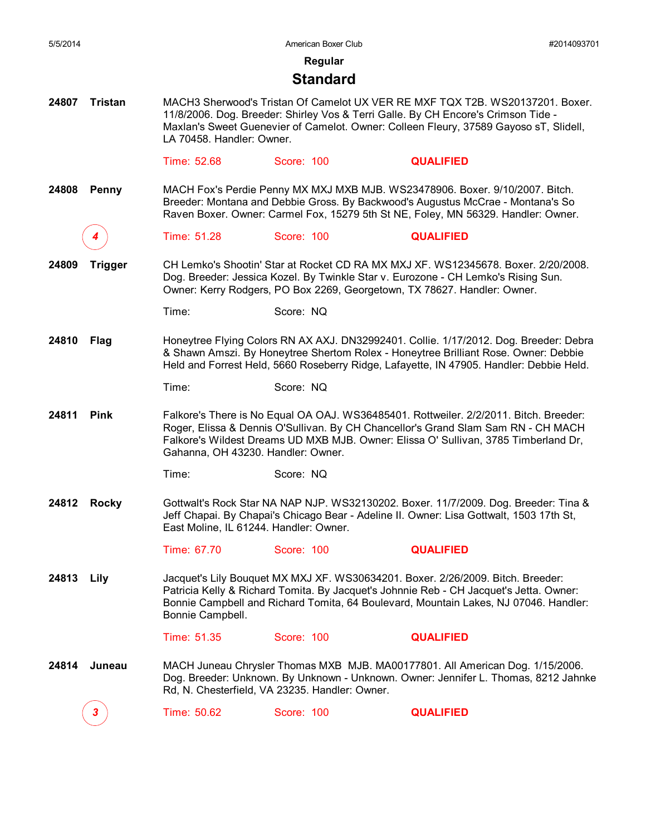| 5/5/2014 |                |                                        | American Boxer Club                                                      |                                                                                                                                                                                                                                                                         | #2014093701 |
|----------|----------------|----------------------------------------|--------------------------------------------------------------------------|-------------------------------------------------------------------------------------------------------------------------------------------------------------------------------------------------------------------------------------------------------------------------|-------------|
|          |                |                                        | Regular                                                                  |                                                                                                                                                                                                                                                                         |             |
|          |                |                                        | <b>Standard</b>                                                          |                                                                                                                                                                                                                                                                         |             |
| 24807    | <b>Tristan</b> | LA 70458. Handler: Owner.              |                                                                          | MACH3 Sherwood's Tristan Of Camelot UX VER RE MXF TQX T2B. WS20137201. Boxer.<br>11/8/2006. Dog. Breeder: Shirley Vos & Terri Galle. By CH Encore's Crimson Tide -<br>Maxlan's Sweet Guenevier of Camelot. Owner: Colleen Fleury, 37589 Gayoso sT, Slidell,             |             |
|          |                | Time: 52.68                            | Score: 100                                                               | <b>QUALIFIED</b>                                                                                                                                                                                                                                                        |             |
| 24808    | Penny          |                                        |                                                                          | MACH Fox's Perdie Penny MX MXJ MXB MJB. WS23478906. Boxer. 9/10/2007. Bitch.<br>Breeder: Montana and Debbie Gross. By Backwood's Augustus McCrae - Montana's So<br>Raven Boxer. Owner: Carmel Fox, 15279 5th St NE, Foley, MN 56329. Handler: Owner.                    |             |
|          |                | Time: 51.28                            | Score: 100                                                               | <b>QUALIFIED</b>                                                                                                                                                                                                                                                        |             |
| 24809    | <b>Trigger</b> |                                        | Owner: Kerry Rodgers, PO Box 2269, Georgetown, TX 78627. Handler: Owner. | CH Lemko's Shootin' Star at Rocket CD RA MX MXJ XF. WS12345678. Boxer. 2/20/2008.<br>Dog. Breeder: Jessica Kozel. By Twinkle Star v. Eurozone - CH Lemko's Rising Sun.                                                                                                  |             |
|          |                | Time:                                  | Score: NQ                                                                |                                                                                                                                                                                                                                                                         |             |
| 24810    | Flag           |                                        |                                                                          | Honeytree Flying Colors RN AX AXJ. DN32992401. Collie. 1/17/2012. Dog. Breeder: Debra<br>& Shawn Amszi. By Honeytree Shertom Rolex - Honeytree Brilliant Rose. Owner: Debbie<br>Held and Forrest Held, 5660 Roseberry Ridge, Lafayette, IN 47905. Handler: Debbie Held. |             |
|          |                | Time:                                  | Score: NQ                                                                |                                                                                                                                                                                                                                                                         |             |
| 24811    | <b>Pink</b>    | Gahanna, OH 43230. Handler: Owner.     |                                                                          | Falkore's There is No Equal OA OAJ. WS36485401. Rottweiler. 2/2/2011. Bitch. Breeder:<br>Roger, Elissa & Dennis O'Sullivan. By CH Chancellor's Grand Slam Sam RN - CH MACH<br>Falkore's Wildest Dreams UD MXB MJB. Owner: Elissa O' Sullivan, 3785 Timberland Dr,       |             |
|          |                | Time:                                  | Score: NQ                                                                |                                                                                                                                                                                                                                                                         |             |
| 24812    | <b>Rocky</b>   | East Moline, IL 61244. Handler: Owner. |                                                                          | Gottwalt's Rock Star NA NAP NJP. WS32130202. Boxer. 11/7/2009. Dog. Breeder: Tina &<br>Jeff Chapai. By Chapai's Chicago Bear - Adeline II. Owner: Lisa Gottwalt, 1503 17th St,                                                                                          |             |
|          |                | Time: 67.70                            | Score: 100                                                               | <b>QUALIFIED</b>                                                                                                                                                                                                                                                        |             |
| 24813    | Lily           | Bonnie Campbell.                       |                                                                          | Jacquet's Lily Bouquet MX MXJ XF. WS30634201. Boxer. 2/26/2009. Bitch. Breeder:<br>Patricia Kelly & Richard Tomita. By Jacquet's Johnnie Reb - CH Jacquet's Jetta. Owner:<br>Bonnie Campbell and Richard Tomita, 64 Boulevard, Mountain Lakes, NJ 07046. Handler:       |             |
|          |                | Time: 51.35                            | Score: 100                                                               | <b>QUALIFIED</b>                                                                                                                                                                                                                                                        |             |
| 24814    | Juneau         |                                        | Rd, N. Chesterfield, VA 23235. Handler: Owner.                           | MACH Juneau Chrysler Thomas MXB MJB. MA00177801. All American Dog. 1/15/2006.<br>Dog. Breeder: Unknown. By Unknown - Unknown. Owner: Jennifer L. Thomas, 8212 Jahnke                                                                                                    |             |
|          |                | Time: 50.62                            | Score: 100                                                               | <b>QUALIFIED</b>                                                                                                                                                                                                                                                        |             |
|          |                |                                        |                                                                          |                                                                                                                                                                                                                                                                         |             |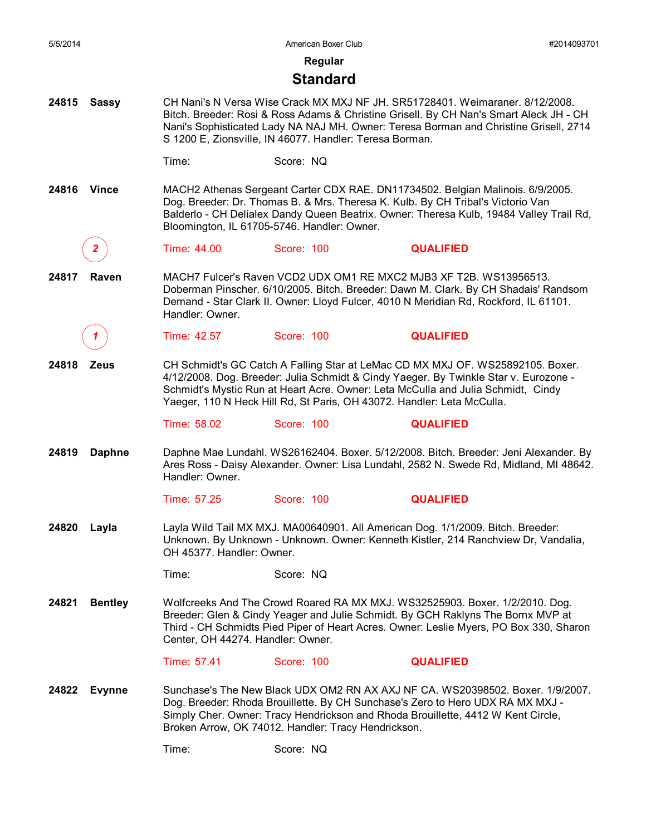| 5/5/2014 |                |                                   | American Boxer Club                                                                                                                                                                                                                                                                                                                  |                  | #2014093701 |
|----------|----------------|-----------------------------------|--------------------------------------------------------------------------------------------------------------------------------------------------------------------------------------------------------------------------------------------------------------------------------------------------------------------------------------|------------------|-------------|
|          |                |                                   | Regular                                                                                                                                                                                                                                                                                                                              |                  |             |
|          |                |                                   | <b>Standard</b>                                                                                                                                                                                                                                                                                                                      |                  |             |
| 24815    | <b>Sassy</b>   |                                   | CH Nani's N Versa Wise Crack MX MXJ NF JH. SR51728401. Weimaraner. 8/12/2008.<br>Bitch. Breeder: Rosi & Ross Adams & Christine Grisell. By CH Nan's Smart Aleck JH - CH<br>Nani's Sophisticated Lady NA NAJ MH. Owner: Teresa Borman and Christine Grisell, 2714<br>S 1200 E, Zionsville, IN 46077. Handler: Teresa Borman.          |                  |             |
|          |                | Time:                             | Score: NQ                                                                                                                                                                                                                                                                                                                            |                  |             |
| 24816    | <b>Vince</b>   |                                   | MACH2 Athenas Sergeant Carter CDX RAE. DN11734502. Belgian Malinois. 6/9/2005.<br>Dog. Breeder: Dr. Thomas B. & Mrs. Theresa K. Kulb. By CH Tribal's Victorio Van<br>Balderlo - CH Delialex Dandy Queen Beatrix. Owner: Theresa Kulb, 19484 Valley Trail Rd,<br>Bloomington, IL 61705-5746. Handler: Owner.                          |                  |             |
|          | 2              | Time: 44.00                       | Score: 100                                                                                                                                                                                                                                                                                                                           | <b>QUALIFIED</b> |             |
| 24817    | Raven          | Handler: Owner.                   | MACH7 Fulcer's Raven VCD2 UDX OM1 RE MXC2 MJB3 XF T2B. WS13956513.<br>Doberman Pinscher. 6/10/2005. Bitch. Breeder: Dawn M. Clark. By CH Shadais' Randsom<br>Demand - Star Clark II. Owner: Lloyd Fulcer, 4010 N Meridian Rd, Rockford, IL 61101.                                                                                    |                  |             |
|          |                | Time: 42.57                       | Score: 100                                                                                                                                                                                                                                                                                                                           | <b>QUALIFIED</b> |             |
| 24818    | <b>Zeus</b>    |                                   | CH Schmidt's GC Catch A Falling Star at LeMac CD MX MXJ OF. WS25892105. Boxer.<br>4/12/2008. Dog. Breeder: Julia Schmidt & Cindy Yaeger. By Twinkle Star v. Eurozone -<br>Schmidt's Mystic Run at Heart Acre. Owner: Leta McCulla and Julia Schmidt, Cindy<br>Yaeger, 110 N Heck Hill Rd, St Paris, OH 43072. Handler: Leta McCulla. |                  |             |
|          |                | Time: 58.02                       | Score: 100                                                                                                                                                                                                                                                                                                                           | <b>QUALIFIED</b> |             |
| 24819    | <b>Daphne</b>  | Handler: Owner.                   | Daphne Mae Lundahl. WS26162404. Boxer. 5/12/2008. Bitch. Breeder: Jeni Alexander. By<br>Ares Ross - Daisy Alexander. Owner: Lisa Lundahl, 2582 N. Swede Rd, Midland, MI 48642.                                                                                                                                                       |                  |             |
|          |                | Time: 57.25                       | Score: 100                                                                                                                                                                                                                                                                                                                           | <b>QUALIFIED</b> |             |
| 24820    | Layla          | OH 45377. Handler: Owner.         | Layla Wild Tail MX MXJ. MA00640901. All American Dog. 1/1/2009. Bitch. Breeder:<br>Unknown. By Unknown - Unknown. Owner: Kenneth Kistler, 214 Ranchview Dr, Vandalia,                                                                                                                                                                |                  |             |
|          |                | Time:                             | Score: NQ                                                                                                                                                                                                                                                                                                                            |                  |             |
| 24821    | <b>Bentley</b> | Center, OH 44274. Handler: Owner. | Wolfcreeks And The Crowd Roared RA MX MXJ. WS32525903. Boxer. 1/2/2010. Dog.<br>Breeder: Glen & Cindy Yeager and Julie Schmidt. By GCH Raklyns The Bornx MVP at<br>Third - CH Schmidts Pied Piper of Heart Acres. Owner: Leslie Myers, PO Box 330, Sharon                                                                            |                  |             |
|          |                | Time: 57.41                       | Score: 100                                                                                                                                                                                                                                                                                                                           | <b>QUALIFIED</b> |             |
| 24822    | <b>Evynne</b>  |                                   | Sunchase's The New Black UDX OM2 RN AX AXJ NF CA. WS20398502. Boxer. 1/9/2007.<br>Dog. Breeder: Rhoda Brouillette. By CH Sunchase's Zero to Hero UDX RA MX MXJ -<br>Simply Cher. Owner: Tracy Hendrickson and Rhoda Brouillette, 4412 W Kent Circle,<br>Broken Arrow, OK 74012. Handler: Tracy Hendrickson.                          |                  |             |
|          |                | Time:                             | Score: NQ                                                                                                                                                                                                                                                                                                                            |                  |             |
|          |                |                                   |                                                                                                                                                                                                                                                                                                                                      |                  |             |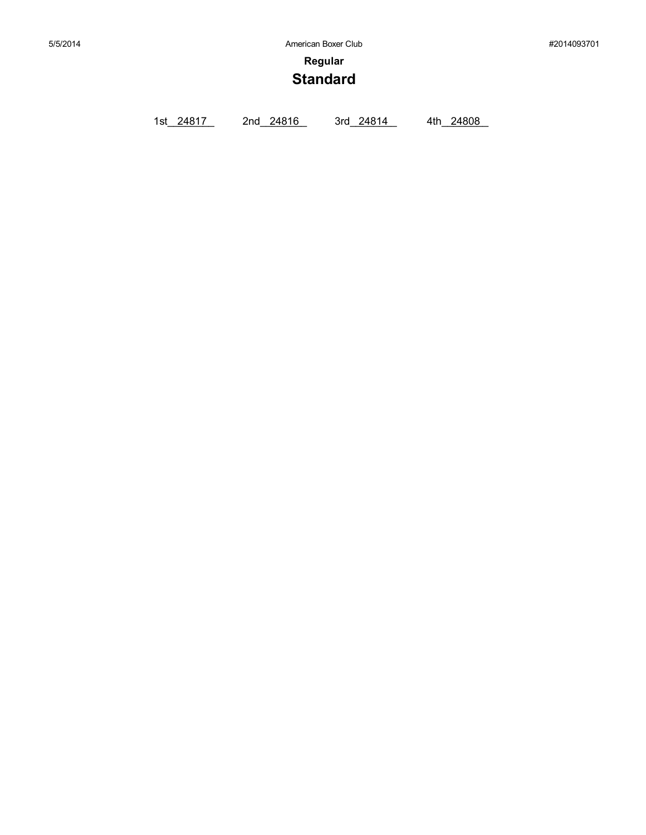**Regular**

# **Standard**

1st\_24817 2nd\_24816 3rd\_24814 4th\_24808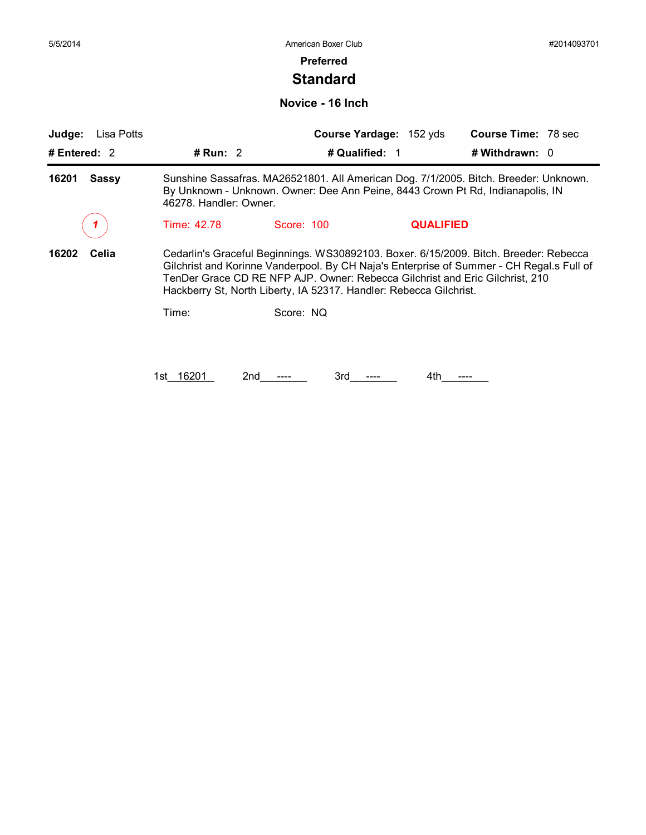### **Preferred**

## **Standard**

**Novice - 16 Inch**

| Judge:<br>Lisa Potts  |                                                                                                                                                                                                  |                                                                                                                                                    | Course Yardage: 152 yds | <b>Course Time: 78 sec</b>                                                                                                                                                        |  |  |
|-----------------------|--------------------------------------------------------------------------------------------------------------------------------------------------------------------------------------------------|----------------------------------------------------------------------------------------------------------------------------------------------------|-------------------------|-----------------------------------------------------------------------------------------------------------------------------------------------------------------------------------|--|--|
| # Entered: $2$        | # Run: 2                                                                                                                                                                                         | # Qualified: 1                                                                                                                                     |                         | #Withdrawn: 0                                                                                                                                                                     |  |  |
| 16201<br><b>Sassy</b> | Sunshine Sassafras. MA26521801. All American Dog. 7/1/2005. Bitch. Breeder: Unknown.<br>By Unknown - Unknown. Owner: Dee Ann Peine, 8443 Crown Pt Rd, Indianapolis, IN<br>46278. Handler: Owner. |                                                                                                                                                    |                         |                                                                                                                                                                                   |  |  |
|                       | Time: 42.78                                                                                                                                                                                      | Score: 100                                                                                                                                         | <b>QUALIFIED</b>        |                                                                                                                                                                                   |  |  |
| 16202<br>Celia        |                                                                                                                                                                                                  | TenDer Grace CD RE NFP AJP. Owner: Rebecca Gilchrist and Eric Gilchrist, 210<br>Hackberry St, North Liberty, IA 52317. Handler: Rebecca Gilchrist. |                         | Cedarlin's Graceful Beginnings. WS30892103. Boxer. 6/15/2009. Bitch. Breeder: Rebecca<br>Gilchrist and Korinne Vanderpool. By CH Naja's Enterprise of Summer - CH Regal.s Full of |  |  |
|                       | Time:                                                                                                                                                                                            | Score: NQ                                                                                                                                          |                         |                                                                                                                                                                                   |  |  |
|                       |                                                                                                                                                                                                  |                                                                                                                                                    |                         |                                                                                                                                                                                   |  |  |
|                       | 1st 16201                                                                                                                                                                                        | 3rd<br>2nd                                                                                                                                         | 4th                     |                                                                                                                                                                                   |  |  |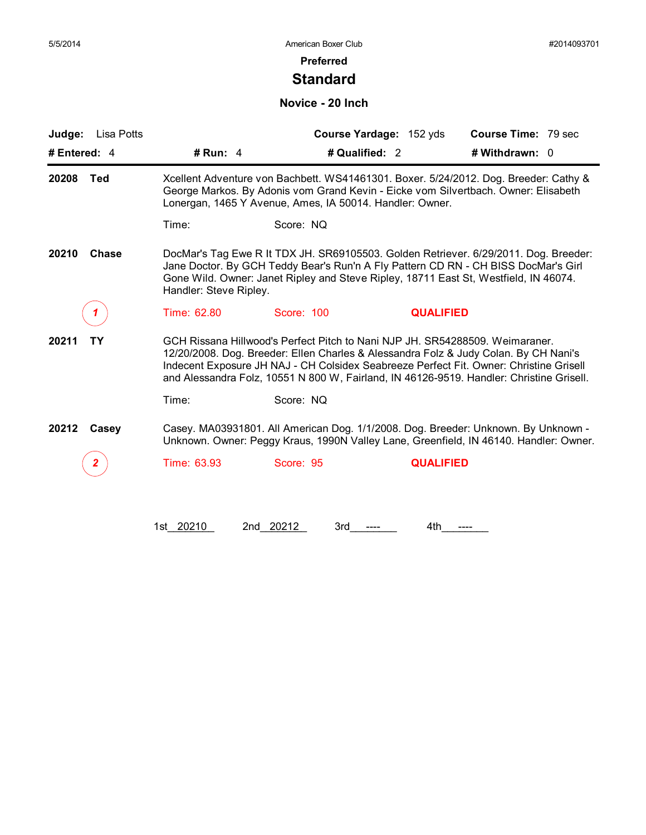### **Preferred**

## **Standard**

### **Novice - 20 Inch**

| Lisa Potts<br>Judge:  |                                                                                                                                                                                                                                        |                                                                                                                                                                                                                                                                                                                                                            | Course Yardage: 152 yds | <b>Course Time: 79 sec</b> |  |  |  |
|-----------------------|----------------------------------------------------------------------------------------------------------------------------------------------------------------------------------------------------------------------------------------|------------------------------------------------------------------------------------------------------------------------------------------------------------------------------------------------------------------------------------------------------------------------------------------------------------------------------------------------------------|-------------------------|----------------------------|--|--|--|
| # Entered: 4          | # Run: 4                                                                                                                                                                                                                               | # Qualified: 2                                                                                                                                                                                                                                                                                                                                             |                         | # Withdrawn: 0             |  |  |  |
| <b>Ted</b><br>20208   | Xcellent Adventure von Bachbett. WS41461301. Boxer. 5/24/2012. Dog. Breeder: Cathy &<br>George Markos. By Adonis vom Grand Kevin - Eicke vom Silvertbach. Owner: Elisabeth<br>Lonergan, 1465 Y Avenue, Ames, IA 50014. Handler: Owner. |                                                                                                                                                                                                                                                                                                                                                            |                         |                            |  |  |  |
|                       | Time:                                                                                                                                                                                                                                  | Score: NQ                                                                                                                                                                                                                                                                                                                                                  |                         |                            |  |  |  |
| 20210<br><b>Chase</b> |                                                                                                                                                                                                                                        | DocMar's Tag Ewe R It TDX JH. SR69105503. Golden Retriever. 6/29/2011. Dog. Breeder:<br>Jane Doctor. By GCH Teddy Bear's Run'n A Fly Pattern CD RN - CH BISS DocMar's Girl<br>Gone Wild. Owner: Janet Ripley and Steve Ripley, 18711 East St, Westfield, IN 46074.<br>Handler: Steve Ripley.                                                               |                         |                            |  |  |  |
|                       | Time: 62.80                                                                                                                                                                                                                            | Score: 100                                                                                                                                                                                                                                                                                                                                                 | <b>QUALIFIED</b>        |                            |  |  |  |
| 20211<br>TΥ           |                                                                                                                                                                                                                                        | GCH Rissana Hillwood's Perfect Pitch to Nani NJP JH. SR54288509. Weimaraner.<br>12/20/2008. Dog. Breeder: Ellen Charles & Alessandra Folz & Judy Colan. By CH Nani's<br>Indecent Exposure JH NAJ - CH Colsidex Seabreeze Perfect Fit. Owner: Christine Grisell<br>and Alessandra Folz, 10551 N 800 W, Fairland, IN 46126-9519. Handler: Christine Grisell. |                         |                            |  |  |  |
|                       | Time:                                                                                                                                                                                                                                  | Score: NQ                                                                                                                                                                                                                                                                                                                                                  |                         |                            |  |  |  |
| 20212<br>Casey        |                                                                                                                                                                                                                                        | Casey. MA03931801. All American Dog. 1/1/2008. Dog. Breeder: Unknown. By Unknown -<br>Unknown. Owner: Peggy Kraus, 1990N Valley Lane, Greenfield, IN 46140. Handler: Owner.                                                                                                                                                                                |                         |                            |  |  |  |
|                       | Time: 63.93                                                                                                                                                                                                                            | Score: 95                                                                                                                                                                                                                                                                                                                                                  | <b>QUALIFIED</b>        |                            |  |  |  |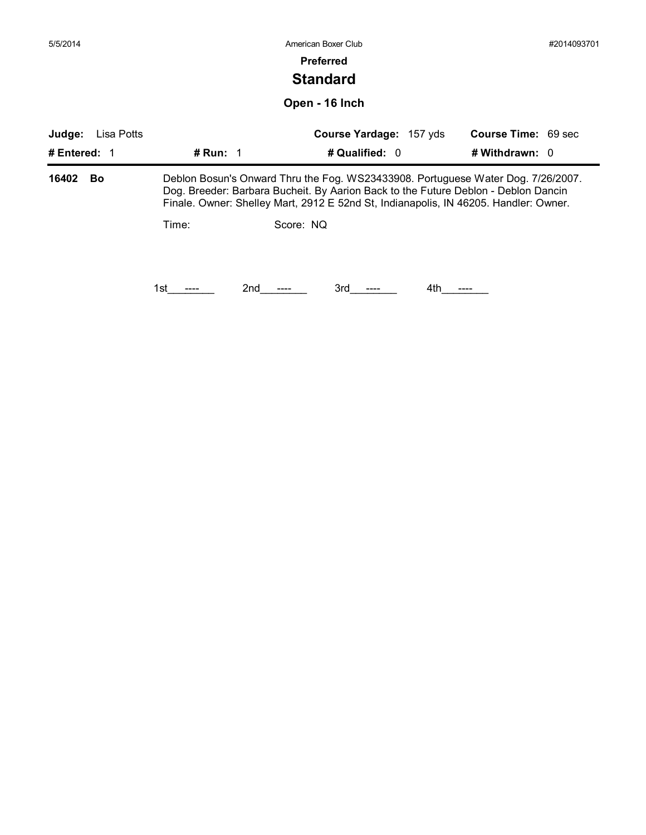| 5/5/2014     |            |            | American Boxer Club                                                                                                                                                                                                                                            | #2014093701                |
|--------------|------------|------------|----------------------------------------------------------------------------------------------------------------------------------------------------------------------------------------------------------------------------------------------------------------|----------------------------|
|              |            |            | <b>Preferred</b>                                                                                                                                                                                                                                               |                            |
|              |            |            | <b>Standard</b>                                                                                                                                                                                                                                                |                            |
|              |            |            | Open - 16 Inch                                                                                                                                                                                                                                                 |                            |
| Judge:       | Lisa Potts |            | Course Yardage: 157 yds                                                                                                                                                                                                                                        | <b>Course Time: 69 sec</b> |
| # Entered: 1 |            | # Run: $1$ | # Qualified: 0                                                                                                                                                                                                                                                 | # Withdrawn: 0             |
| 16402        | Bo         |            | Deblon Bosun's Onward Thru the Fog. WS23433908. Portuguese Water Dog. 7/26/2007.<br>Dog. Breeder: Barbara Bucheit. By Aarion Back to the Future Deblon - Deblon Dancin<br>Finale. Owner: Shelley Mart, 2912 E 52nd St, Indianapolis, IN 46205. Handler: Owner. |                            |
|              |            | Time:      | Score: NQ                                                                                                                                                                                                                                                      |                            |
|              |            |            |                                                                                                                                                                                                                                                                |                            |
|              |            |            |                                                                                                                                                                                                                                                                |                            |
|              |            | 2nd<br>1st | 3rd<br>4th                                                                                                                                                                                                                                                     |                            |
|              |            |            |                                                                                                                                                                                                                                                                |                            |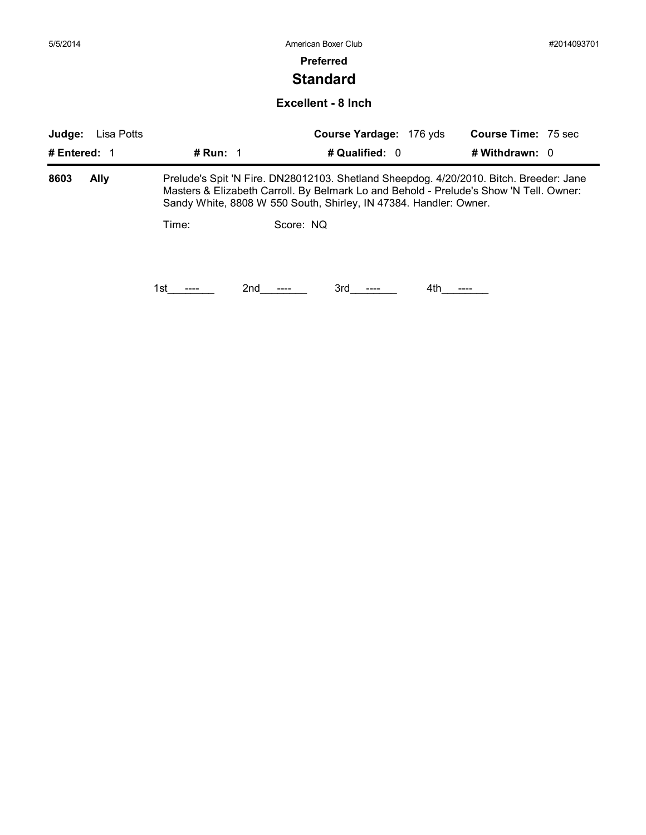|                                                                                                                                                             | #2014093701                |
|-------------------------------------------------------------------------------------------------------------------------------------------------------------|----------------------------|
| <b>Preferred</b>                                                                                                                                            |                            |
| <b>Standard</b>                                                                                                                                             |                            |
| <b>Excellent - 8 Inch</b>                                                                                                                                   |                            |
| Judge:<br>Course Yardage: 176 yds<br>Lisa Potts                                                                                                             | <b>Course Time: 75 sec</b> |
| # Run: $1$<br># Qualified: 0<br># Entered: $1$                                                                                                              | # Withdrawn: 0             |
| 8603<br><b>Ally</b><br>Prelude's Spit 'N Fire. DN28012103. Shetland Sheepdog. 4/20/2010. Bitch. Breeder: Jane                                               |                            |
| Masters & Elizabeth Carroll. By Belmark Lo and Behold - Prelude's Show 'N Tell. Owner:<br>Sandy White, 8808 W 550 South, Shirley, IN 47384. Handler: Owner. |                            |
| Score: NQ<br>Time:                                                                                                                                          |                            |
|                                                                                                                                                             |                            |
|                                                                                                                                                             |                            |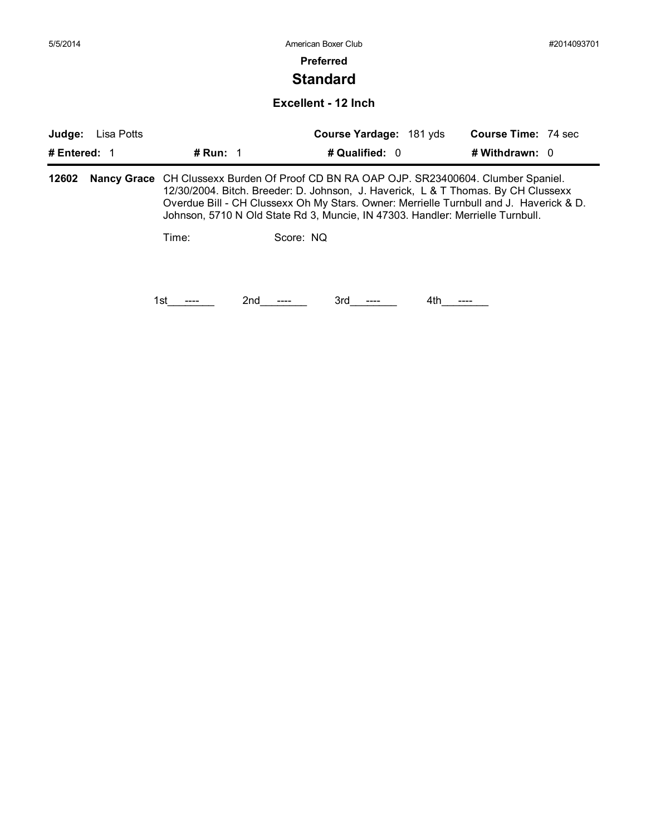## **Standard**

#### **Excellent - 12 Inch**

| Judge:<br># Entered: $1$ | Lisa Potts | # Run: $1$                                                                                                                                                                                                                                                                                                                                                     | Course Yardage: 181 yds<br># Qualified: 0 | <b>Course Time: 74 sec</b><br># Withdrawn: 0 |  |  |
|--------------------------|------------|----------------------------------------------------------------------------------------------------------------------------------------------------------------------------------------------------------------------------------------------------------------------------------------------------------------------------------------------------------------|-------------------------------------------|----------------------------------------------|--|--|
| 12602                    |            | <b>Nancy Grace</b> CH Clussexx Burden Of Proof CD BN RA OAP OJP. SR23400604. Clumber Spaniel.<br>12/30/2004. Bitch. Breeder: D. Johnson, J. Haverick, L & T Thomas. By CH Clussexx<br>Overdue Bill - CH Clussexx Oh My Stars. Owner: Merrielle Turnbull and J. Haverick & D.<br>Johnson, 5710 N Old State Rd 3, Muncie, IN 47303. Handler: Merrielle Turnbull. |                                           |                                              |  |  |
|                          |            | Time:                                                                                                                                                                                                                                                                                                                                                          | Score: NQ                                 |                                              |  |  |
|                          |            | 2nd<br>1st                                                                                                                                                                                                                                                                                                                                                     | 3rd<br>4th                                |                                              |  |  |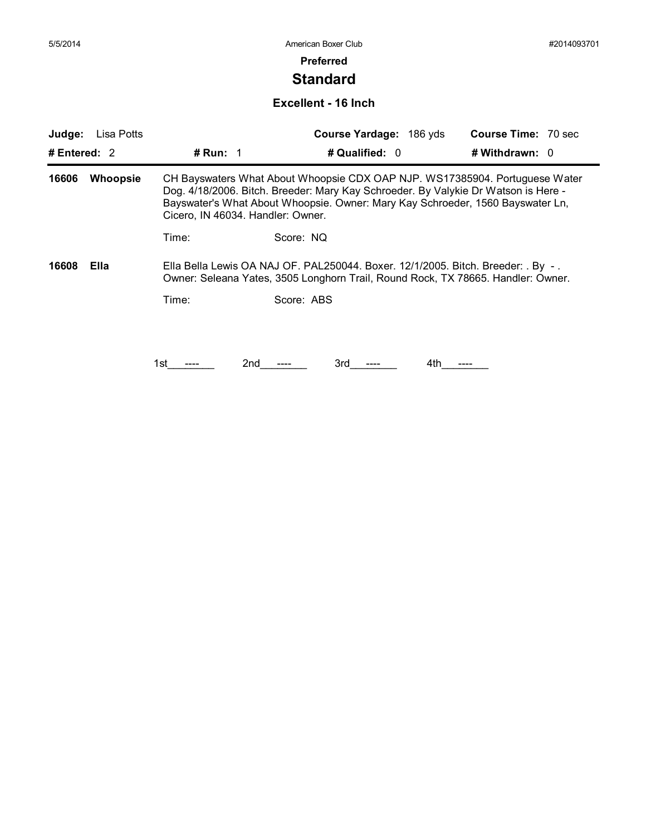## **Standard**

#### **Excellent - 16 Inch**

| Judge:         | Lisa Potts      |                                   | Course Yardage: 186 yds                                                                                                                                                                                                                             | <b>Course Time: 70 sec</b> |
|----------------|-----------------|-----------------------------------|-----------------------------------------------------------------------------------------------------------------------------------------------------------------------------------------------------------------------------------------------------|----------------------------|
| # Entered: $2$ |                 | # Run: $1$                        | # Qualified: 0                                                                                                                                                                                                                                      | # Withdrawn: $0$           |
| 16606          | <b>Whoopsie</b> | Cicero, IN 46034. Handler: Owner. | CH Bayswaters What About Whoopsie CDX OAP NJP. WS17385904. Portuguese Water<br>Dog. 4/18/2006. Bitch. Breeder: Mary Kay Schroeder. By Valykie Dr Watson is Here -<br>Bayswater's What About Whoopsie. Owner: Mary Kay Schroeder, 1560 Bayswater Ln, |                            |
|                |                 | Time:                             | Score: NQ                                                                                                                                                                                                                                           |                            |
| 16608          | Ella            |                                   | Ella Bella Lewis OA NAJ OF. PAL250044. Boxer. 12/1/2005. Bitch. Breeder: . By -.<br>Owner: Seleana Yates, 3505 Longhorn Trail, Round Rock, TX 78665. Handler: Owner.                                                                                |                            |
|                |                 | Time:                             | Score: ABS                                                                                                                                                                                                                                          |                            |
|                |                 |                                   |                                                                                                                                                                                                                                                     |                            |
|                |                 |                                   |                                                                                                                                                                                                                                                     |                            |
|                |                 | 2nd<br>1st                        | 3rd<br>4th                                                                                                                                                                                                                                          |                            |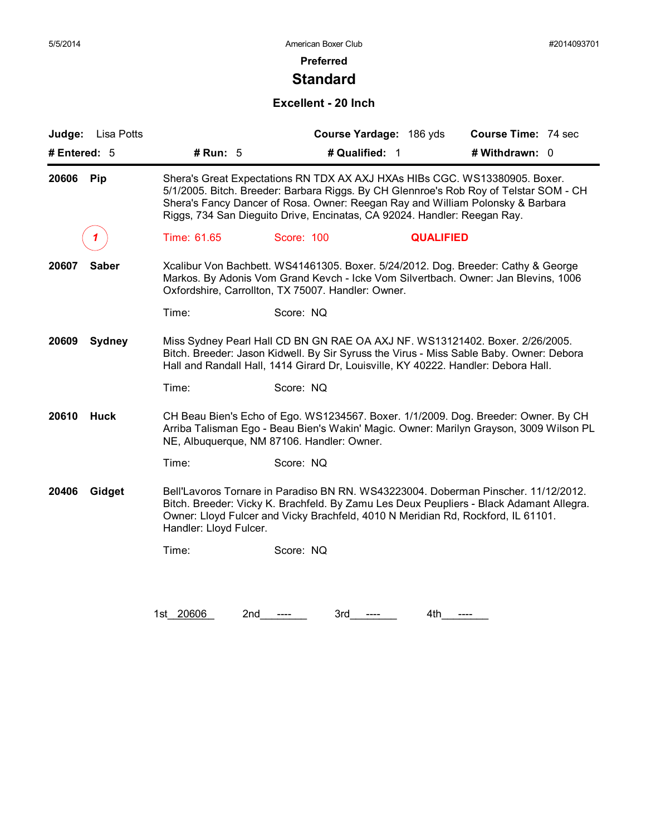## **Standard**

### **Excellent - 20 Inch**

| Judge: Lisa Potts      |                                                                                                                                                                                                                                                               |                                                                                                                                                                                                                                          | Course Yardage: 186 yds | Course Time: 74 sec                                                                                                                                                           |  |
|------------------------|---------------------------------------------------------------------------------------------------------------------------------------------------------------------------------------------------------------------------------------------------------------|------------------------------------------------------------------------------------------------------------------------------------------------------------------------------------------------------------------------------------------|-------------------------|-------------------------------------------------------------------------------------------------------------------------------------------------------------------------------|--|
| # Entered: 5           | # Run: $5$                                                                                                                                                                                                                                                    | # Qualified: 1                                                                                                                                                                                                                           |                         | # Withdrawn: 0                                                                                                                                                                |  |
| 20606<br>Pip           |                                                                                                                                                                                                                                                               | Shera's Great Expectations RN TDX AX AXJ HXAs HIBs CGC. WS13380905. Boxer.<br>Shera's Fancy Dancer of Rosa. Owner: Reegan Ray and William Polonsky & Barbara<br>Riggs, 734 San Dieguito Drive, Encinatas, CA 92024. Handler: Reegan Ray. |                         | 5/1/2005. Bitch. Breeder: Barbara Riggs. By CH Glennroe's Rob Roy of Telstar SOM - CH                                                                                         |  |
|                        | Time: 61.65                                                                                                                                                                                                                                                   | Score: 100                                                                                                                                                                                                                               | <b>QUALIFIED</b>        |                                                                                                                                                                               |  |
| <b>Saber</b><br>20607  |                                                                                                                                                                                                                                                               | Oxfordshire, Carrollton, TX 75007. Handler: Owner.                                                                                                                                                                                       |                         | Xcalibur Von Bachbett. WS41461305. Boxer. 5/24/2012. Dog. Breeder: Cathy & George<br>Markos. By Adonis Vom Grand Kevch - Icke Vom Silvertbach. Owner: Jan Blevins, 1006       |  |
|                        | Time:                                                                                                                                                                                                                                                         | Score: NQ                                                                                                                                                                                                                                |                         |                                                                                                                                                                               |  |
| 20609<br><b>Sydney</b> | Miss Sydney Pearl Hall CD BN GN RAE OA AXJ NF. WS13121402. Boxer. 2/26/2005.<br>Bitch. Breeder: Jason Kidwell. By Sir Syruss the Virus - Miss Sable Baby. Owner: Debora<br>Hall and Randall Hall, 1414 Girard Dr, Louisville, KY 40222. Handler: Debora Hall. |                                                                                                                                                                                                                                          |                         |                                                                                                                                                                               |  |
|                        | Time:                                                                                                                                                                                                                                                         | Score: NQ                                                                                                                                                                                                                                |                         |                                                                                                                                                                               |  |
| 20610<br><b>Huck</b>   |                                                                                                                                                                                                                                                               | NE, Albuquerque, NM 87106. Handler: Owner.                                                                                                                                                                                               |                         | CH Beau Bien's Echo of Ego. WS1234567. Boxer. 1/1/2009. Dog. Breeder: Owner. By CH<br>Arriba Talisman Ego - Beau Bien's Wakin' Magic. Owner: Marilyn Grayson, 3009 Wilson PL  |  |
|                        | Time:                                                                                                                                                                                                                                                         | Score: NQ                                                                                                                                                                                                                                |                         |                                                                                                                                                                               |  |
| 20406<br>Gidget        | Handler: Lloyd Fulcer.                                                                                                                                                                                                                                        | Owner: Lloyd Fulcer and Vicky Brachfeld, 4010 N Meridian Rd, Rockford, IL 61101.                                                                                                                                                         |                         | Bell'Lavoros Tornare in Paradiso BN RN. WS43223004. Doberman Pinscher. 11/12/2012.<br>Bitch. Breeder: Vicky K. Brachfeld. By Zamu Les Deux Peupliers - Black Adamant Allegra. |  |
|                        | Time:                                                                                                                                                                                                                                                         | Score: NQ                                                                                                                                                                                                                                |                         |                                                                                                                                                                               |  |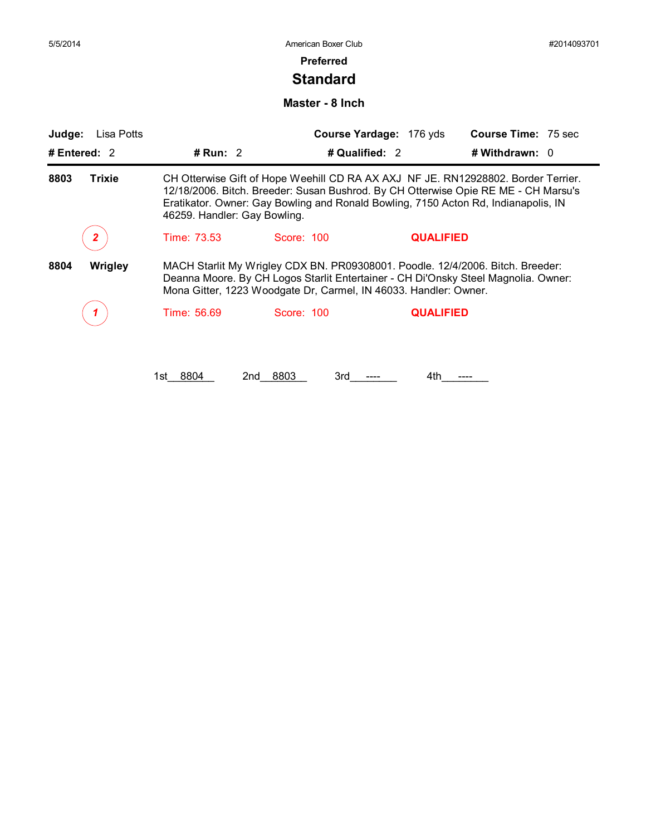#### **Preferred**

## **Standard**

#### **Master - 8 Inch**

| Judge:         | Lisa Potts    |                              | Course Yardage: 176 yds                                                                                                                                                                                                                                       |                  | <b>Course Time: 75 sec</b> |  |
|----------------|---------------|------------------------------|---------------------------------------------------------------------------------------------------------------------------------------------------------------------------------------------------------------------------------------------------------------|------------------|----------------------------|--|
| # Entered: $2$ |               | # Run: $2$                   | # Qualified: 2                                                                                                                                                                                                                                                |                  | # Withdrawn: 0             |  |
| 8803           | <b>Trixie</b> | 46259. Handler: Gay Bowling. | CH Otterwise Gift of Hope Weehill CD RA AX AXJ NF JE. RN12928802. Border Terrier.<br>12/18/2006. Bitch. Breeder: Susan Bushrod. By CH Otterwise Opie RE ME - CH Marsu's<br>Eratikator. Owner: Gay Bowling and Ronald Bowling, 7150 Acton Rd, Indianapolis, IN |                  |                            |  |
|                |               | Time: 73.53                  | Score: 100                                                                                                                                                                                                                                                    | <b>QUALIFIED</b> |                            |  |
| 8804           | Wrigley       |                              | MACH Starlit My Wrigley CDX BN. PR09308001. Poodle. 12/4/2006. Bitch. Breeder:<br>Deanna Moore. By CH Logos Starlit Entertainer - CH Di'Onsky Steel Magnolia. Owner:<br>Mona Gitter, 1223 Woodgate Dr, Carmel, IN 46033. Handler: Owner.                      |                  |                            |  |
|                |               | Time: 56.69                  | Score: 100                                                                                                                                                                                                                                                    | <b>QUALIFIED</b> |                            |  |

1st\_\_8804 2nd\_\_8803 3rd\_\_----\_ 4th\_\_---\_\_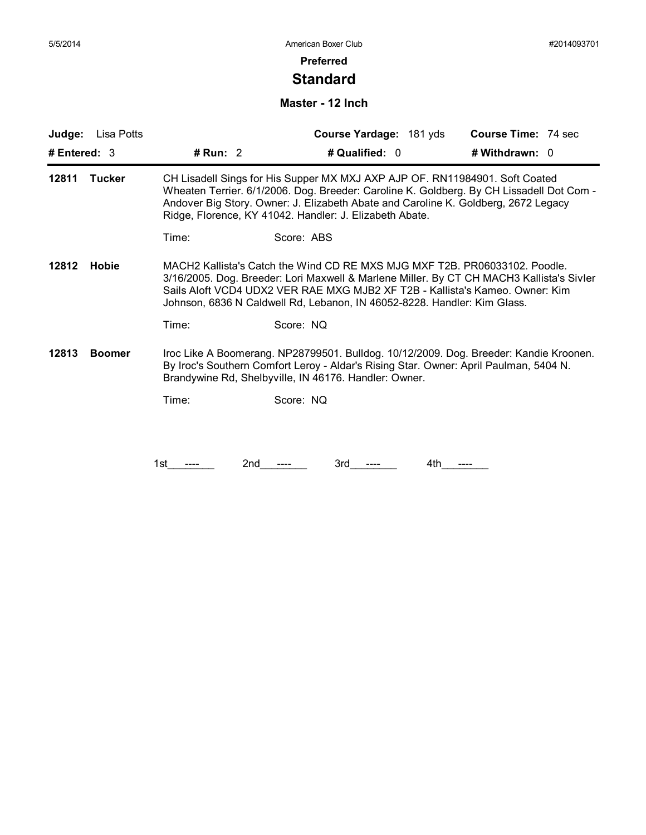### **Standard**

### **Master - 12 Inch**

| Judge:         | Lisa Potts    |            | Course Yardage: 181 yds                                                                                                                                                                                                                                                                                                            | <b>Course Time: 74 sec</b> |
|----------------|---------------|------------|------------------------------------------------------------------------------------------------------------------------------------------------------------------------------------------------------------------------------------------------------------------------------------------------------------------------------------|----------------------------|
| # Entered: $3$ |               | # Run: $2$ | # Qualified: 0                                                                                                                                                                                                                                                                                                                     | # Withdrawn: 0             |
| 12811          | <b>Tucker</b> |            | CH Lisadell Sings for His Supper MX MXJ AXP AJP OF. RN11984901. Soft Coated<br>Wheaten Terrier. 6/1/2006. Dog. Breeder: Caroline K. Goldberg. By CH Lissadell Dot Com -<br>Andover Big Story. Owner: J. Elizabeth Abate and Caroline K. Goldberg, 2672 Legacy<br>Ridge, Florence, KY 41042. Handler: J. Elizabeth Abate.           |                            |
|                |               | Time:      | Score: ABS                                                                                                                                                                                                                                                                                                                         |                            |
| 12812          | <b>Hobie</b>  |            | MACH2 Kallista's Catch the Wind CD RE MXS MJG MXF T2B. PR06033102. Poodle.<br>3/16/2005. Dog. Breeder: Lori Maxwell & Marlene Miller. By CT CH MACH3 Kallista's Sivler<br>Sails Aloft VCD4 UDX2 VER RAE MXG MJB2 XF T2B - Kallista's Kameo. Owner: Kim<br>Johnson, 6836 N Caldwell Rd, Lebanon, IN 46052-8228. Handler: Kim Glass. |                            |
|                |               | Time:      | Score: NQ                                                                                                                                                                                                                                                                                                                          |                            |
| 12813          | <b>Boomer</b> |            | Iroc Like A Boomerang. NP28799501. Bulldog. 10/12/2009. Dog. Breeder: Kandie Kroonen.<br>By Iroc's Southern Comfort Leroy - Aldar's Rising Star. Owner: April Paulman, 5404 N.<br>Brandywine Rd, Shelbyville, IN 46176. Handler: Owner.                                                                                            |                            |
|                |               | Time:      | Score: NQ                                                                                                                                                                                                                                                                                                                          |                            |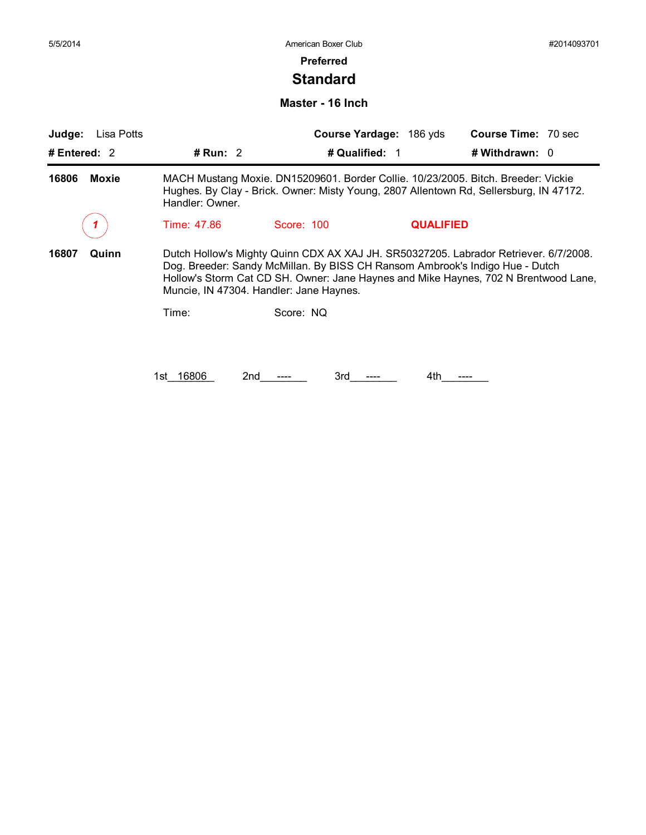### **Preferred**

### **Standard**

**Master - 16 Inch**

| Judge:<br>Lisa Potts  |                 |                                                                                                                         | Course Yardage: 186 yds | <b>Course Time: 70 sec</b>                                                                                                                                                  |
|-----------------------|-----------------|-------------------------------------------------------------------------------------------------------------------------|-------------------------|-----------------------------------------------------------------------------------------------------------------------------------------------------------------------------|
| # Entered: $2$        | # Run: $2$      | # Qualified: 1                                                                                                          |                         | # Withdrawn: 0                                                                                                                                                              |
| <b>Moxie</b><br>16806 | Handler: Owner. |                                                                                                                         |                         | MACH Mustang Moxie. DN15209601. Border Collie. 10/23/2005. Bitch. Breeder: Vickie<br>Hughes. By Clay - Brick. Owner: Misty Young, 2807 Allentown Rd, Sellersburg, IN 47172. |
|                       | Time: 47.86     | Score: 100                                                                                                              | <b>QUALIFIED</b>        |                                                                                                                                                                             |
| 16807<br>Quinn        |                 | Dog. Breeder: Sandy McMillan. By BISS CH Ransom Ambrook's Indigo Hue - Dutch<br>Muncie, IN 47304. Handler: Jane Haynes. |                         | Dutch Hollow's Mighty Quinn CDX AX XAJ JH. SR50327205. Labrador Retriever. 6/7/2008.<br>Hollow's Storm Cat CD SH. Owner: Jane Haynes and Mike Haynes, 702 N Brentwood Lane, |
|                       | Time:           | Score: NQ                                                                                                               |                         |                                                                                                                                                                             |
|                       |                 |                                                                                                                         |                         |                                                                                                                                                                             |
|                       | 16806<br>1st l  | 2nd<br>3rd                                                                                                              | 4th                     |                                                                                                                                                                             |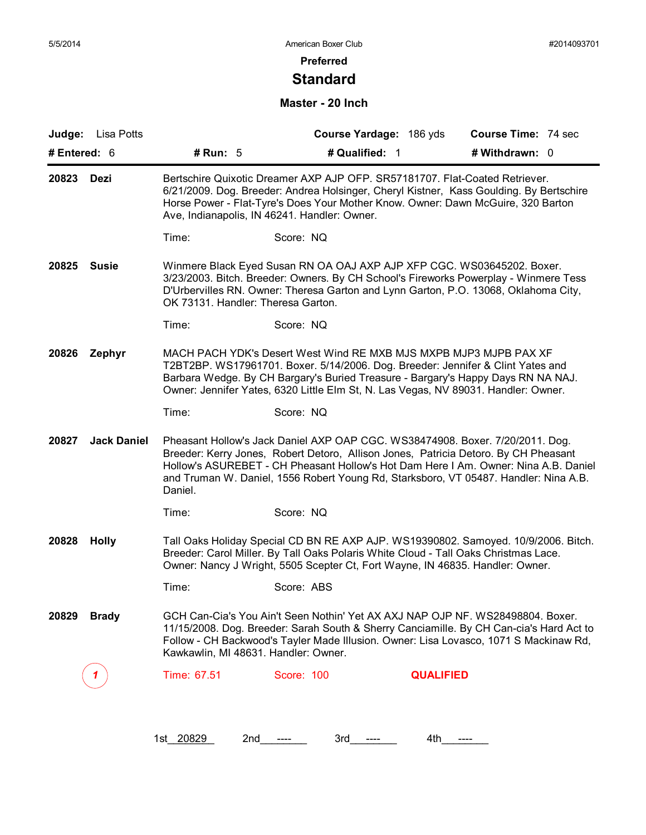## **Standard**

### **Master - 20 Inch**

| Judge:          | Lisa Potts         |                                                                                                                                                                                                                                                                                                            |                                                                                                                                                                                                                                            | Course Yardage: 186 yds | <b>Course Time: 74 sec</b>                                                                                                                                                                                                                                         |  |
|-----------------|--------------------|------------------------------------------------------------------------------------------------------------------------------------------------------------------------------------------------------------------------------------------------------------------------------------------------------------|--------------------------------------------------------------------------------------------------------------------------------------------------------------------------------------------------------------------------------------------|-------------------------|--------------------------------------------------------------------------------------------------------------------------------------------------------------------------------------------------------------------------------------------------------------------|--|
| # Entered: 6    |                    | # Run: 5<br># Qualified: 1<br># Withdrawn: 0                                                                                                                                                                                                                                                               |                                                                                                                                                                                                                                            |                         |                                                                                                                                                                                                                                                                    |  |
| 20823           | <b>Dezi</b>        | Bertschire Quixotic Dreamer AXP AJP OFP. SR57181707. Flat-Coated Retriever.<br>6/21/2009. Dog. Breeder: Andrea Holsinger, Cheryl Kistner, Kass Goulding. By Bertschire<br>Horse Power - Flat-Tyre's Does Your Mother Know. Owner: Dawn McGuire, 320 Barton<br>Ave, Indianapolis, IN 46241. Handler: Owner. |                                                                                                                                                                                                                                            |                         |                                                                                                                                                                                                                                                                    |  |
|                 |                    | Time:                                                                                                                                                                                                                                                                                                      | Score: NQ                                                                                                                                                                                                                                  |                         |                                                                                                                                                                                                                                                                    |  |
| 20825           | <b>Susie</b>       | OK 73131. Handler: Theresa Garton.                                                                                                                                                                                                                                                                         | Winmere Black Eyed Susan RN OA OAJ AXP AJP XFP CGC. WS03645202. Boxer.                                                                                                                                                                     |                         | 3/23/2003. Bitch. Breeder: Owners. By CH School's Fireworks Powerplay - Winmere Tess<br>D'Urbervilles RN. Owner: Theresa Garton and Lynn Garton, P.O. 13068, Oklahoma City,                                                                                        |  |
|                 |                    | Time:                                                                                                                                                                                                                                                                                                      | Score: NQ                                                                                                                                                                                                                                  |                         |                                                                                                                                                                                                                                                                    |  |
| 20826<br>Zephyr |                    |                                                                                                                                                                                                                                                                                                            | MACH PACH YDK's Desert West Wind RE MXB MJS MXPB MJP3 MJPB PAX XF<br>T2BT2BP. WS17961701. Boxer. 5/14/2006. Dog. Breeder: Jennifer & Clint Yates and<br>Owner: Jennifer Yates, 6320 Little Elm St, N. Las Vegas, NV 89031. Handler: Owner. |                         | Barbara Wedge. By CH Bargary's Buried Treasure - Bargary's Happy Days RN NA NAJ.                                                                                                                                                                                   |  |
|                 |                    | Time:                                                                                                                                                                                                                                                                                                      | Score: NQ                                                                                                                                                                                                                                  |                         |                                                                                                                                                                                                                                                                    |  |
| 20827           | <b>Jack Daniel</b> | Daniel.                                                                                                                                                                                                                                                                                                    | Pheasant Hollow's Jack Daniel AXP OAP CGC. WS38474908. Boxer. 7/20/2011. Dog.                                                                                                                                                              |                         | Breeder: Kerry Jones, Robert Detoro, Allison Jones, Patricia Detoro. By CH Pheasant<br>Hollow's ASUREBET - CH Pheasant Hollow's Hot Dam Here I Am. Owner: Nina A.B. Daniel<br>and Truman W. Daniel, 1556 Robert Young Rd, Starksboro, VT 05487. Handler: Nina A.B. |  |
|                 |                    | Time:                                                                                                                                                                                                                                                                                                      | Score: NQ                                                                                                                                                                                                                                  |                         |                                                                                                                                                                                                                                                                    |  |
| 20828           | <b>Holly</b>       |                                                                                                                                                                                                                                                                                                            | Breeder: Carol Miller. By Tall Oaks Polaris White Cloud - Tall Oaks Christmas Lace.<br>Owner: Nancy J Wright, 5505 Scepter Ct, Fort Wayne, IN 46835. Handler: Owner.                                                                       |                         | Tall Oaks Holiday Special CD BN RE AXP AJP. WS19390802. Samoyed. 10/9/2006. Bitch.                                                                                                                                                                                 |  |
|                 |                    | Time:                                                                                                                                                                                                                                                                                                      | Score: ABS                                                                                                                                                                                                                                 |                         |                                                                                                                                                                                                                                                                    |  |
| 20829           | <b>Brady</b>       |                                                                                                                                                                                                                                                                                                            | Kawkawlin, MI 48631. Handler: Owner.                                                                                                                                                                                                       |                         | GCH Can-Cia's You Ain't Seen Nothin' Yet AX AXJ NAP OJP NF. WS28498804. Boxer.<br>11/15/2008. Dog. Breeder: Sarah South & Sherry Canciamille. By CH Can-cia's Hard Act to<br>Follow - CH Backwood's Tayler Made Illusion. Owner: Lisa Lovasco, 1071 S Mackinaw Rd, |  |
|                 |                    | Time: 67.51                                                                                                                                                                                                                                                                                                | Score: 100                                                                                                                                                                                                                                 | <b>QUALIFIED</b>        |                                                                                                                                                                                                                                                                    |  |

1st\_20829 2nd\_\_\_\_\_\_ 3rd\_\_\_\_\_ 4th\_\_\_\_\_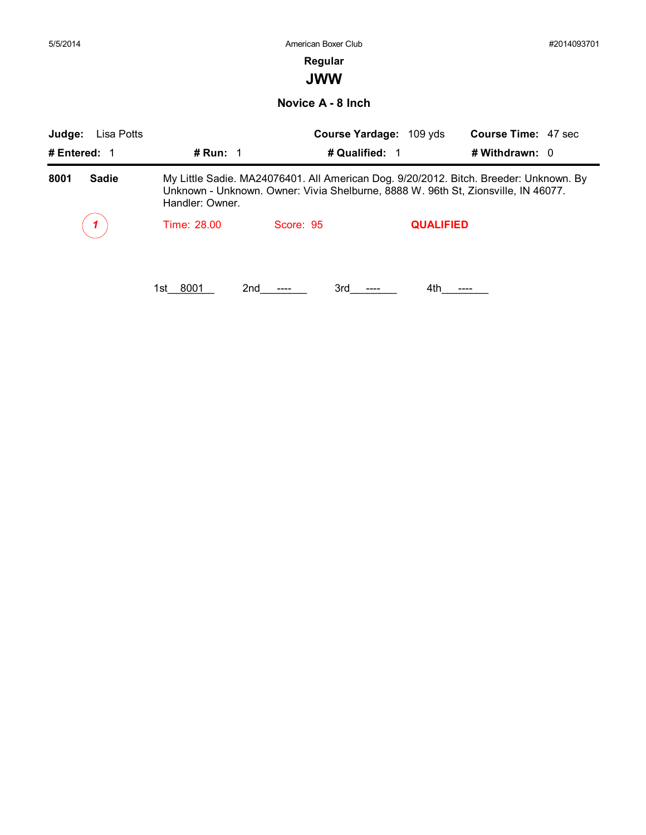| 5/5/2014             |                 | American Boxer Club                                                                                                                                                        |                         |                            | #2014093701 |
|----------------------|-----------------|----------------------------------------------------------------------------------------------------------------------------------------------------------------------------|-------------------------|----------------------------|-------------|
|                      |                 | Regular                                                                                                                                                                    |                         |                            |             |
|                      |                 | <b>JWW</b>                                                                                                                                                                 |                         |                            |             |
|                      |                 | Novice A - 8 Inch                                                                                                                                                          |                         |                            |             |
| Judge:<br>Lisa Potts |                 |                                                                                                                                                                            | Course Yardage: 109 yds | <b>Course Time: 47 sec</b> |             |
| # Entered: 1         | # Run: 1        | # Qualified: 1                                                                                                                                                             |                         | # Withdrawn: 0             |             |
| 8001<br><b>Sadie</b> | Handler: Owner. | My Little Sadie. MA24076401. All American Dog. 9/20/2012. Bitch. Breeder: Unknown. By<br>Unknown - Unknown. Owner: Vivia Shelburne, 8888 W. 96th St, Zionsville, IN 46077. |                         |                            |             |
|                      | Time: 28.00     | Score: 95                                                                                                                                                                  | <b>QUALIFIED</b>        |                            |             |
|                      |                 |                                                                                                                                                                            |                         |                            |             |
|                      |                 |                                                                                                                                                                            |                         |                            |             |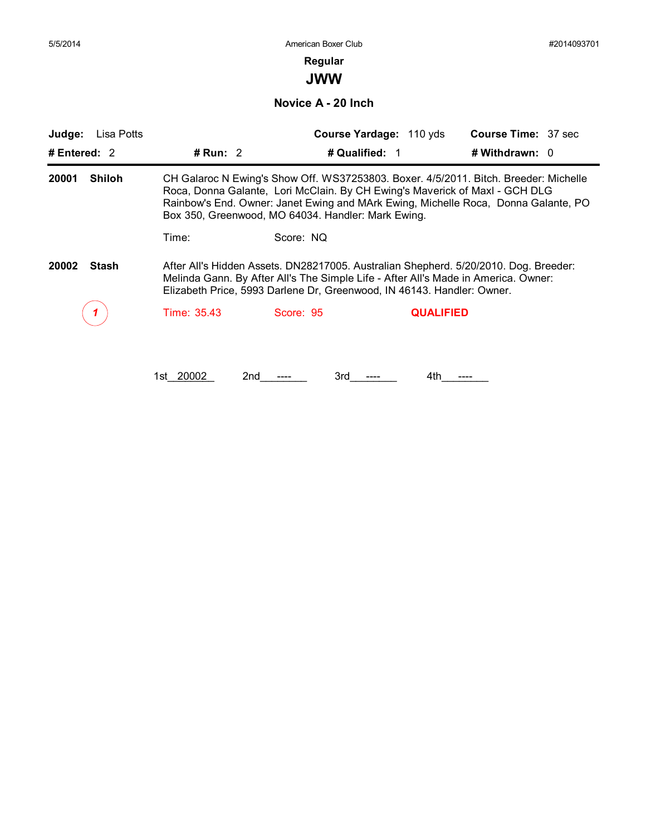# **Regular**

**JWW**

**Novice A - 20 Inch**

| Judge:                 | Lisa Potts |                                                                                                                                                                                                                                                      | Course Yardage: 110 yds                                                                                                           | <b>Course Time: 37 sec</b>                                                                                                                                                 |  |  |
|------------------------|------------|------------------------------------------------------------------------------------------------------------------------------------------------------------------------------------------------------------------------------------------------------|-----------------------------------------------------------------------------------------------------------------------------------|----------------------------------------------------------------------------------------------------------------------------------------------------------------------------|--|--|
| # Entered: $2$         |            | # Run: $2$                                                                                                                                                                                                                                           | # Qualified: 1                                                                                                                    | # Withdrawn: $0$                                                                                                                                                           |  |  |
| <b>Shiloh</b><br>20001 |            |                                                                                                                                                                                                                                                      | Roca, Donna Galante, Lori McClain. By CH Ewing's Maverick of Maxl - GCH DLG<br>Box 350, Greenwood, MO 64034. Handler: Mark Ewing. | CH Galaroc N Ewing's Show Off. WS37253803. Boxer. 4/5/2011. Bitch. Breeder: Michelle<br>Rainbow's End. Owner: Janet Ewing and MArk Ewing, Michelle Roca, Donna Galante, PO |  |  |
|                        |            | Time:                                                                                                                                                                                                                                                | Score: NQ                                                                                                                         |                                                                                                                                                                            |  |  |
| 20002                  | Stash      | After All's Hidden Assets. DN28217005. Australian Shepherd. 5/20/2010. Dog. Breeder:<br>Melinda Gann. By After All's The Simple Life - After All's Made in America. Owner:<br>Elizabeth Price, 5993 Darlene Dr, Greenwood, IN 46143. Handler: Owner. |                                                                                                                                   |                                                                                                                                                                            |  |  |
|                        |            | Time: 35.43                                                                                                                                                                                                                                          | Score: 95                                                                                                                         | <b>QUALIFIED</b>                                                                                                                                                           |  |  |

1st\_20002 2nd\_\_\_\_\_\_ 3rd\_\_\_\_\_\_ 4th\_\_\_\_\_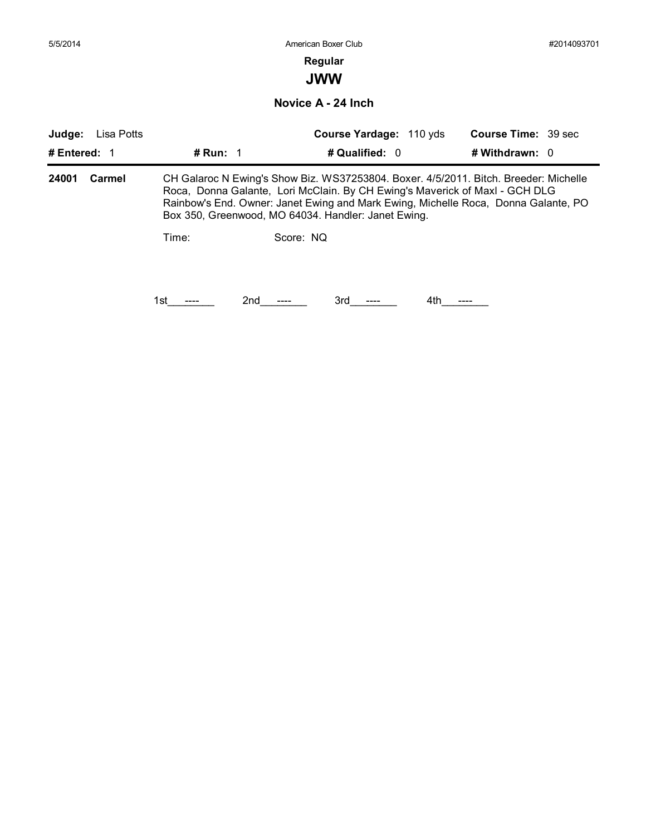# **Regular**

**JWW**

**Novice A - 24 Inch**

| Judge:       | Lisa Potts |                   |                                                     | Course Yardage: 110 yds |     | <b>Course Time: 39 sec</b>                                                                                                                                                                                                                                |  |
|--------------|------------|-------------------|-----------------------------------------------------|-------------------------|-----|-----------------------------------------------------------------------------------------------------------------------------------------------------------------------------------------------------------------------------------------------------------|--|
| # Entered: 1 |            | # Run: $\sqrt{1}$ |                                                     | # Qualified: 0          |     | # Withdrawn: $0$                                                                                                                                                                                                                                          |  |
| 24001        | Carmel     |                   | Box 350, Greenwood, MO 64034. Handler: Janet Ewing. |                         |     | CH Galaroc N Ewing's Show Biz. WS37253804. Boxer. 4/5/2011. Bitch. Breeder: Michelle<br>Roca, Donna Galante, Lori McClain. By CH Ewing's Maverick of Maxl - GCH DLG<br>Rainbow's End. Owner: Janet Ewing and Mark Ewing, Michelle Roca, Donna Galante, PO |  |
|              |            | Time:             | Score: NO                                           |                         |     |                                                                                                                                                                                                                                                           |  |
|              |            | 1st               | 2nd                                                 | 3rd                     | 4th |                                                                                                                                                                                                                                                           |  |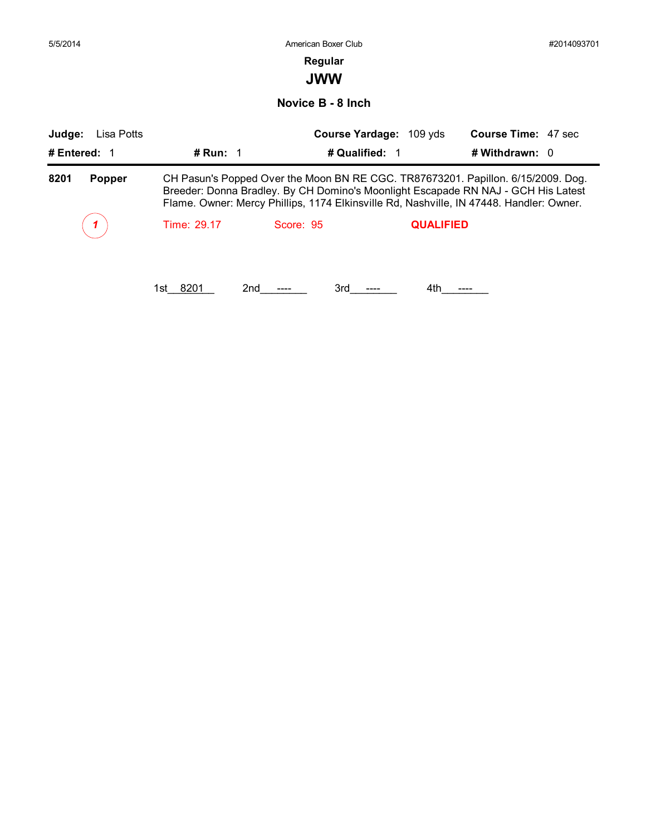| 5/5/2014              |                      | American Boxer Club                                                                                                                                                                                                                                              | #2014093701                |
|-----------------------|----------------------|------------------------------------------------------------------------------------------------------------------------------------------------------------------------------------------------------------------------------------------------------------------|----------------------------|
|                       |                      | Regular<br><b>JWW</b>                                                                                                                                                                                                                                            |                            |
|                       |                      | Novice B - 8 Inch                                                                                                                                                                                                                                                |                            |
| Judge:<br>Lisa Potts  |                      | Course Yardage: 109 yds                                                                                                                                                                                                                                          | <b>Course Time: 47 sec</b> |
| # Entered: 1          | # Run: $1$           | # Qualified: 1                                                                                                                                                                                                                                                   | # Withdrawn: 0             |
| 8201<br><b>Popper</b> |                      | CH Pasun's Popped Over the Moon BN RE CGC. TR87673201. Papillon. 6/15/2009. Dog.<br>Breeder: Donna Bradley. By CH Domino's Moonlight Escapade RN NAJ - GCH His Latest<br>Flame. Owner: Mercy Phillips, 1174 Elkinsville Rd, Nashville, IN 47448. Handler: Owner. |                            |
|                       | Time: 29.17          | Score: 95<br><b>QUALIFIED</b>                                                                                                                                                                                                                                    |                            |
|                       | 8201<br>2nd<br>1st - | 3rd<br>4th                                                                                                                                                                                                                                                       |                            |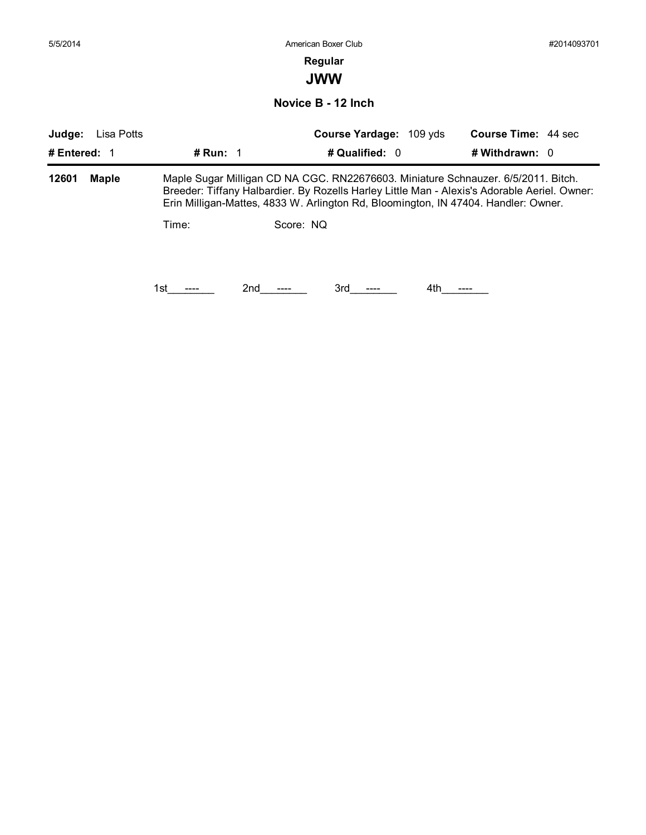| 5/5/2014     |              |            | American Boxer Club                                                                                                                                                                                                                                                     | #2014093701                |
|--------------|--------------|------------|-------------------------------------------------------------------------------------------------------------------------------------------------------------------------------------------------------------------------------------------------------------------------|----------------------------|
|              |              |            | Regular                                                                                                                                                                                                                                                                 |                            |
|              |              |            | <b>JWW</b>                                                                                                                                                                                                                                                              |                            |
|              |              |            | Novice B - 12 Inch                                                                                                                                                                                                                                                      |                            |
| Judge:       | Lisa Potts   |            | Course Yardage: 109 yds                                                                                                                                                                                                                                                 | <b>Course Time: 44 sec</b> |
| # Entered: 1 |              | # Run: $1$ | # Qualified: 0                                                                                                                                                                                                                                                          | # Withdrawn: 0             |
| 12601        | <b>Maple</b> |            | Maple Sugar Milligan CD NA CGC. RN22676603. Miniature Schnauzer. 6/5/2011. Bitch.<br>Breeder: Tiffany Halbardier. By Rozells Harley Little Man - Alexis's Adorable Aeriel. Owner:<br>Erin Milligan-Mattes, 4833 W. Arlington Rd, Bloomington, IN 47404. Handler: Owner. |                            |
|              |              | Time:      | Score: NQ                                                                                                                                                                                                                                                               |                            |
|              |              |            |                                                                                                                                                                                                                                                                         |                            |
|              |              |            | 2nd<br>3rd                                                                                                                                                                                                                                                              | 4th                        |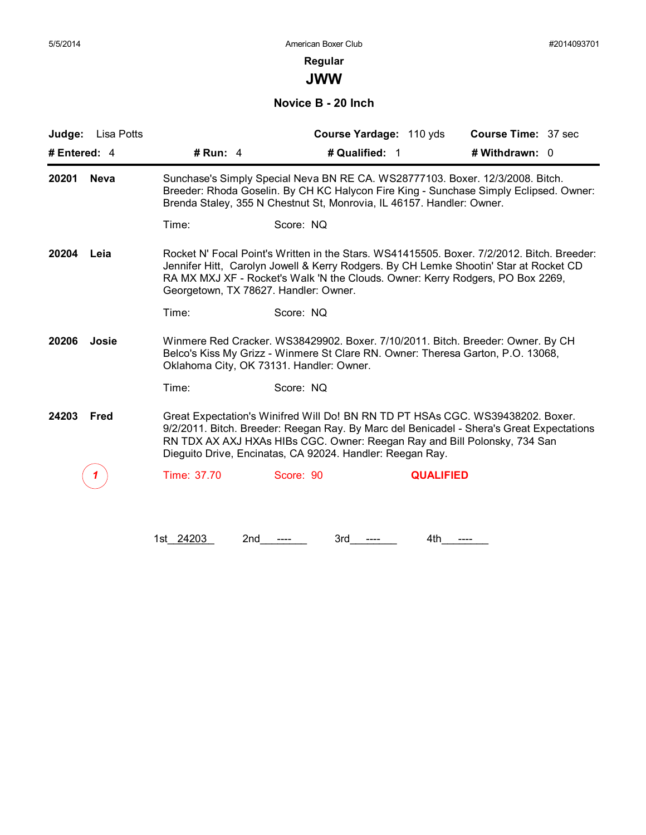**JWW**

**Novice B - 20 Inch**

| # Run: $4$  | # Qualified: 1                | # Withdrawn: 0                                                                                                                                                                                                                                                                                                                                                                                                                                                                                                                                                                                                                                                                                                                                                                                                                                                                                                                                                                                                                                                                                              |
|-------------|-------------------------------|-------------------------------------------------------------------------------------------------------------------------------------------------------------------------------------------------------------------------------------------------------------------------------------------------------------------------------------------------------------------------------------------------------------------------------------------------------------------------------------------------------------------------------------------------------------------------------------------------------------------------------------------------------------------------------------------------------------------------------------------------------------------------------------------------------------------------------------------------------------------------------------------------------------------------------------------------------------------------------------------------------------------------------------------------------------------------------------------------------------|
|             |                               |                                                                                                                                                                                                                                                                                                                                                                                                                                                                                                                                                                                                                                                                                                                                                                                                                                                                                                                                                                                                                                                                                                             |
| Time:       | Score: NQ                     |                                                                                                                                                                                                                                                                                                                                                                                                                                                                                                                                                                                                                                                                                                                                                                                                                                                                                                                                                                                                                                                                                                             |
|             |                               |                                                                                                                                                                                                                                                                                                                                                                                                                                                                                                                                                                                                                                                                                                                                                                                                                                                                                                                                                                                                                                                                                                             |
| Time:       | Score: NQ                     |                                                                                                                                                                                                                                                                                                                                                                                                                                                                                                                                                                                                                                                                                                                                                                                                                                                                                                                                                                                                                                                                                                             |
|             |                               |                                                                                                                                                                                                                                                                                                                                                                                                                                                                                                                                                                                                                                                                                                                                                                                                                                                                                                                                                                                                                                                                                                             |
| Time:       | Score: NQ                     |                                                                                                                                                                                                                                                                                                                                                                                                                                                                                                                                                                                                                                                                                                                                                                                                                                                                                                                                                                                                                                                                                                             |
|             |                               |                                                                                                                                                                                                                                                                                                                                                                                                                                                                                                                                                                                                                                                                                                                                                                                                                                                                                                                                                                                                                                                                                                             |
| Time: 37.70 | Score: 90<br><b>QUALIFIED</b> |                                                                                                                                                                                                                                                                                                                                                                                                                                                                                                                                                                                                                                                                                                                                                                                                                                                                                                                                                                                                                                                                                                             |
|             |                               | Sunchase's Simply Special Neva BN RE CA. WS28777103. Boxer. 12/3/2008. Bitch.<br>Breeder: Rhoda Goselin. By CH KC Halycon Fire King - Sunchase Simply Eclipsed. Owner:<br>Brenda Staley, 355 N Chestnut St, Monrovia, IL 46157. Handler: Owner.<br>Rocket N' Focal Point's Written in the Stars. WS41415505. Boxer. 7/2/2012. Bitch. Breeder:<br>Jennifer Hitt, Carolyn Jowell & Kerry Rodgers. By CH Lemke Shootin' Star at Rocket CD<br>RA MX MXJ XF - Rocket's Walk 'N the Clouds. Owner: Kerry Rodgers, PO Box 2269,<br>Georgetown, TX 78627. Handler: Owner.<br>Winmere Red Cracker. WS38429902. Boxer. 7/10/2011. Bitch. Breeder: Owner. By CH<br>Belco's Kiss My Grizz - Winmere St Clare RN. Owner: Theresa Garton, P.O. 13068,<br>Oklahoma City, OK 73131. Handler: Owner.<br>Great Expectation's Winifred Will Do! BN RN TD PT HSAs CGC. WS39438202. Boxer.<br>9/2/2011. Bitch. Breeder: Reegan Ray. By Marc del Benicadel - Shera's Great Expectations<br>RN TDX AX AXJ HXAs HIBs CGC. Owner: Reegan Ray and Bill Polonsky, 734 San<br>Dieguito Drive, Encinatas, CA 92024. Handler: Reegan Ray. |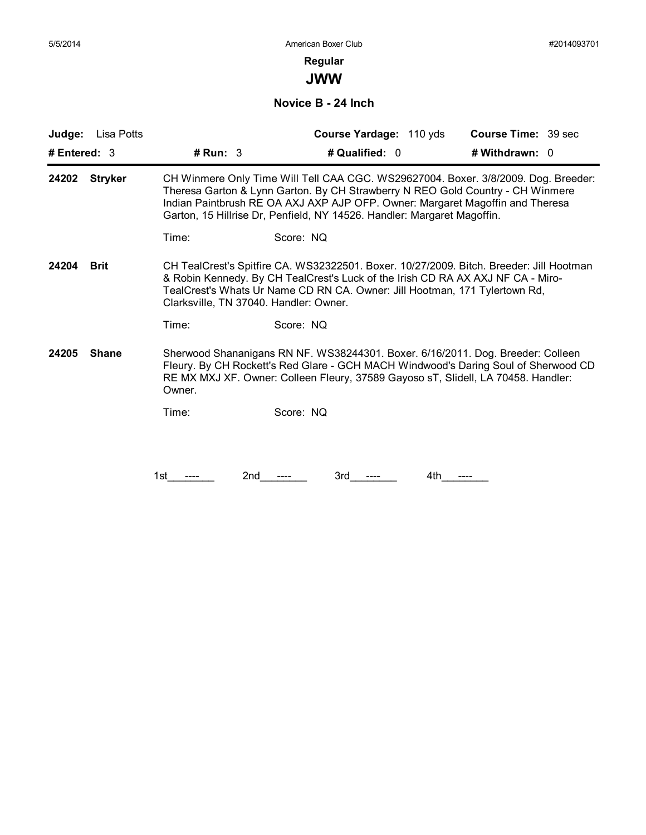**JWW**

**Novice B - 24 Inch**

| Judge:<br>Lisa Potts    |                                                                                                                                                                                                                                                                                                                                  | Course Yardage: 110 yds                                                                                                                                                                                                                                                                            | <b>Course Time: 39 sec</b> |  |  |
|-------------------------|----------------------------------------------------------------------------------------------------------------------------------------------------------------------------------------------------------------------------------------------------------------------------------------------------------------------------------|----------------------------------------------------------------------------------------------------------------------------------------------------------------------------------------------------------------------------------------------------------------------------------------------------|----------------------------|--|--|
| # Entered: $3$          | # Run: $3$                                                                                                                                                                                                                                                                                                                       | # Qualified: 0                                                                                                                                                                                                                                                                                     | # Withdrawn: 0             |  |  |
| <b>Stryker</b><br>24202 | CH Winmere Only Time Will Tell CAA CGC. WS29627004. Boxer. 3/8/2009. Dog. Breeder:<br>Theresa Garton & Lynn Garton. By CH Strawberry N REO Gold Country - CH Winmere<br>Indian Paintbrush RE OA AXJ AXP AJP OFP. Owner: Margaret Magoffin and Theresa<br>Garton, 15 Hillrise Dr, Penfield, NY 14526. Handler: Margaret Magoffin. |                                                                                                                                                                                                                                                                                                    |                            |  |  |
|                         | Time:                                                                                                                                                                                                                                                                                                                            | Score: NQ                                                                                                                                                                                                                                                                                          |                            |  |  |
| 24204<br><b>Brit</b>    |                                                                                                                                                                                                                                                                                                                                  | CH TealCrest's Spitfire CA. WS32322501. Boxer. 10/27/2009. Bitch. Breeder: Jill Hootman<br>& Robin Kennedy. By CH TealCrest's Luck of the Irish CD RA AX AXJ NF CA - Miro-<br>TealCrest's Whats Ur Name CD RN CA. Owner: Jill Hootman, 171 Tylertown Rd,<br>Clarksville, TN 37040. Handler: Owner. |                            |  |  |
|                         | Time:                                                                                                                                                                                                                                                                                                                            | Score: NQ                                                                                                                                                                                                                                                                                          |                            |  |  |
| 24205<br><b>Shane</b>   | Owner.                                                                                                                                                                                                                                                                                                                           | Sherwood Shananigans RN NF. WS38244301. Boxer. 6/16/2011. Dog. Breeder: Colleen<br>Fleury. By CH Rockett's Red Glare - GCH MACH Windwood's Daring Soul of Sherwood CD<br>RE MX MXJ XF. Owner: Colleen Fleury, 37589 Gayoso sT, Slidell, LA 70458. Handler:                                         |                            |  |  |
|                         | Time:                                                                                                                                                                                                                                                                                                                            | Score: NQ                                                                                                                                                                                                                                                                                          |                            |  |  |
|                         |                                                                                                                                                                                                                                                                                                                                  |                                                                                                                                                                                                                                                                                                    |                            |  |  |
|                         | 2nd<br>1st                                                                                                                                                                                                                                                                                                                       | 3rd<br>4th                                                                                                                                                                                                                                                                                         |                            |  |  |
|                         |                                                                                                                                                                                                                                                                                                                                  |                                                                                                                                                                                                                                                                                                    |                            |  |  |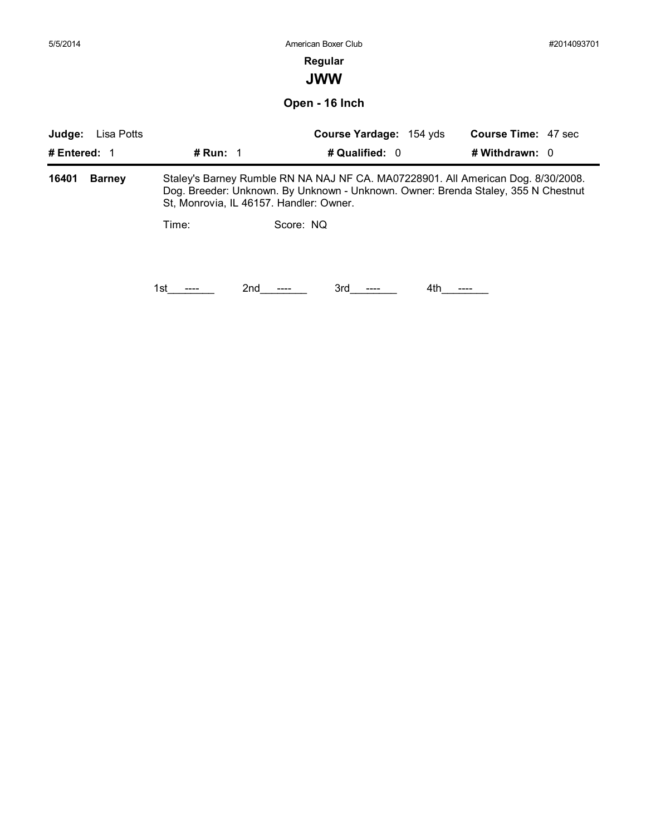| <b>Course Time: 47 sec</b>                                                                                                                                            |
|-----------------------------------------------------------------------------------------------------------------------------------------------------------------------|
| # Withdrawn: 0                                                                                                                                                        |
| Staley's Barney Rumble RN NA NAJ NF CA. MA07228901. All American Dog. 8/30/2008.<br>Dog. Breeder: Unknown. By Unknown - Unknown. Owner: Brenda Staley, 355 N Chestnut |
|                                                                                                                                                                       |
|                                                                                                                                                                       |
|                                                                                                                                                                       |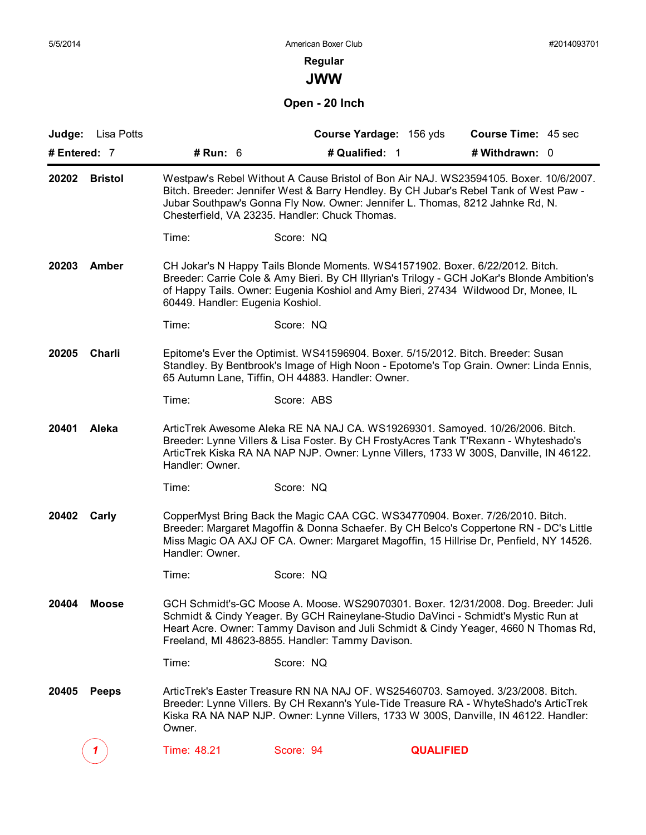**JWW**

**Open - 20 Inch**

| Judge:       | Lisa Potts     |                                                                                                                                                                                                                                                                                                                   | Course Yardage: 156 yds                                                                                                                                                                                                                                                                                             |                  | Course Time: 45 sec |  |
|--------------|----------------|-------------------------------------------------------------------------------------------------------------------------------------------------------------------------------------------------------------------------------------------------------------------------------------------------------------------|---------------------------------------------------------------------------------------------------------------------------------------------------------------------------------------------------------------------------------------------------------------------------------------------------------------------|------------------|---------------------|--|
| # Entered: 7 |                | # Run: $6$                                                                                                                                                                                                                                                                                                        | # Qualified: 1                                                                                                                                                                                                                                                                                                      |                  | # Withdrawn: 0      |  |
| 20202        | <b>Bristol</b> | Westpaw's Rebel Without A Cause Bristol of Bon Air NAJ. WS23594105. Boxer. 10/6/2007.<br>Bitch. Breeder: Jennifer West & Barry Hendley. By CH Jubar's Rebel Tank of West Paw -<br>Jubar Southpaw's Gonna Fly Now. Owner: Jennifer L. Thomas, 8212 Jahnke Rd, N.<br>Chesterfield, VA 23235. Handler: Chuck Thomas. |                                                                                                                                                                                                                                                                                                                     |                  |                     |  |
|              |                | Time:                                                                                                                                                                                                                                                                                                             | Score: NQ                                                                                                                                                                                                                                                                                                           |                  |                     |  |
| 20203        | Amber          | 60449. Handler: Eugenia Koshiol.                                                                                                                                                                                                                                                                                  | CH Jokar's N Happy Tails Blonde Moments. WS41571902. Boxer. 6/22/2012. Bitch.<br>Breeder: Carrie Cole & Amy Bieri. By CH Illyrian's Trilogy - GCH JoKar's Blonde Ambition's<br>of Happy Tails. Owner: Eugenia Koshiol and Amy Bieri, 27434 Wildwood Dr, Monee, IL                                                   |                  |                     |  |
|              |                | Time:                                                                                                                                                                                                                                                                                                             | Score: NQ                                                                                                                                                                                                                                                                                                           |                  |                     |  |
| 20205        | Charli         |                                                                                                                                                                                                                                                                                                                   | Epitome's Ever the Optimist. WS41596904. Boxer. 5/15/2012. Bitch. Breeder: Susan<br>Standley. By Bentbrook's Image of High Noon - Epotome's Top Grain. Owner: Linda Ennis,<br>65 Autumn Lane, Tiffin, OH 44883. Handler: Owner.                                                                                     |                  |                     |  |
|              |                | Time:                                                                                                                                                                                                                                                                                                             | Score: ABS                                                                                                                                                                                                                                                                                                          |                  |                     |  |
| 20401        | Aleka          | Handler: Owner.                                                                                                                                                                                                                                                                                                   | ArticTrek Awesome Aleka RE NA NAJ CA. WS19269301. Samoyed. 10/26/2006. Bitch.<br>Breeder: Lynne Villers & Lisa Foster. By CH FrostyAcres Tank T'Rexann - Whyteshado's<br>ArticTrek Kiska RA NA NAP NJP. Owner: Lynne Villers, 1733 W 300S, Danville, IN 46122.                                                      |                  |                     |  |
|              |                | Time:                                                                                                                                                                                                                                                                                                             | Score: NQ                                                                                                                                                                                                                                                                                                           |                  |                     |  |
| 20402        | Carly          | Handler: Owner.                                                                                                                                                                                                                                                                                                   | CopperMyst Bring Back the Magic CAA CGC. WS34770904. Boxer. 7/26/2010. Bitch.<br>Breeder: Margaret Magoffin & Donna Schaefer. By CH Belco's Coppertone RN - DC's Little<br>Miss Magic OA AXJ OF CA. Owner: Margaret Magoffin, 15 Hillrise Dr, Penfield, NY 14526.                                                   |                  |                     |  |
|              |                | Time:                                                                                                                                                                                                                                                                                                             | Score: NQ                                                                                                                                                                                                                                                                                                           |                  |                     |  |
| 20404        | <b>Moose</b>   |                                                                                                                                                                                                                                                                                                                   | GCH Schmidt's-GC Moose A. Moose. WS29070301. Boxer. 12/31/2008. Dog. Breeder: Juli<br>Schmidt & Cindy Yeager. By GCH Raineylane-Studio DaVinci - Schmidt's Mystic Run at<br>Heart Acre. Owner: Tammy Davison and Juli Schmidt & Cindy Yeager, 4660 N Thomas Rd,<br>Freeland, MI 48623-8855. Handler: Tammy Davison. |                  |                     |  |
|              |                | Time:                                                                                                                                                                                                                                                                                                             | Score: NQ                                                                                                                                                                                                                                                                                                           |                  |                     |  |
| 20405        | <b>Peeps</b>   | Owner.                                                                                                                                                                                                                                                                                                            | ArticTrek's Easter Treasure RN NA NAJ OF. WS25460703. Samoyed. 3/23/2008. Bitch.<br>Breeder: Lynne Villers. By CH Rexann's Yule-Tide Treasure RA - WhyteShado's ArticTrek<br>Kiska RA NA NAP NJP. Owner: Lynne Villers, 1733 W 300S, Danville, IN 46122. Handler:                                                   |                  |                     |  |
|              |                | Time: 48.21                                                                                                                                                                                                                                                                                                       | Score: 94                                                                                                                                                                                                                                                                                                           | <b>QUALIFIED</b> |                     |  |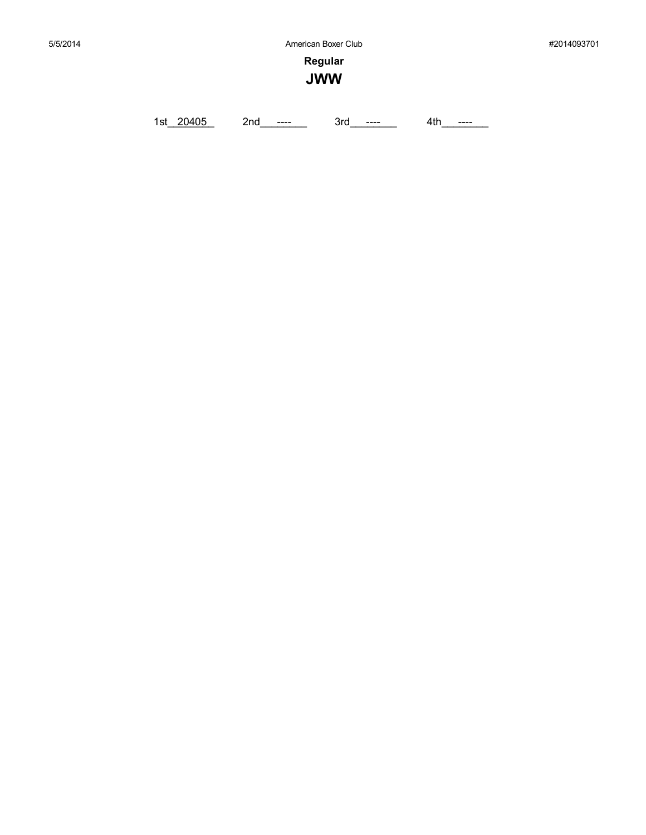**Regular JWW**

1st\_20405 2nd\_\_\_\_\_\_ 3rd\_\_\_\_\_ 4th\_\_\_\_\_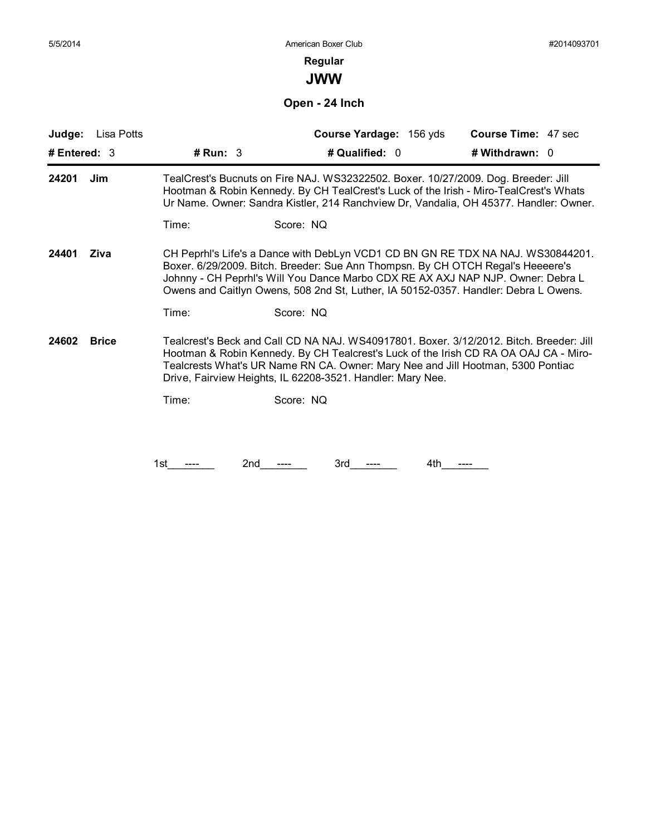# **Regular**

**JWW**

**Open - 24 Inch**

| Judge:<br>Lisa Potts  |            | Course Yardage: 156 yds                                                                                                                                                                                                                                                                                                                      | Course Time: 47 sec |
|-----------------------|------------|----------------------------------------------------------------------------------------------------------------------------------------------------------------------------------------------------------------------------------------------------------------------------------------------------------------------------------------------|---------------------|
| # Entered: $3$        | # $Run: 3$ | # Qualified: 0                                                                                                                                                                                                                                                                                                                               | # Withdrawn: 0      |
| 24201<br>Jim          |            | TealCrest's Bucnuts on Fire NAJ. WS32322502. Boxer. 10/27/2009. Dog. Breeder: Jill<br>Hootman & Robin Kennedy. By CH TealCrest's Luck of the Irish - Miro-TealCrest's Whats<br>Ur Name. Owner: Sandra Kistler, 214 Ranchview Dr, Vandalia, OH 45377. Handler: Owner.                                                                         |                     |
|                       | Time:      | Score: NQ                                                                                                                                                                                                                                                                                                                                    |                     |
| 24401<br>Ziva         |            | CH Peprhl's Life's a Dance with DebLyn VCD1 CD BN GN RE TDX NA NAJ. WS30844201.<br>Boxer. 6/29/2009. Bitch. Breeder: Sue Ann Thompsn. By CH OTCH Regal's Heeeere's<br>Johnny - CH Peprhl's Will You Dance Marbo CDX RE AX AXJ NAP NJP. Owner: Debra L<br>Owens and Caitlyn Owens, 508 2nd St, Luther, IA 50152-0357. Handler: Debra L Owens. |                     |
|                       | Time:      | Score: NQ                                                                                                                                                                                                                                                                                                                                    |                     |
| 24602<br><b>Brice</b> |            | Tealcrest's Beck and Call CD NA NAJ. WS40917801. Boxer. 3/12/2012. Bitch. Breeder: Jill<br>Hootman & Robin Kennedy. By CH Tealcrest's Luck of the Irish CD RA OA OAJ CA - Miro-<br>Tealcrests What's UR Name RN CA. Owner: Mary Nee and Jill Hootman, 5300 Pontiac<br>Drive, Fairview Heights, IL 62208-3521. Handler: Mary Nee.             |                     |
|                       | Time:      | Score: NQ                                                                                                                                                                                                                                                                                                                                    |                     |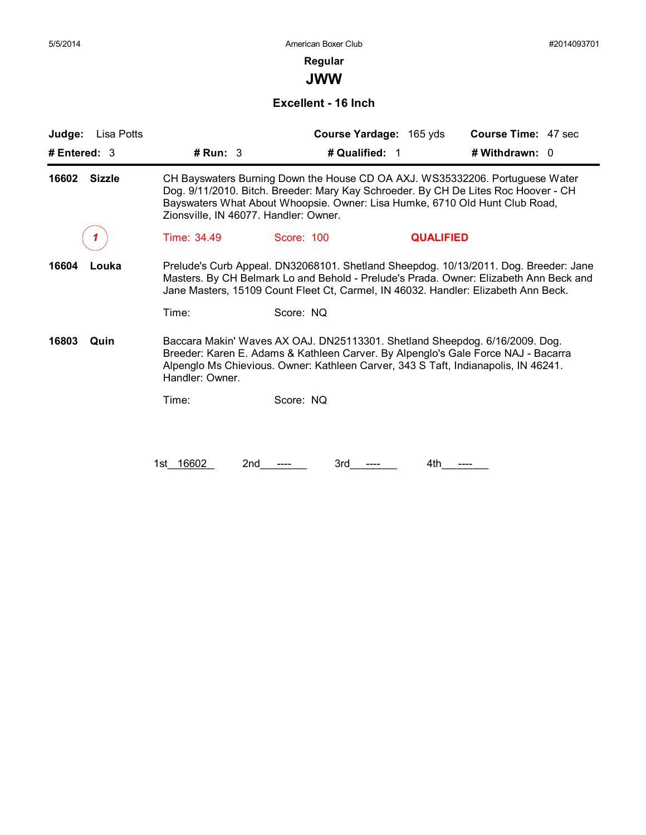# **Regular**

**JWW**

### **Excellent - 16 Inch**

| Judge:<br>Lisa Potts   |                                                                                                                                                                                                                                                                                            |                                                                                                                                                                   | Course Yardage: 165 yds | <b>Course Time: 47 sec</b>                                                        |  |  |
|------------------------|--------------------------------------------------------------------------------------------------------------------------------------------------------------------------------------------------------------------------------------------------------------------------------------------|-------------------------------------------------------------------------------------------------------------------------------------------------------------------|-------------------------|-----------------------------------------------------------------------------------|--|--|
| # Entered: $3$         | # Run: 3                                                                                                                                                                                                                                                                                   | # Qualified: 1                                                                                                                                                    |                         | # Withdrawn: $0$                                                                  |  |  |
| <b>Sizzle</b><br>16602 | CH Bayswaters Burning Down the House CD OA AXJ. WS35332206. Portuguese Water<br>Dog. 9/11/2010. Bitch. Breeder: Mary Kay Schroeder. By CH De Lites Roc Hoover - CH<br>Bayswaters What About Whoopsie. Owner: Lisa Humke, 6710 Old Hunt Club Road,<br>Zionsville, IN 46077. Handler: Owner. |                                                                                                                                                                   |                         |                                                                                   |  |  |
|                        | Time: 34.49                                                                                                                                                                                                                                                                                | Score: 100                                                                                                                                                        | <b>QUALIFIED</b>        |                                                                                   |  |  |
| 16604<br>Louka         | Prelude's Curb Appeal. DN32068101. Shetland Sheepdog. 10/13/2011. Dog. Breeder: Jane<br>Masters. By CH Belmark Lo and Behold - Prelude's Prada. Owner: Elizabeth Ann Beck and<br>Jane Masters, 15109 Count Fleet Ct, Carmel, IN 46032. Handler: Elizabeth Ann Beck.                        |                                                                                                                                                                   |                         |                                                                                   |  |  |
|                        | Time:                                                                                                                                                                                                                                                                                      | Score: NQ                                                                                                                                                         |                         |                                                                                   |  |  |
| 16803<br>Quin          | Handler: Owner.                                                                                                                                                                                                                                                                            | Baccara Makin' Waves AX OAJ. DN25113301. Shetland Sheepdog. 6/16/2009. Dog.<br>Alpenglo Ms Chievious. Owner: Kathleen Carver, 343 S Taft, Indianapolis, IN 46241. |                         | Breeder: Karen E. Adams & Kathleen Carver. By Alpenglo's Gale Force NAJ - Bacarra |  |  |
|                        | Time:                                                                                                                                                                                                                                                                                      | Score: NQ                                                                                                                                                         |                         |                                                                                   |  |  |
|                        |                                                                                                                                                                                                                                                                                            |                                                                                                                                                                   |                         |                                                                                   |  |  |
|                        | 1st 16602<br>2nd                                                                                                                                                                                                                                                                           | 3rd                                                                                                                                                               | 4th                     |                                                                                   |  |  |
|                        |                                                                                                                                                                                                                                                                                            |                                                                                                                                                                   |                         |                                                                                   |  |  |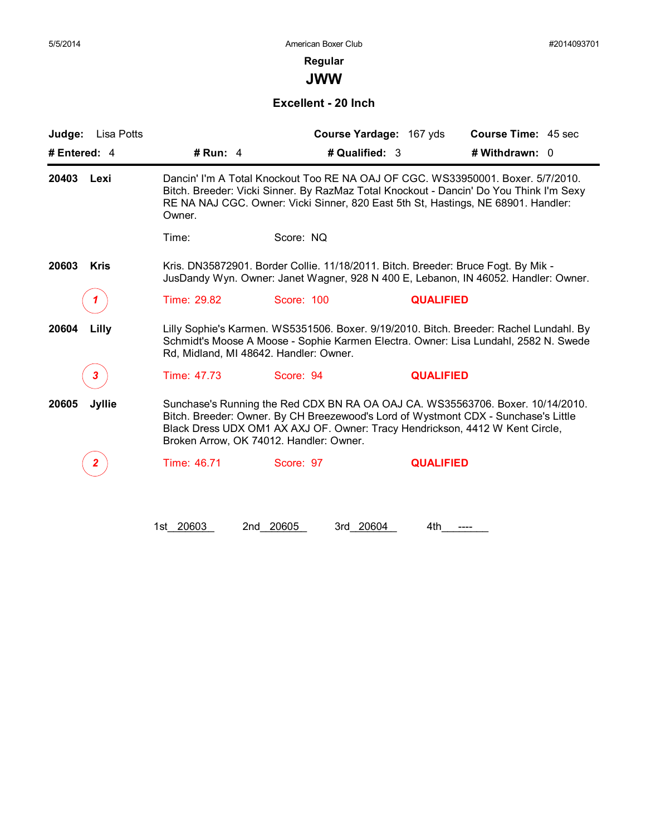# **Regular**

**JWW**

### **Excellent - 20 Inch**

| Judge:<br>Lisa Potts   |                                                                                                                                                                                                                                                                                                 |                                                                                   | Course Yardage: 167 yds | <b>Course Time: 45 sec</b>                                                                                                                                                    |  |
|------------------------|-------------------------------------------------------------------------------------------------------------------------------------------------------------------------------------------------------------------------------------------------------------------------------------------------|-----------------------------------------------------------------------------------|-------------------------|-------------------------------------------------------------------------------------------------------------------------------------------------------------------------------|--|
| # Entered: $4$         | # Run: $4$                                                                                                                                                                                                                                                                                      | # Qualified: 3                                                                    |                         | # Withdrawn: 0                                                                                                                                                                |  |
| 20403 Lexi             | Dancin' I'm A Total Knockout Too RE NA OAJ OF CGC. WS33950001. Boxer. 5/7/2010.<br>Bitch. Breeder: Vicki Sinner. By RazMaz Total Knockout - Dancin' Do You Think I'm Sexy<br>RE NA NAJ CGC. Owner: Vicki Sinner, 820 East 5th St, Hastings, NE 68901. Handler:<br>Owner.                        |                                                                                   |                         |                                                                                                                                                                               |  |
|                        | Time:                                                                                                                                                                                                                                                                                           | Score: NQ                                                                         |                         |                                                                                                                                                                               |  |
| 20603<br><b>Kris</b>   |                                                                                                                                                                                                                                                                                                 | Kris. DN35872901. Border Collie. 11/18/2011. Bitch. Breeder: Bruce Fogt. By Mik - |                         | JusDandy Wyn. Owner: Janet Wagner, 928 N 400 E, Lebanon, IN 46052. Handler: Owner.                                                                                            |  |
| 1                      | Time: 29.82                                                                                                                                                                                                                                                                                     | Score: 100                                                                        | <b>QUALIFIED</b>        |                                                                                                                                                                               |  |
| 20604<br>Lilly         |                                                                                                                                                                                                                                                                                                 | Rd, Midland, MI 48642. Handler: Owner.                                            |                         | Lilly Sophie's Karmen. WS5351506. Boxer. 9/19/2010. Bitch. Breeder: Rachel Lundahl. By<br>Schmidt's Moose A Moose - Sophie Karmen Electra. Owner: Lisa Lundahl, 2582 N. Swede |  |
| 3                      | Time: 47.73                                                                                                                                                                                                                                                                                     | Score: 94                                                                         | <b>QUALIFIED</b>        |                                                                                                                                                                               |  |
| 20605<br><b>Jyllie</b> | Sunchase's Running the Red CDX BN RA OA OAJ CA. WS35563706. Boxer. 10/14/2010.<br>Bitch. Breeder: Owner. By CH Breezewood's Lord of Wystmont CDX - Sunchase's Little<br>Black Dress UDX OM1 AX AXJ OF. Owner: Tracy Hendrickson, 4412 W Kent Circle,<br>Broken Arrow, OK 74012. Handler: Owner. |                                                                                   |                         |                                                                                                                                                                               |  |
|                        |                                                                                                                                                                                                                                                                                                 |                                                                                   |                         |                                                                                                                                                                               |  |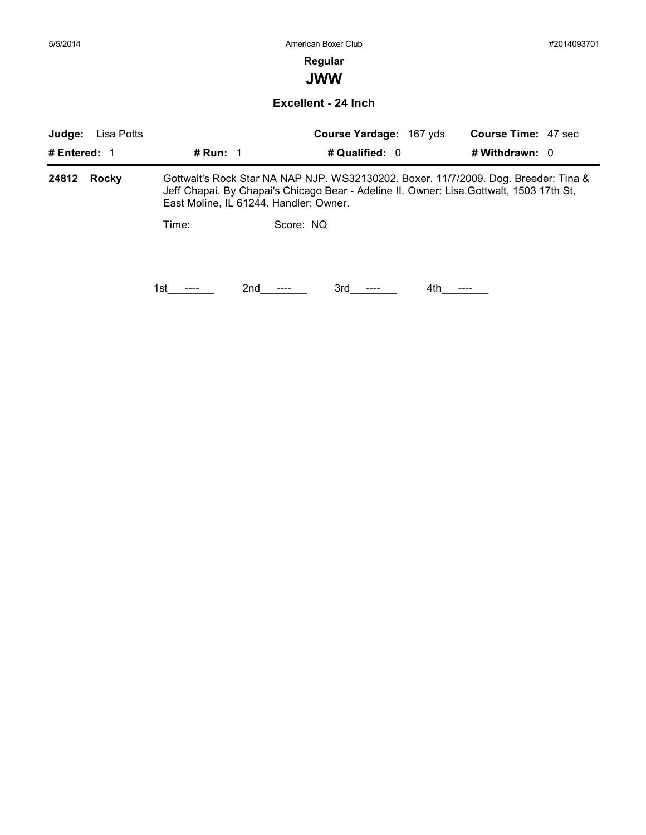# **Regular**

**JWW**

**Excellent - 24 Inch**

| Judge:         | Lisa Potts<br>Course Yardage: 167 yds |                                                                                                                                                                                                                          | <b>Course Time: 47 sec</b> |  |  |  |
|----------------|---------------------------------------|--------------------------------------------------------------------------------------------------------------------------------------------------------------------------------------------------------------------------|----------------------------|--|--|--|
| # Entered: 1   | # Run: $1$                            | # Qualified: 0                                                                                                                                                                                                           | # Withdrawn: $0$           |  |  |  |
| 24812<br>Rocky |                                       | Gottwalt's Rock Star NA NAP NJP. WS32130202. Boxer. 11/7/2009. Dog. Breeder: Tina &<br>Jeff Chapai. By Chapai's Chicago Bear - Adeline II. Owner: Lisa Gottwalt, 1503 17th St,<br>East Moline, IL 61244. Handler: Owner. |                            |  |  |  |
|                | Time:                                 | Score: NQ                                                                                                                                                                                                                |                            |  |  |  |
|                |                                       |                                                                                                                                                                                                                          |                            |  |  |  |
|                | 1st                                   | 2nd<br>3rd                                                                                                                                                                                                               | 4th.                       |  |  |  |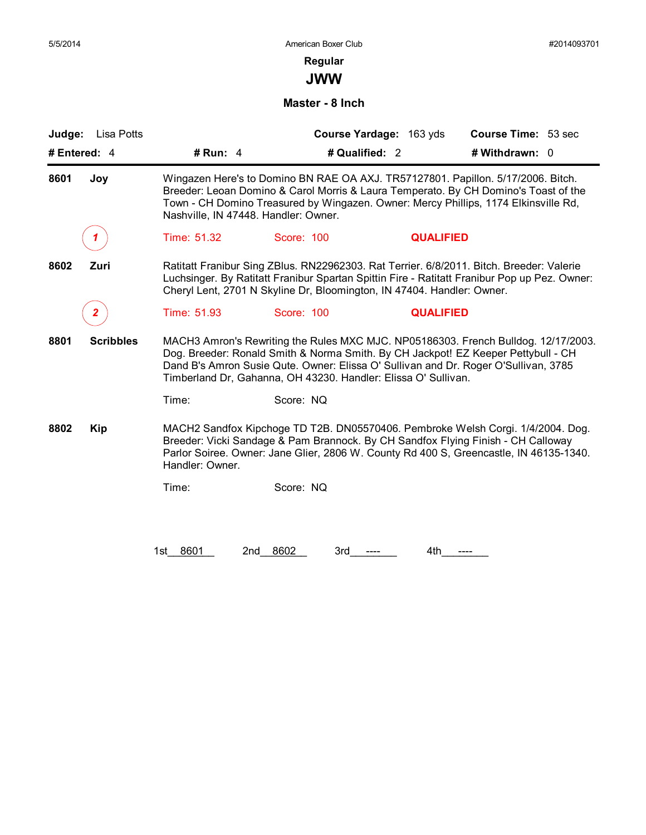**JWW**

### **Master - 8 Inch**

|                          |                                                                                                                                                                                                                                                                                                                                  |                                                                                  | Course Yardage: 163 yds | <b>Course Time: 53 sec</b>                                                                                                                                                |  |  |
|--------------------------|----------------------------------------------------------------------------------------------------------------------------------------------------------------------------------------------------------------------------------------------------------------------------------------------------------------------------------|----------------------------------------------------------------------------------|-------------------------|---------------------------------------------------------------------------------------------------------------------------------------------------------------------------|--|--|
| # Entered: 4             | # Run: $4$                                                                                                                                                                                                                                                                                                                       | # Qualified: 2                                                                   |                         | # Withdrawn: 0                                                                                                                                                            |  |  |
| 8601<br>Joy              | Wingazen Here's to Domino BN RAE OA AXJ. TR57127801. Papillon. 5/17/2006. Bitch.<br>Breeder: Leoan Domino & Carol Morris & Laura Temperato. By CH Domino's Toast of the<br>Town - CH Domino Treasured by Wingazen. Owner: Mercy Phillips, 1174 Elkinsville Rd,<br>Nashville, IN 47448. Handler: Owner.                           |                                                                                  |                         |                                                                                                                                                                           |  |  |
| 1                        | Time: 51.32                                                                                                                                                                                                                                                                                                                      | Score: 100                                                                       | <b>QUALIFIED</b>        |                                                                                                                                                                           |  |  |
| 8602<br>Zuri             | Ratitatt Franibur Sing ZBlus. RN22962303. Rat Terrier. 6/8/2011. Bitch. Breeder: Valerie<br>Luchsinger. By Ratitatt Franibur Spartan Spittin Fire - Ratitatt Franibur Pop up Pez. Owner:<br>Cheryl Lent, 2701 N Skyline Dr, Bloomington, IN 47404. Handler: Owner.                                                               |                                                                                  |                         |                                                                                                                                                                           |  |  |
|                          | Time: 51.93                                                                                                                                                                                                                                                                                                                      | Score: 100                                                                       | <b>QUALIFIED</b>        |                                                                                                                                                                           |  |  |
| 8801<br><b>Scribbles</b> | MACH3 Amron's Rewriting the Rules MXC MJC. NP05186303. French Bulldog. 12/17/2003.<br>Dog. Breeder: Ronald Smith & Norma Smith. By CH Jackpot! EZ Keeper Pettybull - CH<br>Dand B's Amron Susie Qute. Owner: Elissa O' Sullivan and Dr. Roger O'Sullivan, 3785<br>Timberland Dr, Gahanna, OH 43230. Handler: Elissa O' Sullivan. |                                                                                  |                         |                                                                                                                                                                           |  |  |
|                          |                                                                                                                                                                                                                                                                                                                                  |                                                                                  |                         |                                                                                                                                                                           |  |  |
|                          | Time:                                                                                                                                                                                                                                                                                                                            | Score: NQ                                                                        |                         |                                                                                                                                                                           |  |  |
| 8802<br><b>Kip</b>       | Handler: Owner.                                                                                                                                                                                                                                                                                                                  | Breeder: Vicki Sandage & Pam Brannock. By CH Sandfox Flying Finish - CH Calloway |                         | MACH2 Sandfox Kipchoge TD T2B. DN05570406. Pembroke Welsh Corgi. 1/4/2004. Dog.<br>Parlor Soiree. Owner: Jane Glier, 2806 W. County Rd 400 S, Greencastle, IN 46135-1340. |  |  |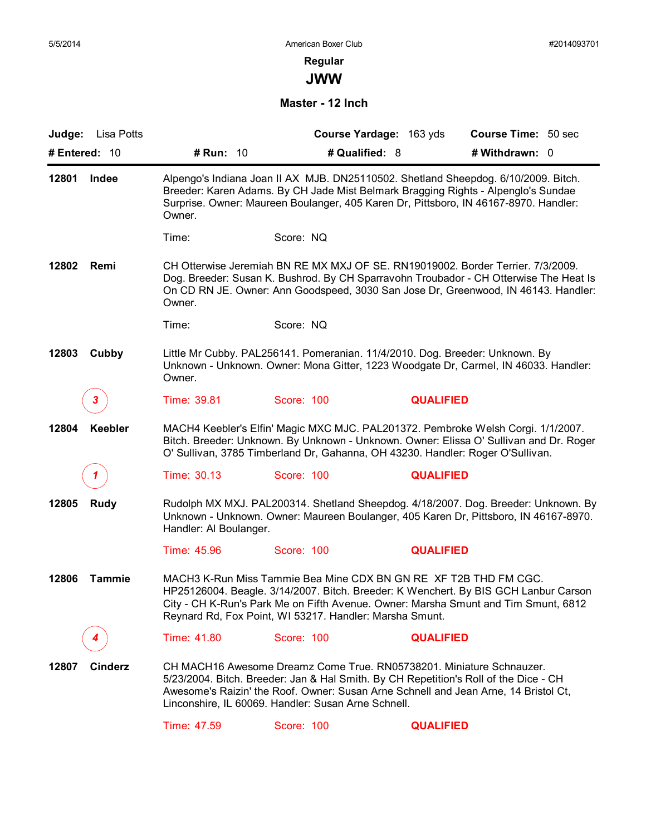# **Regular**

**JWW**

**Master - 12 Inch**

| Lisa Potts<br>Judge:    |                                                                                                                                                                                                                                                                           |            | Course Yardage: 163 yds | <b>Course Time: 50 sec</b>                                                                                                                                                                                                                                     |  |  |
|-------------------------|---------------------------------------------------------------------------------------------------------------------------------------------------------------------------------------------------------------------------------------------------------------------------|------------|-------------------------|----------------------------------------------------------------------------------------------------------------------------------------------------------------------------------------------------------------------------------------------------------------|--|--|
| # Entered: 10           | # Run: 10                                                                                                                                                                                                                                                                 |            | # Qualified: 8          | # Withdrawn: 0                                                                                                                                                                                                                                                 |  |  |
| 12801<br>Indee          | Alpengo's Indiana Joan II AX MJB. DN25110502. Shetland Sheepdog. 6/10/2009. Bitch.<br>Breeder: Karen Adams. By CH Jade Mist Belmark Bragging Rights - Alpenglo's Sundae<br>Surprise. Owner: Maureen Boulanger, 405 Karen Dr, Pittsboro, IN 46167-8970. Handler:<br>Owner. |            |                         |                                                                                                                                                                                                                                                                |  |  |
|                         | Time:                                                                                                                                                                                                                                                                     | Score: NQ  |                         |                                                                                                                                                                                                                                                                |  |  |
| 12802<br>Remi           | Owner.                                                                                                                                                                                                                                                                    |            |                         | CH Otterwise Jeremiah BN RE MX MXJ OF SE, RN19019002, Border Terrier, 7/3/2009.<br>Dog. Breeder: Susan K. Bushrod. By CH Sparravohn Troubador - CH Otterwise The Heat Is<br>On CD RN JE. Owner: Ann Goodspeed, 3030 San Jose Dr, Greenwood, IN 46143. Handler: |  |  |
|                         | Time:                                                                                                                                                                                                                                                                     | Score: NQ  |                         |                                                                                                                                                                                                                                                                |  |  |
| 12803<br>Cubby          | Little Mr Cubby. PAL256141. Pomeranian. 11/4/2010. Dog. Breeder: Unknown. By<br>Owner.                                                                                                                                                                                    |            |                         | Unknown - Unknown. Owner: Mona Gitter, 1223 Woodgate Dr, Carmel, IN 46033. Handler:                                                                                                                                                                            |  |  |
| 3.                      | Time: 39.81                                                                                                                                                                                                                                                               | Score: 100 | <b>QUALIFIED</b>        |                                                                                                                                                                                                                                                                |  |  |
| 12804<br>Keebler        | O' Sullivan, 3785 Timberland Dr, Gahanna, OH 43230. Handler: Roger O'Sullivan.                                                                                                                                                                                            |            |                         | MACH4 Keebler's Elfin' Magic MXC MJC. PAL201372. Pembroke Welsh Corgi. 1/1/2007.<br>Bitch. Breeder: Unknown. By Unknown - Unknown. Owner: Elissa O' Sullivan and Dr. Roger                                                                                     |  |  |
|                         | Time: 30.13                                                                                                                                                                                                                                                               | Score: 100 | <b>QUALIFIED</b>        |                                                                                                                                                                                                                                                                |  |  |
| <b>Rudy</b><br>12805    | Handler: Al Boulanger.                                                                                                                                                                                                                                                    |            |                         | Rudolph MX MXJ. PAL200314. Shetland Sheepdog. 4/18/2007. Dog. Breeder: Unknown. By<br>Unknown - Unknown. Owner: Maureen Boulanger, 405 Karen Dr, Pittsboro, IN 46167-8970.                                                                                     |  |  |
|                         | Time: 45.96                                                                                                                                                                                                                                                               | Score: 100 | <b>QUALIFIED</b>        |                                                                                                                                                                                                                                                                |  |  |
| 12806<br><b>Tammie</b>  | MACH3 K-Run Miss Tammie Bea Mine CDX BN GN RE XF T2B THD FM CGC.<br>Reynard Rd, Fox Point, WI 53217. Handler: Marsha Smunt.                                                                                                                                               |            |                         | HP25126004. Beagle. 3/14/2007. Bitch. Breeder: K Wenchert. By BIS GCH Lanbur Carson<br>City - CH K-Run's Park Me on Fifth Avenue. Owner: Marsha Smunt and Tim Smunt, 6812                                                                                      |  |  |
|                         | Time: 41.80                                                                                                                                                                                                                                                               | Score: 100 | <b>QUALIFIED</b>        |                                                                                                                                                                                                                                                                |  |  |
| <b>Cinderz</b><br>12807 | CH MACH16 Awesome Dreamz Come True. RN05738201. Miniature Schnauzer.<br>Linconshire, IL 60069. Handler: Susan Arne Schnell.                                                                                                                                               |            |                         | 5/23/2004. Bitch. Breeder: Jan & Hal Smith. By CH Repetition's Roll of the Dice - CH<br>Awesome's Raizin' the Roof. Owner: Susan Arne Schnell and Jean Arne, 14 Bristol Ct,                                                                                    |  |  |
|                         | Time: 47.59                                                                                                                                                                                                                                                               | Score: 100 | <b>QUALIFIED</b>        |                                                                                                                                                                                                                                                                |  |  |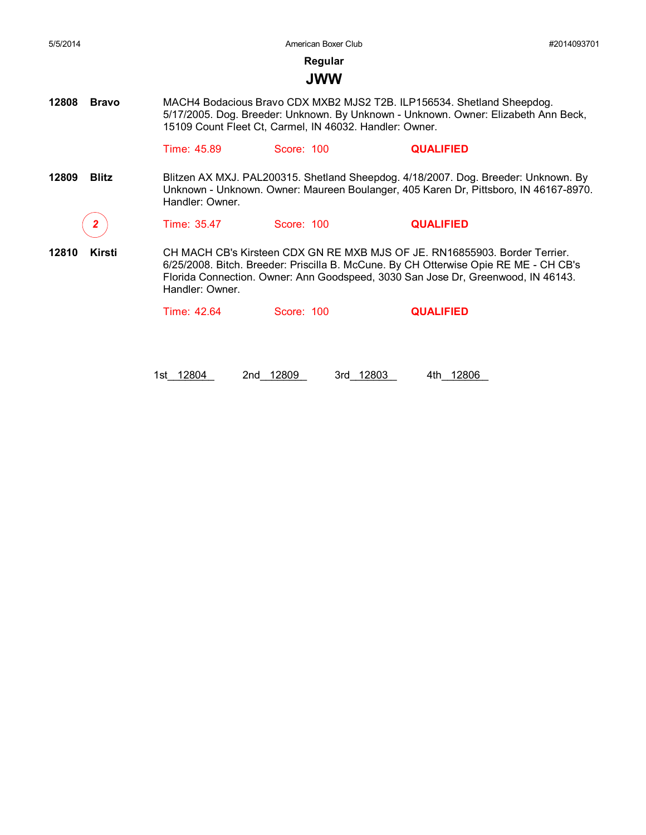American Boxer Club #2014093701

**Regular**

#### **JWW**

**12808 Bravo** MACH4 Bodacious Bravo CDX MXB2 MJS2 T2B. ILP156534. Shetland Sheepdog. 5/17/2005. Dog. Breeder: Unknown. By Unknown - Unknown. Owner: Elizabeth Ann Beck, 15109 Count Fleet Ct, Carmel, IN 46032. Handler: Owner.

Time: 45.89 Score: 100 **QUALIFIED**

**12809 Blitz** Blitzen AX MXJ. PAL200315. Shetland Sheepdog. 4/18/2007. Dog. Breeder: Unknown. By Unknown - Unknown. Owner: Maureen Boulanger, 405 Karen Dr, Pittsboro, IN 46167-8970. Handler: Owner.

*2* Time: 35.47 Score: 100 **QUALIFIED**

**12810 Kirsti** CH MACH CB's Kirsteen CDX GN RE MXB MJS OF JE. RN16855903. Border Terrier. 6/25/2008. Bitch. Breeder: Priscilla B. McCune. By CH Otterwise Opie RE ME - CH CB's Florida Connection. Owner: Ann Goodspeed, 3030 San Jose Dr, Greenwood, IN 46143. Handler: Owner.

Time: 42.64 Score: 100 **QUALIFIED**

1st 12804 2nd 12809 3rd 12803 4th 12806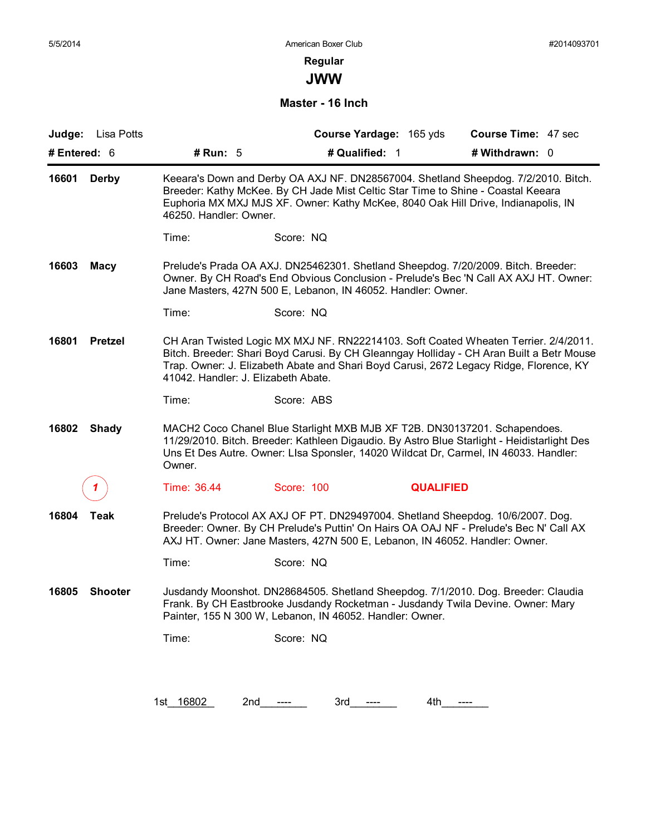**JWW**

### **Master - 16 Inch**

| # Run: 5<br># Qualified: 1<br># Entered: $6$<br># Withdrawn: 0<br>Keeara's Down and Derby OA AXJ NF. DN28567004. Shetland Sheepdog. 7/2/2010. Bitch.<br>16601<br><b>Derby</b><br>Breeder: Kathy McKee. By CH Jade Mist Celtic Star Time to Shine - Coastal Keeara<br>Euphoria MX MXJ MJS XF. Owner: Kathy McKee, 8040 Oak Hill Drive, Indianapolis, IN<br>46250. Handler: Owner.<br>Score: NQ<br>Time:<br>16603<br>Prelude's Prada OA AXJ. DN25462301. Shetland Sheepdog. 7/20/2009. Bitch. Breeder:<br><b>Macy</b><br>Owner. By CH Road's End Obvious Conclusion - Prelude's Bec 'N Call AX AXJ HT. Owner:<br>Jane Masters, 427N 500 E, Lebanon, IN 46052. Handler: Owner.<br>Score: NQ<br>Time:<br><b>Pretzel</b><br>CH Aran Twisted Logic MX MXJ NF. RN22214103. Soft Coated Wheaten Terrier. 2/4/2011.<br>16801<br>Bitch. Breeder: Shari Boyd Carusi. By CH Gleanngay Holliday - CH Aran Built a Betr Mouse<br>Trap. Owner: J. Elizabeth Abate and Shari Boyd Carusi, 2672 Legacy Ridge, Florence, KY<br>41042. Handler: J. Elizabeth Abate.<br>Score: ABS<br>Time:<br>16802<br><b>Shady</b><br>Owner.<br>Time: 36.44<br>Score: 100<br><b>QUALIFIED</b><br>Prelude's Protocol AX AXJ OF PT. DN29497004. Shetland Sheepdog. 10/6/2007. Dog.<br>16804<br>Teak<br>Breeder: Owner. By CH Prelude's Puttin' On Hairs OA OAJ NF - Prelude's Bec N' Call AX |                                                                                                                                                                                                                                                                  |  |  |  |  |
|----------------------------------------------------------------------------------------------------------------------------------------------------------------------------------------------------------------------------------------------------------------------------------------------------------------------------------------------------------------------------------------------------------------------------------------------------------------------------------------------------------------------------------------------------------------------------------------------------------------------------------------------------------------------------------------------------------------------------------------------------------------------------------------------------------------------------------------------------------------------------------------------------------------------------------------------------------------------------------------------------------------------------------------------------------------------------------------------------------------------------------------------------------------------------------------------------------------------------------------------------------------------------------------------------------------------------------------------------------|------------------------------------------------------------------------------------------------------------------------------------------------------------------------------------------------------------------------------------------------------------------|--|--|--|--|
|                                                                                                                                                                                                                                                                                                                                                                                                                                                                                                                                                                                                                                                                                                                                                                                                                                                                                                                                                                                                                                                                                                                                                                                                                                                                                                                                                          |                                                                                                                                                                                                                                                                  |  |  |  |  |
|                                                                                                                                                                                                                                                                                                                                                                                                                                                                                                                                                                                                                                                                                                                                                                                                                                                                                                                                                                                                                                                                                                                                                                                                                                                                                                                                                          |                                                                                                                                                                                                                                                                  |  |  |  |  |
|                                                                                                                                                                                                                                                                                                                                                                                                                                                                                                                                                                                                                                                                                                                                                                                                                                                                                                                                                                                                                                                                                                                                                                                                                                                                                                                                                          |                                                                                                                                                                                                                                                                  |  |  |  |  |
|                                                                                                                                                                                                                                                                                                                                                                                                                                                                                                                                                                                                                                                                                                                                                                                                                                                                                                                                                                                                                                                                                                                                                                                                                                                                                                                                                          |                                                                                                                                                                                                                                                                  |  |  |  |  |
|                                                                                                                                                                                                                                                                                                                                                                                                                                                                                                                                                                                                                                                                                                                                                                                                                                                                                                                                                                                                                                                                                                                                                                                                                                                                                                                                                          |                                                                                                                                                                                                                                                                  |  |  |  |  |
|                                                                                                                                                                                                                                                                                                                                                                                                                                                                                                                                                                                                                                                                                                                                                                                                                                                                                                                                                                                                                                                                                                                                                                                                                                                                                                                                                          |                                                                                                                                                                                                                                                                  |  |  |  |  |
|                                                                                                                                                                                                                                                                                                                                                                                                                                                                                                                                                                                                                                                                                                                                                                                                                                                                                                                                                                                                                                                                                                                                                                                                                                                                                                                                                          |                                                                                                                                                                                                                                                                  |  |  |  |  |
|                                                                                                                                                                                                                                                                                                                                                                                                                                                                                                                                                                                                                                                                                                                                                                                                                                                                                                                                                                                                                                                                                                                                                                                                                                                                                                                                                          | MACH2 Coco Chanel Blue Starlight MXB MJB XF T2B. DN30137201. Schapendoes.<br>11/29/2010. Bitch. Breeder: Kathleen Digaudio. By Astro Blue Starlight - Heidistarlight Des<br>Uns Et Des Autre. Owner: Lisa Sponsler, 14020 Wildcat Dr, Carmel, IN 46033. Handler: |  |  |  |  |
|                                                                                                                                                                                                                                                                                                                                                                                                                                                                                                                                                                                                                                                                                                                                                                                                                                                                                                                                                                                                                                                                                                                                                                                                                                                                                                                                                          |                                                                                                                                                                                                                                                                  |  |  |  |  |
| AXJ HT. Owner: Jane Masters, 427N 500 E, Lebanon, IN 46052. Handler: Owner.                                                                                                                                                                                                                                                                                                                                                                                                                                                                                                                                                                                                                                                                                                                                                                                                                                                                                                                                                                                                                                                                                                                                                                                                                                                                              |                                                                                                                                                                                                                                                                  |  |  |  |  |
| Time:<br>Score: NQ                                                                                                                                                                                                                                                                                                                                                                                                                                                                                                                                                                                                                                                                                                                                                                                                                                                                                                                                                                                                                                                                                                                                                                                                                                                                                                                                       |                                                                                                                                                                                                                                                                  |  |  |  |  |
| Jusdandy Moonshot. DN28684505. Shetland Sheepdog. 7/1/2010. Dog. Breeder: Claudia<br>16805<br><b>Shooter</b><br>Frank. By CH Eastbrooke Jusdandy Rocketman - Jusdandy Twila Devine. Owner: Mary<br>Painter, 155 N 300 W, Lebanon, IN 46052. Handler: Owner.                                                                                                                                                                                                                                                                                                                                                                                                                                                                                                                                                                                                                                                                                                                                                                                                                                                                                                                                                                                                                                                                                              |                                                                                                                                                                                                                                                                  |  |  |  |  |
| Score: NQ<br>Time:                                                                                                                                                                                                                                                                                                                                                                                                                                                                                                                                                                                                                                                                                                                                                                                                                                                                                                                                                                                                                                                                                                                                                                                                                                                                                                                                       |                                                                                                                                                                                                                                                                  |  |  |  |  |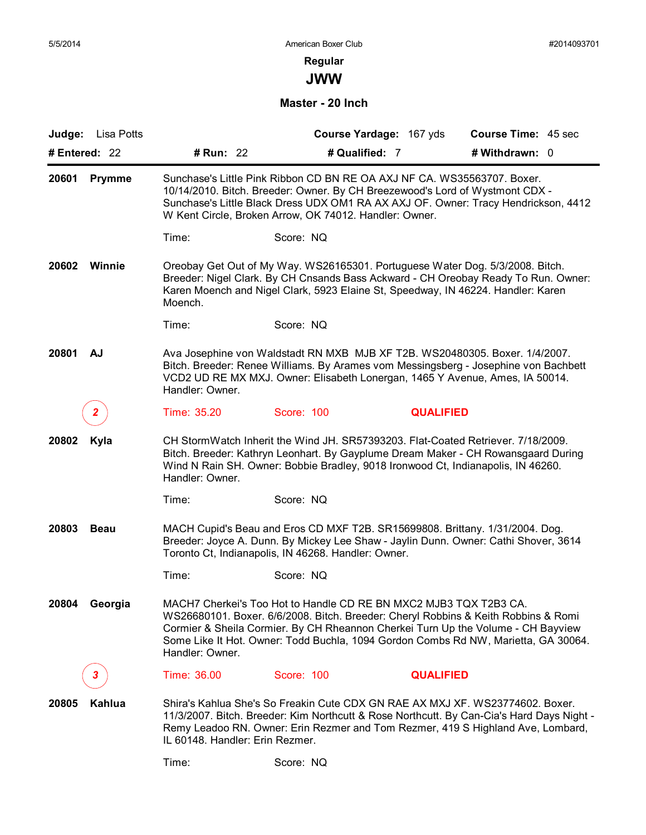# **Regular**

**JWW**

**Master - 20 Inch**

| Lisa Potts<br>Judge:   |                                                                                                                                                                                                                                                                                                         |                                                                                                                                                                                                                                                                                                                                   | Course Yardage: 167 yds | Course Time: 45 sec |  |  |
|------------------------|---------------------------------------------------------------------------------------------------------------------------------------------------------------------------------------------------------------------------------------------------------------------------------------------------------|-----------------------------------------------------------------------------------------------------------------------------------------------------------------------------------------------------------------------------------------------------------------------------------------------------------------------------------|-------------------------|---------------------|--|--|
| # Entered: 22          | # Run: 22                                                                                                                                                                                                                                                                                               | # Qualified: 7                                                                                                                                                                                                                                                                                                                    |                         | # Withdrawn: 0      |  |  |
| 20601<br><b>Prymme</b> | Sunchase's Little Pink Ribbon CD BN RE OA AXJ NF CA. WS35563707. Boxer.<br>10/14/2010. Bitch. Breeder: Owner. By CH Breezewood's Lord of Wystmont CDX -<br>Sunchase's Little Black Dress UDX OM1 RA AX AXJ OF. Owner: Tracy Hendrickson, 4412<br>W Kent Circle, Broken Arrow, OK 74012. Handler: Owner. |                                                                                                                                                                                                                                                                                                                                   |                         |                     |  |  |
|                        | Time:                                                                                                                                                                                                                                                                                                   | Score: NQ                                                                                                                                                                                                                                                                                                                         |                         |                     |  |  |
| Winnie<br>20602        | Moench.                                                                                                                                                                                                                                                                                                 | Oreobay Get Out of My Way. WS26165301. Portuguese Water Dog. 5/3/2008. Bitch.<br>Breeder: Nigel Clark. By CH Cnsands Bass Ackward - CH Oreobay Ready To Run. Owner:<br>Karen Moench and Nigel Clark, 5923 Elaine St, Speedway, IN 46224. Handler: Karen                                                                           |                         |                     |  |  |
|                        | Time:                                                                                                                                                                                                                                                                                                   | Score: NQ                                                                                                                                                                                                                                                                                                                         |                         |                     |  |  |
| 20801<br>AJ            | Handler: Owner.                                                                                                                                                                                                                                                                                         | Ava Josephine von Waldstadt RN MXB MJB XF T2B. WS20480305. Boxer. 1/4/2007.<br>Bitch. Breeder: Renee Williams. By Arames vom Messingsberg - Josephine von Bachbett<br>VCD2 UD RE MX MXJ. Owner: Elisabeth Lonergan, 1465 Y Avenue, Ames, IA 50014.                                                                                |                         |                     |  |  |
| 2                      | Time: 35.20                                                                                                                                                                                                                                                                                             | Score: 100                                                                                                                                                                                                                                                                                                                        | <b>QUALIFIED</b>        |                     |  |  |
| Kyla<br>20802          | Handler: Owner.                                                                                                                                                                                                                                                                                         | CH StormWatch Inherit the Wind JH. SR57393203. Flat-Coated Retriever. 7/18/2009.<br>Bitch. Breeder: Kathryn Leonhart. By Gayplume Dream Maker - CH Rowansgaard During<br>Wind N Rain SH. Owner: Bobbie Bradley, 9018 Ironwood Ct, Indianapolis, IN 46260.                                                                         |                         |                     |  |  |
|                        | Time:                                                                                                                                                                                                                                                                                                   | Score: NQ                                                                                                                                                                                                                                                                                                                         |                         |                     |  |  |
| 20803<br><b>Beau</b>   |                                                                                                                                                                                                                                                                                                         | MACH Cupid's Beau and Eros CD MXF T2B. SR15699808. Brittany. 1/31/2004. Dog.<br>Breeder: Joyce A. Dunn. By Mickey Lee Shaw - Jaylin Dunn. Owner: Cathi Shover, 3614<br>Toronto Ct, Indianapolis, IN 46268. Handler: Owner.                                                                                                        |                         |                     |  |  |
|                        | Time:                                                                                                                                                                                                                                                                                                   | Score: NQ                                                                                                                                                                                                                                                                                                                         |                         |                     |  |  |
| 20804 Georgia          | Handler: Owner.                                                                                                                                                                                                                                                                                         | MACH7 Cherkei's Too Hot to Handle CD RE BN MXC2 MJB3 TQX T2B3 CA.<br>WS26680101. Boxer. 6/6/2008. Bitch. Breeder: Cheryl Robbins & Keith Robbins & Romi<br>Cormier & Sheila Cormier. By CH Rheannon Cherkei Turn Up the Volume - CH Bayview<br>Some Like It Hot. Owner: Todd Buchla, 1094 Gordon Combs Rd NW, Marietta, GA 30064. |                         |                     |  |  |
| 3.                     | Time: 36.00                                                                                                                                                                                                                                                                                             | Score: 100                                                                                                                                                                                                                                                                                                                        | <b>QUALIFIED</b>        |                     |  |  |
| 20805<br><b>Kahlua</b> | IL 60148. Handler: Erin Rezmer.                                                                                                                                                                                                                                                                         | Shira's Kahlua She's So Freakin Cute CDX GN RAE AX MXJ XF, WS23774602, Boxer,<br>11/3/2007. Bitch. Breeder: Kim Northcutt & Rose Northcutt. By Can-Cia's Hard Days Night -<br>Remy Leadoo RN. Owner: Erin Rezmer and Tom Rezmer, 419 S Highland Ave, Lombard,                                                                     |                         |                     |  |  |
|                        | Time:                                                                                                                                                                                                                                                                                                   | Score: NQ                                                                                                                                                                                                                                                                                                                         |                         |                     |  |  |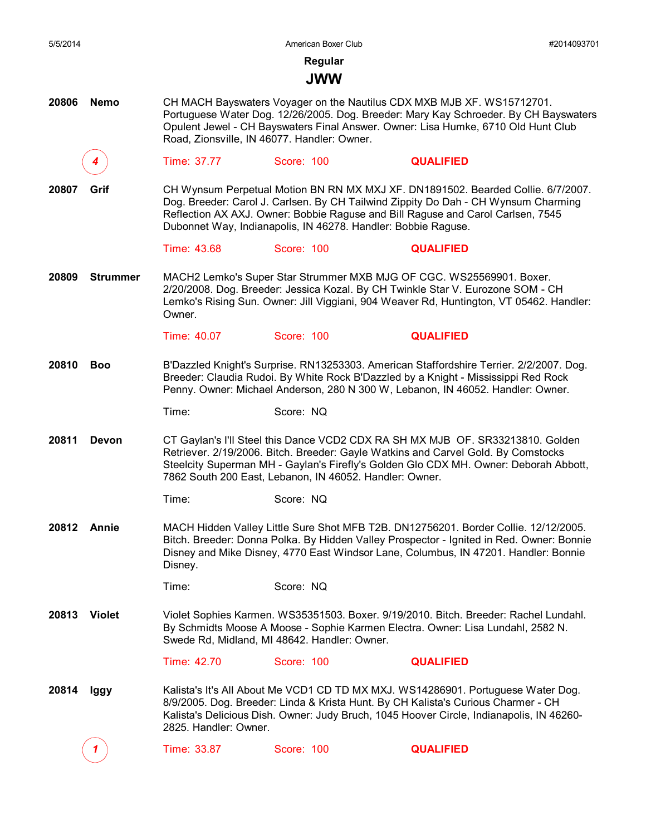| 5/5/2014    |                 |                                             | American Boxer Club                                           | #2014093701                                                                                                                                                                                                                                                            |
|-------------|-----------------|---------------------------------------------|---------------------------------------------------------------|------------------------------------------------------------------------------------------------------------------------------------------------------------------------------------------------------------------------------------------------------------------------|
|             |                 |                                             | Regular                                                       |                                                                                                                                                                                                                                                                        |
|             |                 |                                             | <b>JWW</b>                                                    |                                                                                                                                                                                                                                                                        |
| 20806       | <b>Nemo</b>     | Road, Zionsville, IN 46077. Handler: Owner. |                                                               | CH MACH Bayswaters Voyager on the Nautilus CDX MXB MJB XF. WS15712701.<br>Portuguese Water Dog. 12/26/2005. Dog. Breeder: Mary Kay Schroeder. By CH Bayswaters<br>Opulent Jewel - CH Bayswaters Final Answer. Owner: Lisa Humke, 6710 Old Hunt Club                    |
|             |                 | Time: 37.77                                 | Score: 100                                                    | <b>QUALIFIED</b>                                                                                                                                                                                                                                                       |
| 20807       | Grif            |                                             | Dubonnet Way, Indianapolis, IN 46278. Handler: Bobbie Raguse. | CH Wynsum Perpetual Motion BN RN MX MXJ XF. DN1891502. Bearded Collie. 6/7/2007.<br>Dog. Breeder: Carol J. Carlsen. By CH Tailwind Zippity Do Dah - CH Wynsum Charming<br>Reflection AX AXJ. Owner: Bobbie Raguse and Bill Raguse and Carol Carlsen, 7545              |
|             |                 | Time: 43.68                                 | Score: 100                                                    | <b>QUALIFIED</b>                                                                                                                                                                                                                                                       |
| 20809       | <b>Strummer</b> | Owner.                                      |                                                               | MACH2 Lemko's Super Star Strummer MXB MJG OF CGC. WS25569901. Boxer.<br>2/20/2008. Dog. Breeder: Jessica Kozal. By CH Twinkle Star V. Eurozone SOM - CH<br>Lemko's Rising Sun. Owner: Jill Viggiani, 904 Weaver Rd, Huntington, VT 05462. Handler:                     |
|             |                 | Time: 40.07                                 | Score: 100                                                    | <b>QUALIFIED</b>                                                                                                                                                                                                                                                       |
| 20810       | <b>Boo</b>      |                                             |                                                               | B'Dazzled Knight's Surprise. RN13253303. American Staffordshire Terrier. 2/2/2007. Dog.<br>Breeder: Claudia Rudoi. By White Rock B'Dazzled by a Knight - Mississippi Red Rock<br>Penny. Owner: Michael Anderson, 280 N 300 W, Lebanon, IN 46052. Handler: Owner.       |
|             |                 | Time:                                       | Score: NQ                                                     |                                                                                                                                                                                                                                                                        |
| 20811       | Devon           |                                             | 7862 South 200 East, Lebanon, IN 46052. Handler: Owner.       | CT Gaylan's I'll Steel this Dance VCD2 CDX RA SH MX MJB OF. SR33213810. Golden<br>Retriever. 2/19/2006. Bitch. Breeder: Gayle Watkins and Carvel Gold. By Comstocks<br>Steelcity Superman MH - Gaylan's Firefly's Golden Glo CDX MH. Owner: Deborah Abbott,            |
|             |                 | Time:                                       | Score: NQ                                                     |                                                                                                                                                                                                                                                                        |
| 20812 Annie |                 | Disney.                                     |                                                               | MACH Hidden Valley Little Sure Shot MFB T2B. DN12756201. Border Collie. 12/12/2005.<br>Bitch. Breeder: Donna Polka. By Hidden Valley Prospector - Ignited in Red. Owner: Bonnie<br>Disney and Mike Disney, 4770 East Windsor Lane, Columbus, IN 47201. Handler: Bonnie |
|             |                 | Time:                                       | Score: NQ                                                     |                                                                                                                                                                                                                                                                        |
| 20813       | Violet          |                                             | Swede Rd, Midland, MI 48642. Handler: Owner.                  | Violet Sophies Karmen. WS35351503. Boxer. 9/19/2010. Bitch. Breeder: Rachel Lundahl.<br>By Schmidts Moose A Moose - Sophie Karmen Electra. Owner: Lisa Lundahl, 2582 N.                                                                                                |
|             |                 | Time: 42.70                                 | Score: 100                                                    | <b>QUALIFIED</b>                                                                                                                                                                                                                                                       |
| 20814       | lggy            | 2825. Handler: Owner.                       |                                                               | Kalista's It's All About Me VCD1 CD TD MX MXJ. WS14286901. Portuguese Water Dog.<br>8/9/2005. Dog. Breeder: Linda & Krista Hunt. By CH Kalista's Curious Charmer - CH<br>Kalista's Delicious Dish. Owner: Judy Bruch, 1045 Hoover Circle, Indianapolis, IN 46260-      |
|             |                 | Time: 33.87                                 | Score: 100                                                    | <b>QUALIFIED</b>                                                                                                                                                                                                                                                       |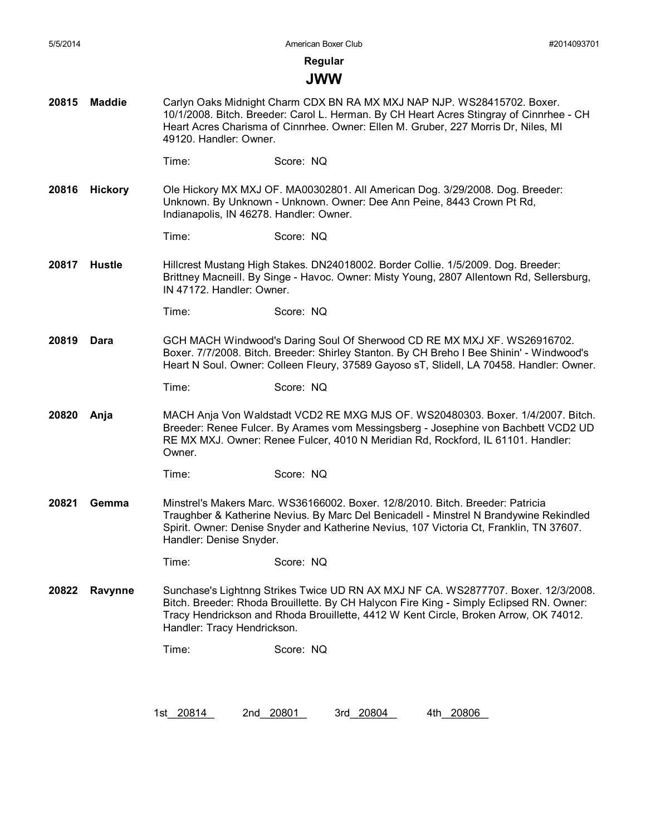#### **JWW**

**20815 Maddie** Carlyn Oaks Midnight Charm CDX BN RA MX MXJ NAP NJP. WS28415702. Boxer. 10/1/2008. Bitch. Breeder: Carol L. Herman. By CH Heart Acres Stingray of Cinnrhee - CH Heart Acres Charisma of Cinnrhee. Owner: Ellen M. Gruber, 227 Morris Dr, Niles, MI 49120. Handler: Owner.

Time: Score: NQ

**20816 Hickory** Ole Hickory MX MXJ OF. MA00302801. All American Dog. 3/29/2008. Dog. Breeder: Unknown. By Unknown - Unknown. Owner: Dee Ann Peine, 8443 Crown Pt Rd, Indianapolis, IN 46278. Handler: Owner.

Time: Score: NQ

- **20817 Hustle** Hillcrest Mustang High Stakes. DN24018002. Border Collie. 1/5/2009. Dog. Breeder: Brittney Macneill. By Singe - Havoc. Owner: Misty Young, 2807 Allentown Rd, Sellersburg, IN 47172. Handler: Owner.
	- Time: Score: NQ
- **20819 Dara** GCH MACH Windwood's Daring Soul Of Sherwood CD RE MX MXJ XF. WS26916702. Boxer. 7/7/2008. Bitch. Breeder: Shirley Stanton. By CH Breho I Bee Shinin' - Windwood's Heart N Soul. Owner: Colleen Fleury, 37589 Gayoso sT, Slidell, LA 70458. Handler: Owner.

Time: Score: NQ

**20820 Anja** MACH Anja Von Waldstadt VCD2 RE MXG MJS OF. WS20480303. Boxer. 1/4/2007. Bitch. Breeder: Renee Fulcer. By Arames vom Messingsberg - Josephine von Bachbett VCD2 UD RE MX MXJ. Owner: Renee Fulcer, 4010 N Meridian Rd, Rockford, IL 61101. Handler: Owner.

```
Time: Score: NQ
```
**20821 Gemma** Minstrel's Makers Marc. WS36166002. Boxer. 12/8/2010. Bitch. Breeder: Patricia Traughber & Katherine Nevius. By Marc Del Benicadell - Minstrel N Brandywine Rekindled Spirit. Owner: Denise Snyder and Katherine Nevius, 107 Victoria Ct, Franklin, TN 37607. Handler: Denise Snyder.

Time: Score: NQ

**20822 Ravynne** Sunchase's Lightnng Strikes Twice UD RN AX MXJ NF CA. WS2877707. Boxer. 12/3/2008. Bitch. Breeder: Rhoda Brouillette. By CH Halycon Fire King - Simply Eclipsed RN. Owner: Tracy Hendrickson and Rhoda Brouillette, 4412 W Kent Circle, Broken Arrow, OK 74012. Handler: Tracy Hendrickson.

Time: Score: NQ

1st 20814 2nd 20801 3rd 20804 4th 20806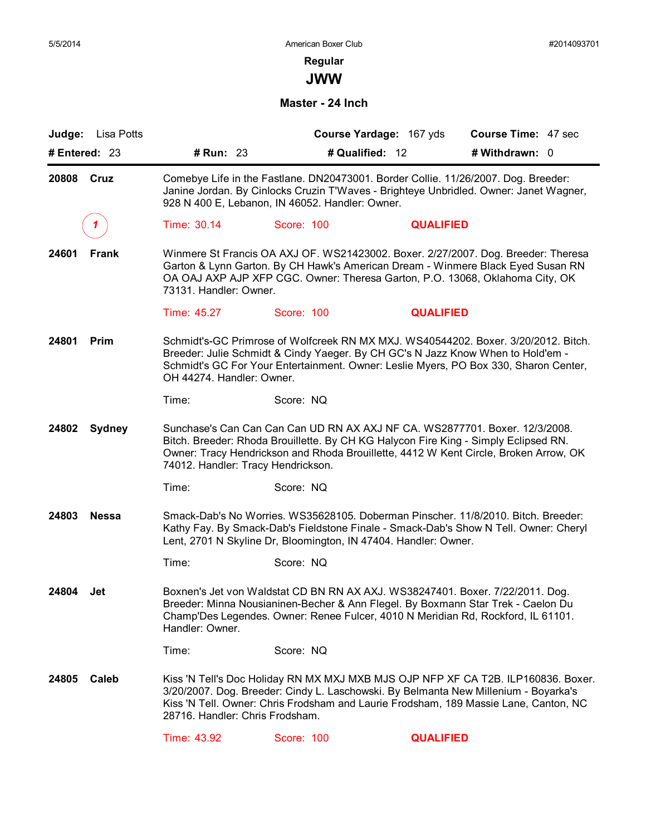**JWW**

**Master - 24 Inch**

| Lisa Potts<br>Judge:  |                                                                                                                                                                                                                                                                                            |                                                                 | Course Yardage: 167 yds | <b>Course Time: 47 sec</b>                                                                                                                                                                                                                                       |  |  |
|-----------------------|--------------------------------------------------------------------------------------------------------------------------------------------------------------------------------------------------------------------------------------------------------------------------------------------|-----------------------------------------------------------------|-------------------------|------------------------------------------------------------------------------------------------------------------------------------------------------------------------------------------------------------------------------------------------------------------|--|--|
| # Entered: 23         | # Run: 23                                                                                                                                                                                                                                                                                  |                                                                 | # Qualified: 12         | # Withdrawn: 0                                                                                                                                                                                                                                                   |  |  |
| 20808 Cruz            |                                                                                                                                                                                                                                                                                            | 928 N 400 E, Lebanon, IN 46052. Handler: Owner.                 |                         | Comebye Life in the Fastlane. DN20473001. Border Collie. 11/26/2007. Dog. Breeder:<br>Janine Jordan. By Cinlocks Cruzin T'Waves - Brighteye Unbridled. Owner: Janet Wagner,                                                                                      |  |  |
|                       | Time: 30.14                                                                                                                                                                                                                                                                                | Score: 100                                                      | <b>QUALIFIED</b>        |                                                                                                                                                                                                                                                                  |  |  |
| 24601<br>Frank        | Winmere St Francis OA AXJ OF. WS21423002. Boxer. 2/27/2007. Dog. Breeder: Theresa<br>Garton & Lynn Garton. By CH Hawk's American Dream - Winmere Black Eyed Susan RN<br>OA OAJ AXP AJP XFP CGC. Owner: Theresa Garton, P.O. 13068, Oklahoma City, OK<br>73131. Handler: Owner.             |                                                                 |                         |                                                                                                                                                                                                                                                                  |  |  |
|                       | Time: 45.27                                                                                                                                                                                                                                                                                | Score: 100                                                      | <b>QUALIFIED</b>        |                                                                                                                                                                                                                                                                  |  |  |
| 24801<br>Prim         | Schmidt's-GC Primrose of Wolfcreek RN MX MXJ. WS40544202. Boxer. 3/20/2012. Bitch.<br>Breeder: Julie Schmidt & Cindy Yaeger. By CH GC's N Jazz Know When to Hold'em -<br>Schmidt's GC For Your Entertainment. Owner: Leslie Myers, PO Box 330, Sharon Center,<br>OH 44274. Handler: Owner. |                                                                 |                         |                                                                                                                                                                                                                                                                  |  |  |
|                       | Time:                                                                                                                                                                                                                                                                                      | Score: NQ                                                       |                         |                                                                                                                                                                                                                                                                  |  |  |
| 24802 Sydney          | 74012. Handler: Tracy Hendrickson.                                                                                                                                                                                                                                                         |                                                                 |                         | Sunchase's Can Can Can Can UD RN AX AXJ NF CA. WS2877701. Boxer. 12/3/2008.<br>Bitch. Breeder: Rhoda Brouillette. By CH KG Halycon Fire King - Simply Eclipsed RN.<br>Owner: Tracy Hendrickson and Rhoda Brouillette, 4412 W Kent Circle, Broken Arrow, OK       |  |  |
|                       | Time:                                                                                                                                                                                                                                                                                      | Score: NQ                                                       |                         |                                                                                                                                                                                                                                                                  |  |  |
| 24803<br><b>Nessa</b> |                                                                                                                                                                                                                                                                                            | Lent, 2701 N Skyline Dr, Bloomington, IN 47404. Handler: Owner. |                         | Smack-Dab's No Worries. WS35628105. Doberman Pinscher. 11/8/2010. Bitch. Breeder:<br>Kathy Fay. By Smack-Dab's Fieldstone Finale - Smack-Dab's Show N Tell. Owner: Cheryl                                                                                        |  |  |
|                       | Time:                                                                                                                                                                                                                                                                                      | Score: NQ                                                       |                         |                                                                                                                                                                                                                                                                  |  |  |
| 24804<br>Jet          | Handler: Owner.                                                                                                                                                                                                                                                                            |                                                                 |                         | Boxnen's Jet von Waldstat CD BN RN AX AXJ. WS38247401. Boxer. 7/22/2011. Dog.<br>Breeder: Minna Nousianinen-Becher & Ann Flegel. By Boxmann Star Trek - Caelon Du<br>Champ'Des Legendes. Owner: Renee Fulcer, 4010 N Meridian Rd, Rockford, IL 61101.            |  |  |
|                       | Time:                                                                                                                                                                                                                                                                                      | Score: NQ                                                       |                         |                                                                                                                                                                                                                                                                  |  |  |
| Caleb<br>24805        | 28716. Handler: Chris Frodsham.                                                                                                                                                                                                                                                            |                                                                 |                         | Kiss 'N Tell's Doc Holiday RN MX MXJ MXB MJS OJP NFP XF CA T2B. ILP160836. Boxer.<br>3/20/2007. Dog. Breeder: Cindy L. Laschowski. By Belmanta New Millenium - Boyarka's<br>Kiss 'N Tell. Owner: Chris Frodsham and Laurie Frodsham, 189 Massie Lane, Canton, NC |  |  |
|                       | Time: 43.92                                                                                                                                                                                                                                                                                | Score: 100                                                      | <b>QUALIFIED</b>        |                                                                                                                                                                                                                                                                  |  |  |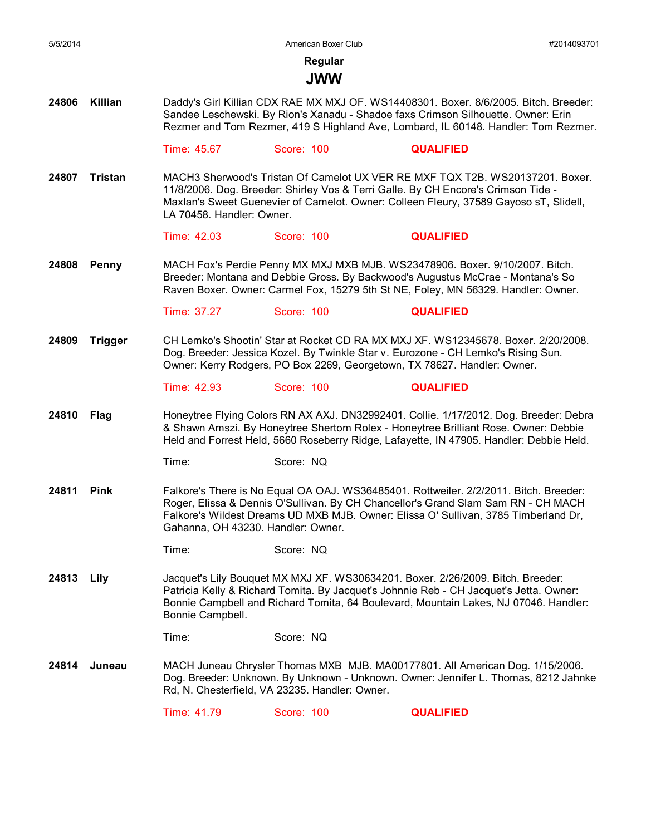**Regular**

## **JWW**

**24806 Killian** Daddy's Girl Killian CDX RAE MX MXJ OF. WS14408301. Boxer. 8/6/2005. Bitch. Breeder: Sandee Leschewski. By Rion's Xanadu - Shadoe faxs Crimson Silhouette. Owner: Erin Rezmer and Tom Rezmer, 419 S Highland Ave, Lombard, IL 60148. Handler: Tom Rezmer.

Time: 45.67 Score: 100 **QUALIFIED**

**24807 Tristan** MACH3 Sherwood's Tristan Of Camelot UX VER RE MXF TQX T2B. WS20137201. Boxer. 11/8/2006. Dog. Breeder: Shirley Vos & Terri Galle. By CH Encore's Crimson Tide - Maxlan's Sweet Guenevier of Camelot. Owner: Colleen Fleury, 37589 Gayoso sT, Slidell, LA 70458. Handler: Owner.

Time: 42.03 Score: 100 **QUALIFIED**

**24808 Penny** MACH Fox's Perdie Penny MX MXJ MXB MJB. WS23478906. Boxer. 9/10/2007. Bitch. Breeder: Montana and Debbie Gross. By Backwood's Augustus McCrae - Montana's So Raven Boxer. Owner: Carmel Fox, 15279 5th St NE, Foley, MN 56329. Handler: Owner.

Time: 37.27 Score: 100 **QUALIFIED**

**24809 Trigger** CH Lemko's Shootin' Star at Rocket CD RA MX MXJ XF. WS12345678. Boxer. 2/20/2008. Dog. Breeder: Jessica Kozel. By Twinkle Star v. Eurozone - CH Lemko's Rising Sun. Owner: Kerry Rodgers, PO Box 2269, Georgetown, TX 78627. Handler: Owner.

Time: 42.93 Score: 100 **QUALIFIED**

**24810 Flag** Honeytree Flying Colors RN AX AXJ. DN32992401. Collie. 1/17/2012. Dog. Breeder: Debra & Shawn Amszi. By Honeytree Shertom Rolex - Honeytree Brilliant Rose. Owner: Debbie Held and Forrest Held, 5660 Roseberry Ridge, Lafayette, IN 47905. Handler: Debbie Held.

Time: Score: NQ

24811 Pink Falkore's There is No Equal OA OAJ. WS36485401. Rottweiler. 2/2/2011. Bitch. Breeder: Roger, Elissa & Dennis O'Sullivan. By CH Chancellor's Grand Slam Sam RN - CH MACH Falkore's Wildest Dreams UD MXB MJB. Owner: Elissa O' Sullivan, 3785 Timberland Dr, Gahanna, OH 43230. Handler: Owner.

Time: Score: NQ

**24813 Lily** Jacquet's Lily Bouquet MX MXJ XF. WS30634201. Boxer. 2/26/2009. Bitch. Breeder: Patricia Kelly & Richard Tomita. By Jacquet's Johnnie Reb - CH Jacquet's Jetta. Owner: Bonnie Campbell and Richard Tomita, 64 Boulevard, Mountain Lakes, NJ 07046. Handler: Bonnie Campbell.

Time: Score: NQ

**24814 Juneau** MACH Juneau Chrysler Thomas MXB MJB. MA00177801. All American Dog. 1/15/2006. Dog. Breeder: Unknown. By Unknown - Unknown. Owner: Jennifer L. Thomas, 8212 Jahnke Rd, N. Chesterfield, VA 23235. Handler: Owner.

Time: 41.79 Score: 100 **QUALIFIED**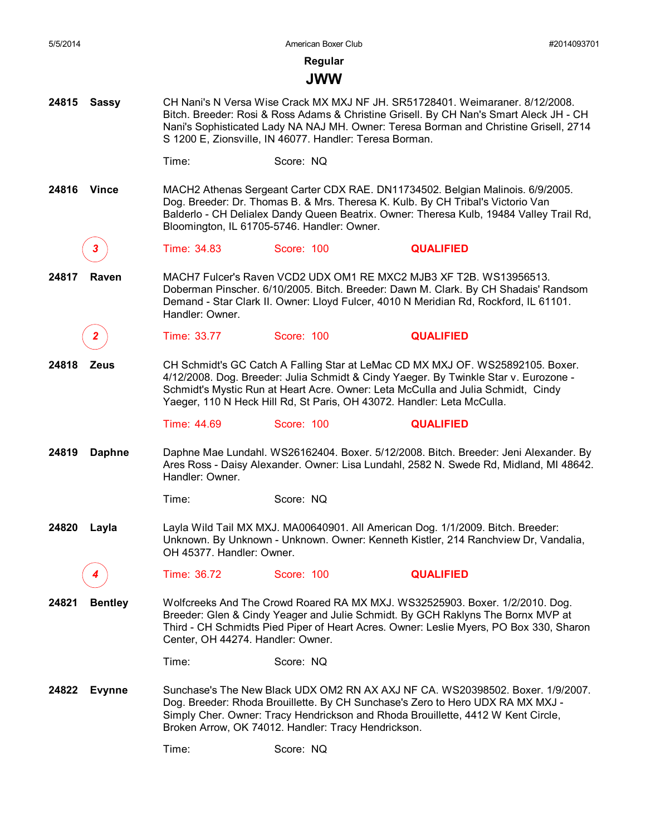## **JWW**

**24815 Sassy** CH Nani's N Versa Wise Crack MX MXJ NF JH. SR51728401. Weimaraner. 8/12/2008. Bitch. Breeder: Rosi & Ross Adams & Christine Grisell. By CH Nan's Smart Aleck JH - CH Nani's Sophisticated Lady NA NAJ MH. Owner: Teresa Borman and Christine Grisell, 2714 S 1200 E, Zionsville, IN 46077. Handler: Teresa Borman.

**24816 Vince** MACH2 Athenas Sergeant Carter CDX RAE. DN11734502. Belgian Malinois. 6/9/2005. Dog. Breeder: Dr. Thomas B. & Mrs. Theresa K. Kulb. By CH Tribal's Victorio Van Balderlo - CH Delialex Dandy Queen Beatrix. Owner: Theresa Kulb, 19484 Valley Trail Rd, Bloomington, IL 61705-5746. Handler: Owner.

*3* Time: 34.83 Score: 100 **QUALIFIED**

**24817 Raven** MACH7 Fulcer's Raven VCD2 UDX OM1 RE MXC2 MJB3 XF T2B. WS13956513. Doberman Pinscher. 6/10/2005. Bitch. Breeder: Dawn M. Clark. By CH Shadais' Randsom Demand - Star Clark II. Owner: Lloyd Fulcer, 4010 N Meridian Rd, Rockford, IL 61101. Handler: Owner.

*2* Time: 33.77 Score: 100 **QUALIFIED**

**24818 Zeus** CH Schmidt's GC Catch A Falling Star at LeMac CD MX MXJ OF. WS25892105. Boxer. 4/12/2008. Dog. Breeder: Julia Schmidt & Cindy Yaeger. By Twinkle Star v. Eurozone - Schmidt's Mystic Run at Heart Acre. Owner: Leta McCulla and Julia Schmidt, Cindy Yaeger, 110 N Heck Hill Rd, St Paris, OH 43072. Handler: Leta McCulla.

Time: 44.69 Score: 100 **QUALIFIED**

**24819 Daphne** Daphne Mae Lundahl. WS26162404. Boxer. 5/12/2008. Bitch. Breeder: Jeni Alexander. By Ares Ross - Daisy Alexander. Owner: Lisa Lundahl, 2582 N. Swede Rd, Midland, MI 48642. Handler: Owner.

Time: Score: NQ

**24820 Layla** Layla Wild Tail MX MXJ. MA00640901. All American Dog. 1/1/2009. Bitch. Breeder: Unknown. By Unknown - Unknown. Owner: Kenneth Kistler, 214 Ranchview Dr, Vandalia, OH 45377. Handler: Owner.

*4* Time: 36.72 Score: 100 **QUALIFIED**

**24821 Bentley** Wolfcreeks And The Crowd Roared RA MX MXJ. WS32525903. Boxer. 1/2/2010. Dog. Breeder: Glen & Cindy Yeager and Julie Schmidt. By GCH Raklyns The Bornx MVP at Third - CH Schmidts Pied Piper of Heart Acres. Owner: Leslie Myers, PO Box 330, Sharon Center, OH 44274. Handler: Owner.

Time: Score: NQ

**24822 Evynne** Sunchase's The New Black UDX OM2 RN AX AXJ NF CA. WS20398502. Boxer. 1/9/2007. Dog. Breeder: Rhoda Brouillette. By CH Sunchase's Zero to Hero UDX RA MX MXJ - Simply Cher. Owner: Tracy Hendrickson and Rhoda Brouillette, 4412 W Kent Circle, Broken Arrow, OK 74012. Handler: Tracy Hendrickson.

Time: Score: NQ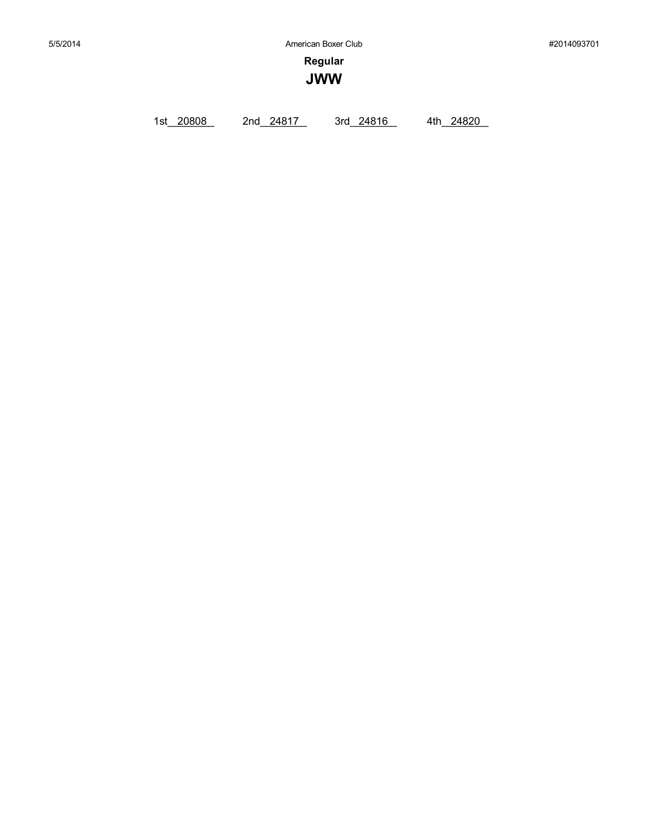**Regular**

**JWW**

1st\_20808 2nd\_24817 3rd\_24816 4th\_24820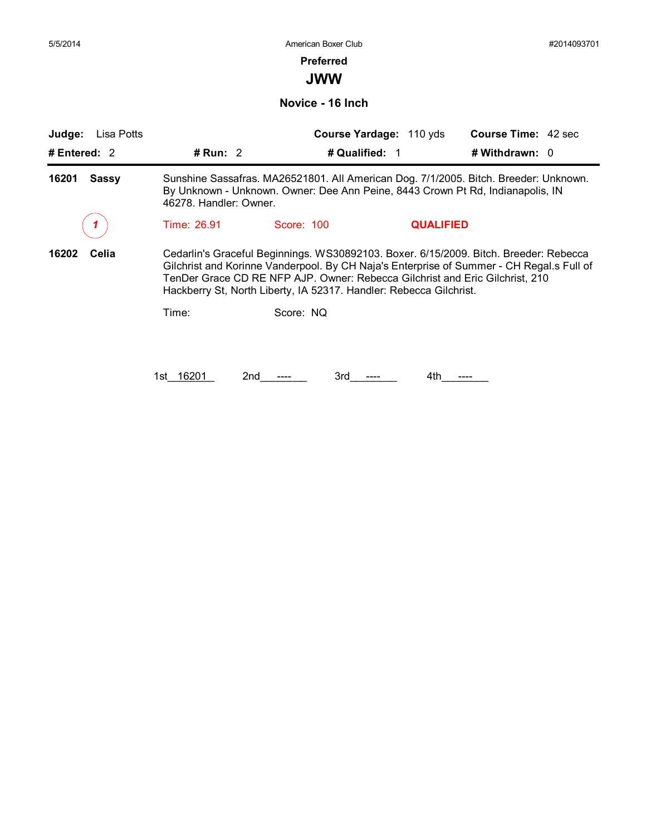## **Preferred**

**JWW**

**Novice - 16 Inch**

| Judge:<br>Lisa Potts  |                                                                                                                                                                                                                                                                                                                                         |                | Course Yardage: 110 yds | <b>Course Time: 42 sec</b> |  |  |
|-----------------------|-----------------------------------------------------------------------------------------------------------------------------------------------------------------------------------------------------------------------------------------------------------------------------------------------------------------------------------------|----------------|-------------------------|----------------------------|--|--|
| # Entered: $2$        | # Run: $2$                                                                                                                                                                                                                                                                                                                              | # Qualified: 1 |                         | # Withdrawn: 0             |  |  |
| 16201<br><b>Sassy</b> | Sunshine Sassafras. MA26521801. All American Dog. 7/1/2005. Bitch. Breeder: Unknown.<br>By Unknown - Unknown. Owner: Dee Ann Peine, 8443 Crown Pt Rd, Indianapolis, IN<br>46278. Handler: Owner.                                                                                                                                        |                |                         |                            |  |  |
|                       | Time: 26.91                                                                                                                                                                                                                                                                                                                             | Score: 100     | <b>QUALIFIED</b>        |                            |  |  |
| 16202<br>Celia        | Cedarlin's Graceful Beginnings. WS30892103. Boxer. 6/15/2009. Bitch. Breeder: Rebecca<br>Gilchrist and Korinne Vanderpool. By CH Naja's Enterprise of Summer - CH Regal.s Full of<br>TenDer Grace CD RE NFP AJP. Owner: Rebecca Gilchrist and Eric Gilchrist, 210<br>Hackberry St, North Liberty, IA 52317. Handler: Rebecca Gilchrist. |                |                         |                            |  |  |
|                       | Time:                                                                                                                                                                                                                                                                                                                                   | Score: NQ      |                         |                            |  |  |
|                       |                                                                                                                                                                                                                                                                                                                                         |                |                         |                            |  |  |
|                       | 16201<br>1st l                                                                                                                                                                                                                                                                                                                          | 2nd<br>3rd     | 4th                     |                            |  |  |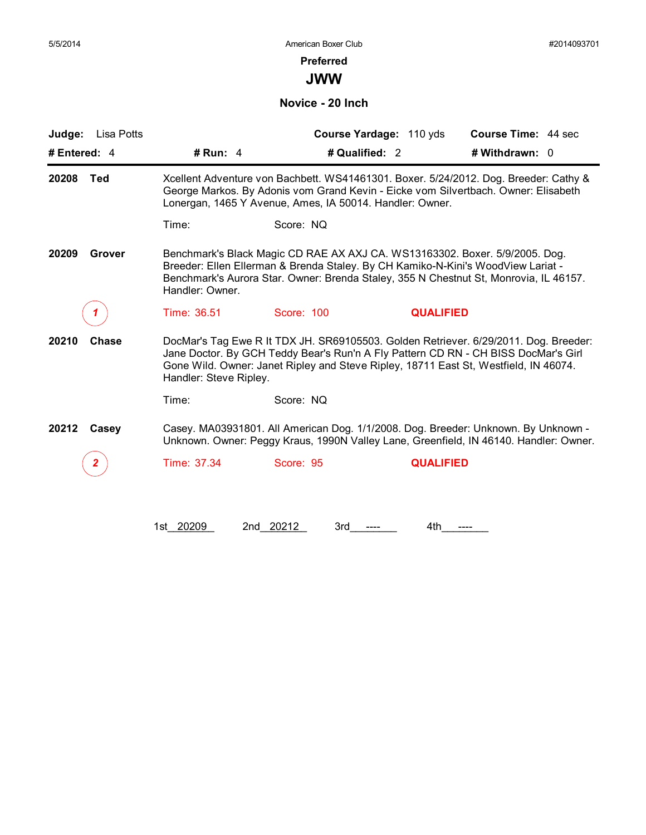## **Preferred**

**JWW**

**Novice - 20 Inch**

| Lisa Potts<br>Judge: |                                                                                                                                                                                                                                                                             |                                                                                      | Course Yardage: 110 yds | Course Time: 44 sec                                                                                                                                                         |  |
|----------------------|-----------------------------------------------------------------------------------------------------------------------------------------------------------------------------------------------------------------------------------------------------------------------------|--------------------------------------------------------------------------------------|-------------------------|-----------------------------------------------------------------------------------------------------------------------------------------------------------------------------|--|
| # Entered: 4         | # Run: $4$                                                                                                                                                                                                                                                                  | # Qualified: 2                                                                       |                         | # Withdrawn: 0                                                                                                                                                              |  |
| 20208<br>Ted         | Xcellent Adventure von Bachbett. WS41461301. Boxer. 5/24/2012. Dog. Breeder: Cathy &<br>George Markos. By Adonis vom Grand Kevin - Eicke vom Silvertbach. Owner: Elisabeth<br>Lonergan, 1465 Y Avenue, Ames, IA 50014. Handler: Owner.                                      |                                                                                      |                         |                                                                                                                                                                             |  |
|                      | Time:                                                                                                                                                                                                                                                                       | Score: NQ                                                                            |                         |                                                                                                                                                                             |  |
| 20209<br>Grover      | Benchmark's Black Magic CD RAE AX AXJ CA. WS13163302. Boxer. 5/9/2005. Dog.<br>Breeder: Ellen Ellerman & Brenda Staley. By CH Kamiko-N-Kini's WoodView Lariat -<br>Benchmark's Aurora Star. Owner: Brenda Staley, 355 N Chestnut St, Monrovia, IL 46157.<br>Handler: Owner. |                                                                                      |                         |                                                                                                                                                                             |  |
|                      | Time: 36.51                                                                                                                                                                                                                                                                 | Score: 100                                                                           | <b>QUALIFIED</b>        |                                                                                                                                                                             |  |
| 20210<br>Chase       |                                                                                                                                                                                                                                                                             |                                                                                      |                         | DocMar's Tag Ewe R It TDX JH. SR69105503. Golden Retriever. 6/29/2011. Dog. Breeder:<br>Jane Doctor. By GCH Teddy Bear's Run'n A Fly Pattern CD RN - CH BISS DocMar's Girl  |  |
|                      | Handler: Steve Ripley.                                                                                                                                                                                                                                                      | Gone Wild. Owner: Janet Ripley and Steve Ripley, 18711 East St, Westfield, IN 46074. |                         |                                                                                                                                                                             |  |
|                      | Time:                                                                                                                                                                                                                                                                       | Score: NQ                                                                            |                         |                                                                                                                                                                             |  |
| 20212<br>Casey       |                                                                                                                                                                                                                                                                             |                                                                                      |                         | Casey. MA03931801. All American Dog. 1/1/2008. Dog. Breeder: Unknown. By Unknown -<br>Unknown. Owner: Peggy Kraus, 1990N Valley Lane, Greenfield, IN 46140. Handler: Owner. |  |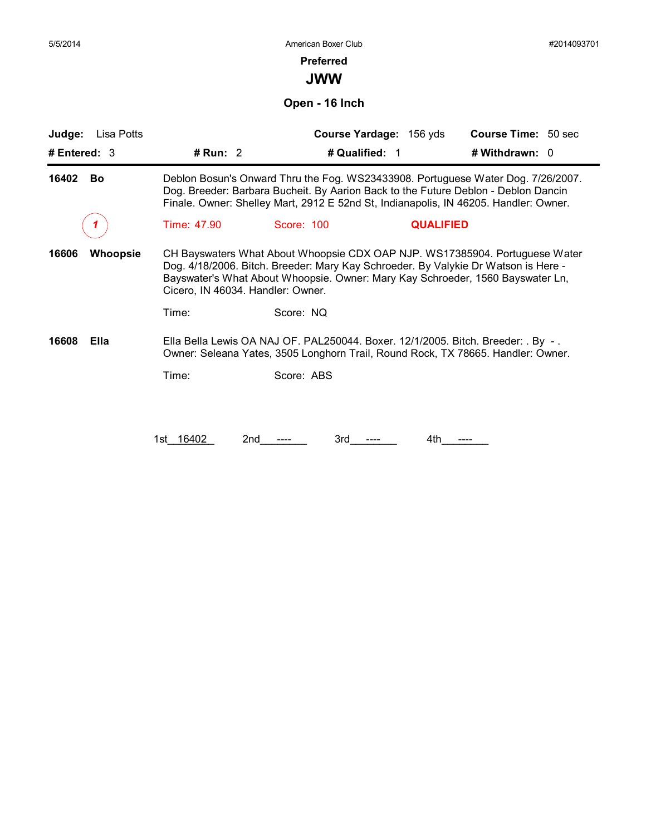#### **Preferred**

**JWW**

**Open - 16 Inch**

| Lisa Potts<br>Judge:     |                                                                                                                                                                                                                                                                |                                                                                  | Course Yardage: 156 yds | <b>Course Time: 50 sec</b>                                                                                                                                                                                                                          |  |  |
|--------------------------|----------------------------------------------------------------------------------------------------------------------------------------------------------------------------------------------------------------------------------------------------------------|----------------------------------------------------------------------------------|-------------------------|-----------------------------------------------------------------------------------------------------------------------------------------------------------------------------------------------------------------------------------------------------|--|--|
| # Entered: 3             | # $Run: 2$                                                                                                                                                                                                                                                     | # Qualified: 1                                                                   |                         | # Withdrawn: 0                                                                                                                                                                                                                                      |  |  |
| 16402<br>Bo              | Deblon Bosun's Onward Thru the Fog. WS23433908. Portuguese Water Dog. 7/26/2007.<br>Dog. Breeder: Barbara Bucheit. By Aarion Back to the Future Deblon - Deblon Dancin<br>Finale. Owner: Shelley Mart, 2912 E 52nd St, Indianapolis, IN 46205. Handler: Owner. |                                                                                  |                         |                                                                                                                                                                                                                                                     |  |  |
|                          | Time: 47.90                                                                                                                                                                                                                                                    | Score: 100                                                                       | <b>QUALIFIED</b>        |                                                                                                                                                                                                                                                     |  |  |
| 16606<br><b>Whoopsie</b> | Cicero, IN 46034. Handler: Owner.                                                                                                                                                                                                                              |                                                                                  |                         | CH Bayswaters What About Whoopsie CDX OAP NJP. WS17385904. Portuguese Water<br>Dog. 4/18/2006. Bitch. Breeder: Mary Kay Schroeder. By Valykie Dr Watson is Here -<br>Bayswater's What About Whoopsie. Owner: Mary Kay Schroeder, 1560 Bayswater Ln, |  |  |
|                          | Time:                                                                                                                                                                                                                                                          | Score: NQ                                                                        |                         |                                                                                                                                                                                                                                                     |  |  |
| 16608<br>Ella            |                                                                                                                                                                                                                                                                | Ella Bella Lewis OA NAJ OF. PAL250044. Boxer. 12/1/2005. Bitch. Breeder: . By -. |                         | Owner: Seleana Yates, 3505 Longhorn Trail, Round Rock, TX 78665. Handler: Owner.                                                                                                                                                                    |  |  |
|                          | Time:                                                                                                                                                                                                                                                          | Score: ABS                                                                       |                         |                                                                                                                                                                                                                                                     |  |  |
|                          |                                                                                                                                                                                                                                                                |                                                                                  |                         |                                                                                                                                                                                                                                                     |  |  |
|                          | 1st 16402<br>2nd                                                                                                                                                                                                                                               | 3rd                                                                              | 4th                     |                                                                                                                                                                                                                                                     |  |  |
|                          |                                                                                                                                                                                                                                                                |                                                                                  |                         |                                                                                                                                                                                                                                                     |  |  |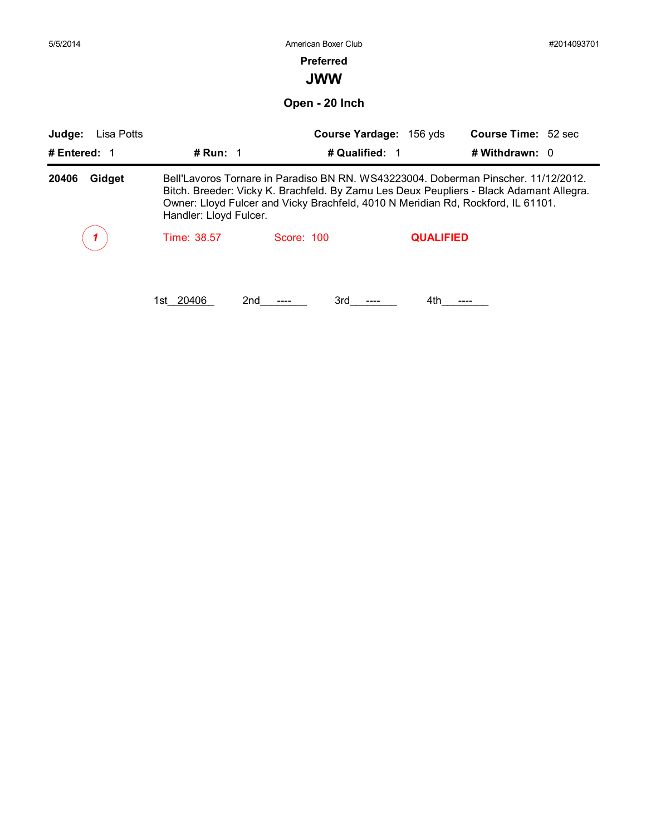| 5/5/2014             |                        | American Boxer Club                                                                                                                                                                                                                                               |                         |                            | #2014093701 |
|----------------------|------------------------|-------------------------------------------------------------------------------------------------------------------------------------------------------------------------------------------------------------------------------------------------------------------|-------------------------|----------------------------|-------------|
|                      |                        | <b>Preferred</b>                                                                                                                                                                                                                                                  |                         |                            |             |
|                      |                        | <b>JWW</b>                                                                                                                                                                                                                                                        |                         |                            |             |
|                      |                        | Open - 20 Inch                                                                                                                                                                                                                                                    |                         |                            |             |
| Judge:<br>Lisa Potts |                        |                                                                                                                                                                                                                                                                   | Course Yardage: 156 yds | <b>Course Time: 52 sec</b> |             |
| # Entered: $1$       | # Run: $1$             | # Qualified: 1                                                                                                                                                                                                                                                    |                         | # Withdrawn: $0$           |             |
| Gidget<br>20406      | Handler: Lloyd Fulcer. | Bell'Lavoros Tornare in Paradiso BN RN. WS43223004. Doberman Pinscher. 11/12/2012.<br>Bitch. Breeder: Vicky K. Brachfeld. By Zamu Les Deux Peupliers - Black Adamant Allegra.<br>Owner: Lloyd Fulcer and Vicky Brachfeld, 4010 N Meridian Rd, Rockford, IL 61101. |                         |                            |             |
|                      | Time: 38.57            | Score: 100                                                                                                                                                                                                                                                        | <b>QUALIFIED</b>        |                            |             |
|                      |                        |                                                                                                                                                                                                                                                                   |                         |                            |             |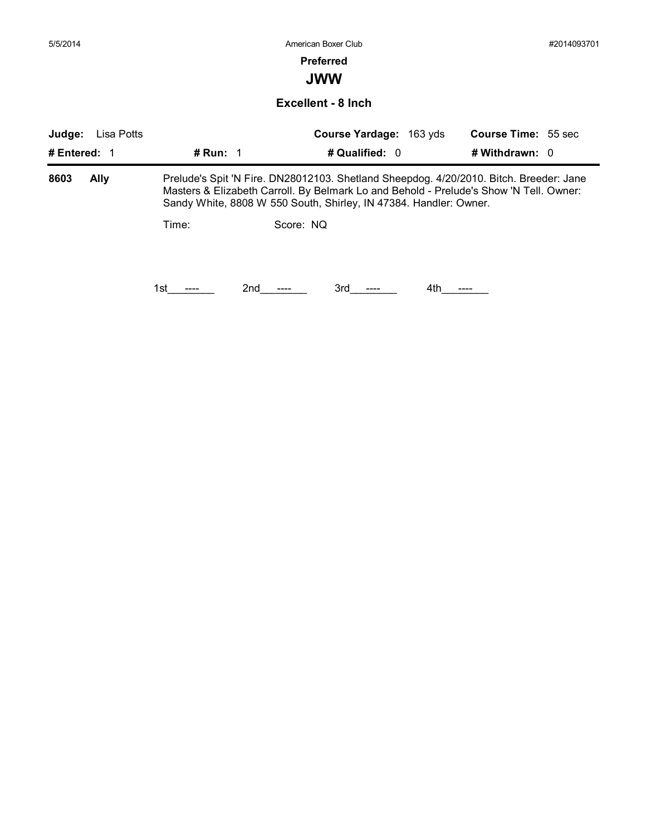| 5/5/2014     |             |            | American Boxer Club                                                                                                                                                                                                                                   |                            | #2014093701 |
|--------------|-------------|------------|-------------------------------------------------------------------------------------------------------------------------------------------------------------------------------------------------------------------------------------------------------|----------------------------|-------------|
|              |             |            | <b>Preferred</b>                                                                                                                                                                                                                                      |                            |             |
|              |             |            | <b>JWW</b>                                                                                                                                                                                                                                            |                            |             |
|              |             |            | <b>Excellent - 8 Inch</b>                                                                                                                                                                                                                             |                            |             |
| Judge:       | Lisa Potts  |            | Course Yardage: 163 yds                                                                                                                                                                                                                               | <b>Course Time: 55 sec</b> |             |
| # Entered: 1 |             | # Run: $1$ | # Qualified: 0                                                                                                                                                                                                                                        | # Withdrawn: $0$           |             |
| 8603         | <b>Ally</b> |            | Prelude's Spit 'N Fire. DN28012103. Shetland Sheepdog. 4/20/2010. Bitch. Breeder: Jane<br>Masters & Elizabeth Carroll. By Belmark Lo and Behold - Prelude's Show 'N Tell. Owner:<br>Sandy White, 8808 W 550 South, Shirley, IN 47384. Handler: Owner. |                            |             |
|              |             | Time:      | Score: NQ                                                                                                                                                                                                                                             |                            |             |
|              |             |            |                                                                                                                                                                                                                                                       |                            |             |
|              |             |            |                                                                                                                                                                                                                                                       |                            |             |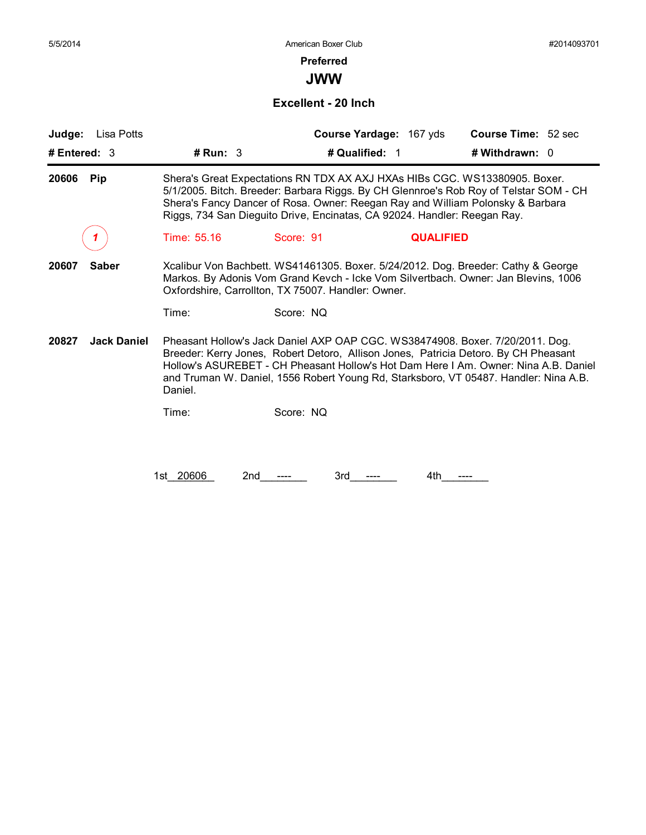## **Preferred**

**JWW**

#### **Excellent - 20 Inch**

| # Run: 3<br># Qualified: 1<br># Withdrawn: 0<br>Shera's Great Expectations RN TDX AX AXJ HXAs HIBs CGC. WS13380905. Boxer.<br><b>Pip</b><br>5/1/2005. Bitch. Breeder: Barbara Riggs. By CH Glennroe's Rob Roy of Telstar SOM - CH<br>Shera's Fancy Dancer of Rosa. Owner: Reegan Ray and William Polonsky & Barbara<br>Riggs, 734 San Dieguito Drive, Encinatas, CA 92024. Handler: Reegan Ray.<br>Time: 55.16<br>Score: 91<br><b>QUALIFIED</b><br><b>Saber</b><br>Oxfordshire, Carrollton, TX 75007. Handler: Owner.<br>Time:<br>Score: NQ<br>20827<br><b>Jack Daniel</b><br>Pheasant Hollow's Jack Daniel AXP OAP CGC. WS38474908. Boxer. 7/20/2011. Dog.<br>Breeder: Kerry Jones, Robert Detoro, Allison Jones, Patricia Detoro. By CH Pheasant<br>Hollow's ASUREBET - CH Pheasant Hollow's Hot Dam Here I Am. Owner: Nina A.B. Daniel<br>and Truman W. Daniel, 1556 Robert Young Rd, Starksboro, VT 05487. Handler: Nina A.B. | # Entered: 3 |                                                                                                                                                                         |  |  |  |  |
|-----------------------------------------------------------------------------------------------------------------------------------------------------------------------------------------------------------------------------------------------------------------------------------------------------------------------------------------------------------------------------------------------------------------------------------------------------------------------------------------------------------------------------------------------------------------------------------------------------------------------------------------------------------------------------------------------------------------------------------------------------------------------------------------------------------------------------------------------------------------------------------------------------------------------------------|--------------|-------------------------------------------------------------------------------------------------------------------------------------------------------------------------|--|--|--|--|
|                                                                                                                                                                                                                                                                                                                                                                                                                                                                                                                                                                                                                                                                                                                                                                                                                                                                                                                                   |              |                                                                                                                                                                         |  |  |  |  |
|                                                                                                                                                                                                                                                                                                                                                                                                                                                                                                                                                                                                                                                                                                                                                                                                                                                                                                                                   | 20606        |                                                                                                                                                                         |  |  |  |  |
|                                                                                                                                                                                                                                                                                                                                                                                                                                                                                                                                                                                                                                                                                                                                                                                                                                                                                                                                   |              |                                                                                                                                                                         |  |  |  |  |
|                                                                                                                                                                                                                                                                                                                                                                                                                                                                                                                                                                                                                                                                                                                                                                                                                                                                                                                                   | 20607        | Xcalibur Von Bachbett. WS41461305. Boxer. 5/24/2012. Dog. Breeder: Cathy & George<br>Markos. By Adonis Vom Grand Kevch - Icke Vom Silvertbach. Owner: Jan Blevins, 1006 |  |  |  |  |
|                                                                                                                                                                                                                                                                                                                                                                                                                                                                                                                                                                                                                                                                                                                                                                                                                                                                                                                                   |              |                                                                                                                                                                         |  |  |  |  |
|                                                                                                                                                                                                                                                                                                                                                                                                                                                                                                                                                                                                                                                                                                                                                                                                                                                                                                                                   |              | Daniel.                                                                                                                                                                 |  |  |  |  |
| Score: NQ<br>Time:                                                                                                                                                                                                                                                                                                                                                                                                                                                                                                                                                                                                                                                                                                                                                                                                                                                                                                                |              |                                                                                                                                                                         |  |  |  |  |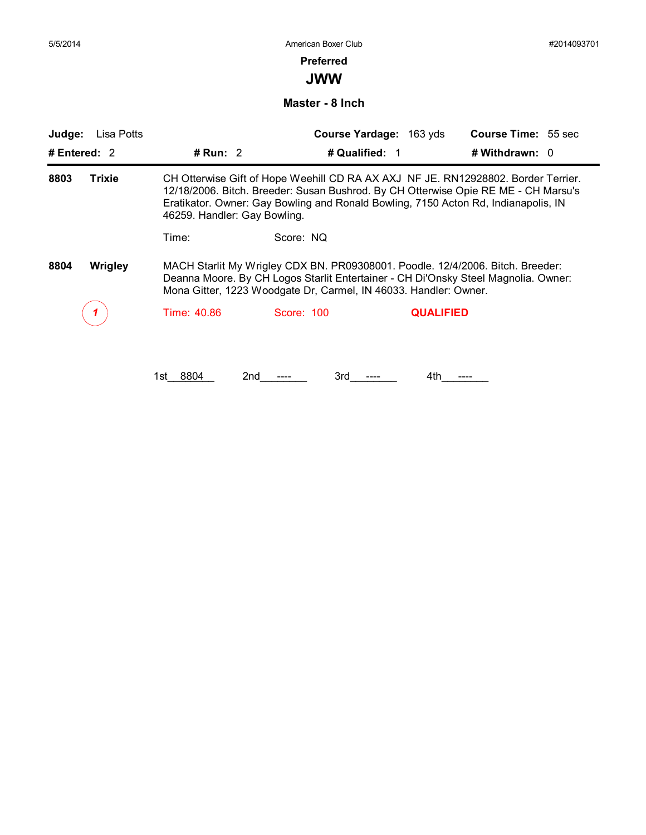#### **Preferred**

**JWW**

**Master - 8 Inch**

| # Entered: $2$<br># Run: $2$<br>8803<br>Trixie<br>46259. Handler: Gay Bowling.      | # Qualified: 1<br># Withdrawn: $0$<br>CH Otterwise Gift of Hope Weehill CD RA AX AXJ NF JE. RN12928802. Border Terrier.<br>12/18/2006. Bitch. Breeder: Susan Bushrod. By CH Otterwise Opie RE ME - CH Marsu's<br>Eratikator. Owner: Gay Bowling and Ronald Bowling, 7150 Acton Rd, Indianapolis, IN |
|-------------------------------------------------------------------------------------|-----------------------------------------------------------------------------------------------------------------------------------------------------------------------------------------------------------------------------------------------------------------------------------------------------|
|                                                                                     |                                                                                                                                                                                                                                                                                                     |
|                                                                                     |                                                                                                                                                                                                                                                                                                     |
| Score: NQ<br>Time:                                                                  |                                                                                                                                                                                                                                                                                                     |
| 8804<br>Wrigley<br>Mona Gitter, 1223 Woodgate Dr, Carmel, IN 46033. Handler: Owner. | MACH Starlit My Wrigley CDX BN. PR09308001. Poodle. 12/4/2006. Bitch. Breeder:<br>Deanna Moore. By CH Logos Starlit Entertainer - CH Di'Onsky Steel Magnolia. Owner:                                                                                                                                |
| Time: 40.86<br>Score: 100                                                           | <b>QUALIFIED</b>                                                                                                                                                                                                                                                                                    |

1st\_\_\_\_\_\_\_\_ 8804 2nd\_\_\_\_\_\_\_\_ ---- 3rd\_\_\_\_\_\_\_\_ ---- 4th\_\_\_\_\_\_\_\_ ----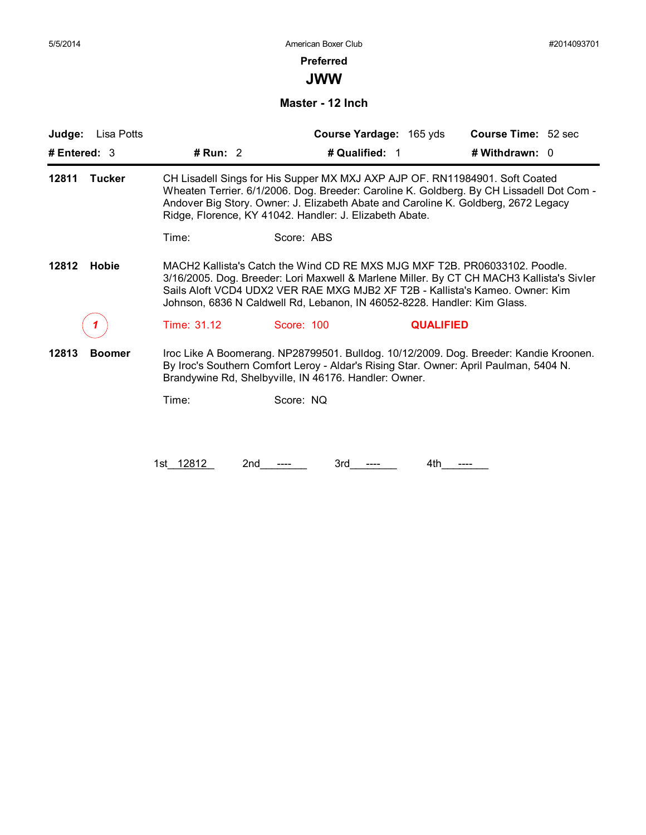## **Preferred**

**JWW**

**Master - 12 Inch**

| Judge:<br>Lisa Potts   |             | Course Yardage: 165 yds                                                                                                                                                                                                                | <b>Course Time: 52 sec</b>                                                               |
|------------------------|-------------|----------------------------------------------------------------------------------------------------------------------------------------------------------------------------------------------------------------------------------------|------------------------------------------------------------------------------------------|
| # Entered: $3$         | # Run: $2$  | # Qualified: 1                                                                                                                                                                                                                         | # Withdrawn: 0                                                                           |
| 12811<br><b>Tucker</b> |             | CH Lisadell Sings for His Supper MX MXJ AXP AJP OF. RN11984901. Soft Coated<br>Andover Big Story. Owner: J. Elizabeth Abate and Caroline K. Goldberg, 2672 Legacy<br>Ridge, Florence, KY 41042. Handler: J. Elizabeth Abate.           | Wheaten Terrier. 6/1/2006. Dog. Breeder: Caroline K. Goldberg. By CH Lissadell Dot Com - |
|                        | Time:       | Score: ABS                                                                                                                                                                                                                             |                                                                                          |
| <b>Hobie</b><br>12812  |             | MACH2 Kallista's Catch the Wind CD RE MXS MJG MXF T2B, PR06033102, Poodle.<br>Sails Aloft VCD4 UDX2 VER RAE MXG MJB2 XF T2B - Kallista's Kameo. Owner: Kim<br>Johnson, 6836 N Caldwell Rd, Lebanon, IN 46052-8228. Handler: Kim Glass. | 3/16/2005. Dog. Breeder: Lori Maxwell & Marlene Miller. By CT CH MACH3 Kallista's Sivler |
|                        | Time: 31.12 | Score: 100                                                                                                                                                                                                                             | <b>QUALIFIED</b>                                                                         |
| 12813<br><b>Boomer</b> |             | By Iroc's Southern Comfort Leroy - Aldar's Rising Star. Owner: April Paulman, 5404 N.<br>Brandywine Rd, Shelbyville, IN 46176. Handler: Owner.                                                                                         | Iroc Like A Boomerang. NP28799501. Bulldog. 10/12/2009. Dog. Breeder: Kandie Kroonen.    |
|                        | Time:       | Score: NQ                                                                                                                                                                                                                              |                                                                                          |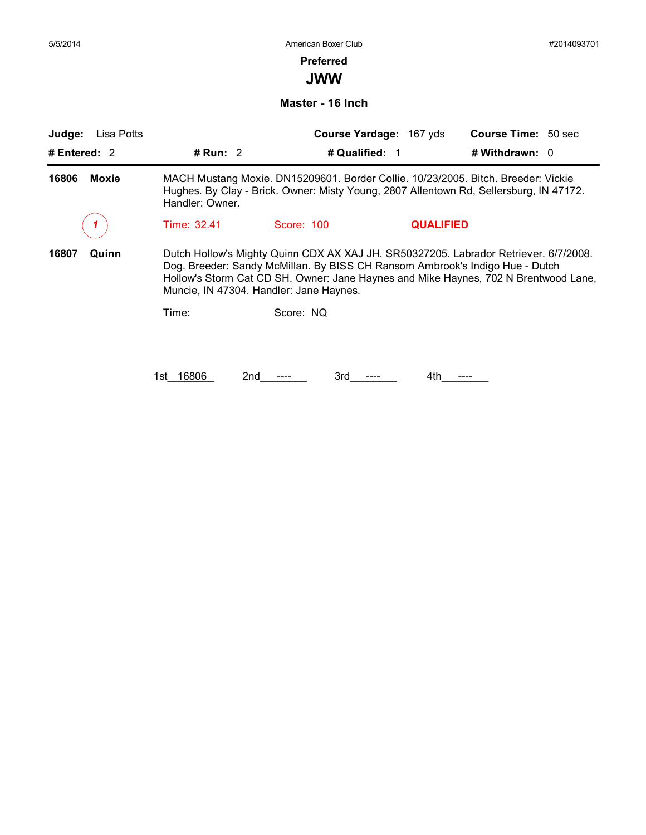## **Preferred**

**JWW**

**Master - 16 Inch**

| Judge:<br>Lisa Potts  |                       |                                                                                                                         | Course Yardage: 167 yds | <b>Course Time: 50 sec</b>                                                                                                                                                  |
|-----------------------|-----------------------|-------------------------------------------------------------------------------------------------------------------------|-------------------------|-----------------------------------------------------------------------------------------------------------------------------------------------------------------------------|
| # Entered: $2$        | # Run: $2$            |                                                                                                                         | # Qualified: 1          | # Withdrawn: 0                                                                                                                                                              |
| <b>Moxie</b><br>16806 | Handler: Owner.       |                                                                                                                         |                         | MACH Mustang Moxie. DN15209601. Border Collie. 10/23/2005. Bitch. Breeder: Vickie<br>Hughes. By Clay - Brick. Owner: Misty Young, 2807 Allentown Rd, Sellersburg, IN 47172. |
|                       | Time: 32.41           | Score: 100                                                                                                              | <b>QUALIFIED</b>        |                                                                                                                                                                             |
| 16807<br>Quinn        |                       | Dog. Breeder: Sandy McMillan. By BISS CH Ransom Ambrook's Indigo Hue - Dutch<br>Muncie, IN 47304. Handler: Jane Haynes. |                         | Dutch Hollow's Mighty Quinn CDX AX XAJ JH. SR50327205. Labrador Retriever. 6/7/2008.<br>Hollow's Storm Cat CD SH. Owner: Jane Haynes and Mike Haynes, 702 N Brentwood Lane, |
|                       | Time:                 | Score: NQ                                                                                                               |                         |                                                                                                                                                                             |
|                       |                       |                                                                                                                         |                         |                                                                                                                                                                             |
|                       | 16806<br>2nd<br>1st l | 3rd                                                                                                                     | 4th                     |                                                                                                                                                                             |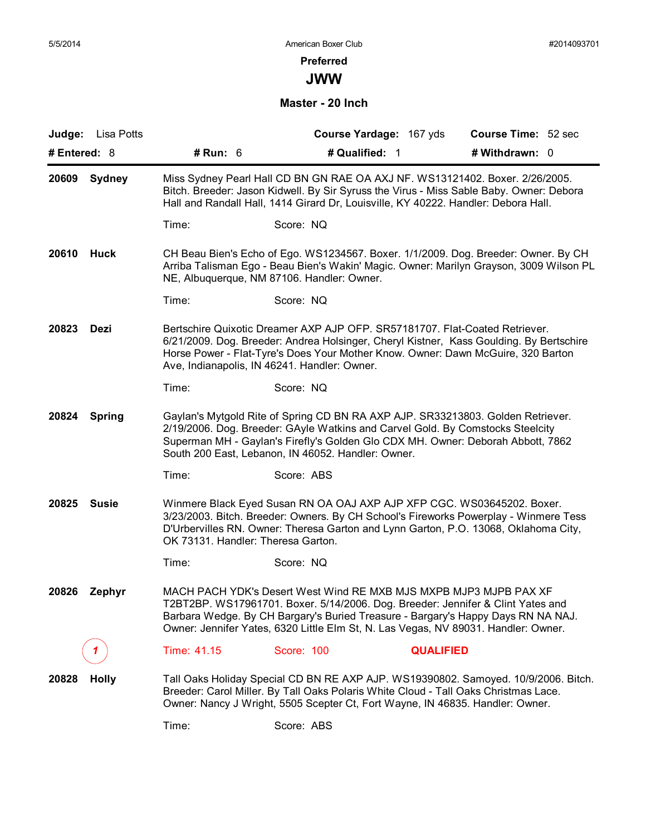## **Preferred**

**JWW**

**Master - 20 Inch**

|              | Judge: Lisa Potts |                                    |                                                                                                                                                                                                                                                                                                                                | Course Yardage: 167 yds | Course Time: 52 sec |  |
|--------------|-------------------|------------------------------------|--------------------------------------------------------------------------------------------------------------------------------------------------------------------------------------------------------------------------------------------------------------------------------------------------------------------------------|-------------------------|---------------------|--|
| # Entered: 8 |                   | # Run: 6                           | # Qualified: 1                                                                                                                                                                                                                                                                                                                 |                         | # Withdrawn: 0      |  |
| 20609        | <b>Sydney</b>     |                                    | Miss Sydney Pearl Hall CD BN GN RAE OA AXJ NF. WS13121402. Boxer. 2/26/2005.<br>Bitch. Breeder: Jason Kidwell. By Sir Syruss the Virus - Miss Sable Baby. Owner: Debora<br>Hall and Randall Hall, 1414 Girard Dr, Louisville, KY 40222. Handler: Debora Hall.                                                                  |                         |                     |  |
|              |                   | Time:                              | Score: NQ                                                                                                                                                                                                                                                                                                                      |                         |                     |  |
| 20610        | <b>Huck</b>       |                                    | CH Beau Bien's Echo of Ego. WS1234567. Boxer. 1/1/2009. Dog. Breeder: Owner. By CH<br>Arriba Talisman Ego - Beau Bien's Wakin' Magic. Owner: Marilyn Grayson, 3009 Wilson PL<br>NE, Albuquerque, NM 87106. Handler: Owner.                                                                                                     |                         |                     |  |
|              |                   | Time:                              | Score: NQ                                                                                                                                                                                                                                                                                                                      |                         |                     |  |
| 20823        | Dezi              |                                    | Bertschire Quixotic Dreamer AXP AJP OFP. SR57181707. Flat-Coated Retriever.<br>6/21/2009. Dog. Breeder: Andrea Holsinger, Cheryl Kistner, Kass Goulding. By Bertschire<br>Horse Power - Flat-Tyre's Does Your Mother Know. Owner: Dawn McGuire, 320 Barton<br>Ave, Indianapolis, IN 46241. Handler: Owner.                     |                         |                     |  |
|              |                   | Time:                              | Score: NQ                                                                                                                                                                                                                                                                                                                      |                         |                     |  |
| 20824        | <b>Spring</b>     |                                    | Gaylan's Mytgold Rite of Spring CD BN RA AXP AJP. SR33213803. Golden Retriever.<br>2/19/2006. Dog. Breeder: GAyle Watkins and Carvel Gold. By Comstocks Steelcity<br>Superman MH - Gaylan's Firefly's Golden Glo CDX MH. Owner: Deborah Abbott, 7862<br>South 200 East, Lebanon, IN 46052. Handler: Owner.                     |                         |                     |  |
|              |                   | Time:                              | Score: ABS                                                                                                                                                                                                                                                                                                                     |                         |                     |  |
| 20825        | <b>Susie</b>      | OK 73131. Handler: Theresa Garton. | Winmere Black Eyed Susan RN OA OAJ AXP AJP XFP CGC. WS03645202. Boxer.<br>3/23/2003. Bitch. Breeder: Owners. By CH School's Fireworks Powerplay - Winmere Tess<br>D'Urbervilles RN. Owner: Theresa Garton and Lynn Garton, P.O. 13068, Oklahoma City,                                                                          |                         |                     |  |
|              |                   | Time:                              | Score: NQ                                                                                                                                                                                                                                                                                                                      |                         |                     |  |
| 20826        | Zephyr            |                                    | MACH PACH YDK's Desert West Wind RE MXB MJS MXPB MJP3 MJPB PAX XF<br>T2BT2BP. WS17961701. Boxer. 5/14/2006. Dog. Breeder: Jennifer & Clint Yates and<br>Barbara Wedge. By CH Bargary's Buried Treasure - Bargary's Happy Days RN NA NAJ.<br>Owner: Jennifer Yates, 6320 Little Elm St, N. Las Vegas, NV 89031. Handler: Owner. |                         |                     |  |
|              |                   | Time: 41.15                        | Score: 100                                                                                                                                                                                                                                                                                                                     | <b>QUALIFIED</b>        |                     |  |
| 20828        | <b>Holly</b>      |                                    | Tall Oaks Holiday Special CD BN RE AXP AJP. WS19390802. Samoyed. 10/9/2006. Bitch.<br>Breeder: Carol Miller. By Tall Oaks Polaris White Cloud - Tall Oaks Christmas Lace.<br>Owner: Nancy J Wright, 5505 Scepter Ct, Fort Wayne, IN 46835. Handler: Owner.                                                                     |                         |                     |  |
|              |                   | Time:                              | Score: ABS                                                                                                                                                                                                                                                                                                                     |                         |                     |  |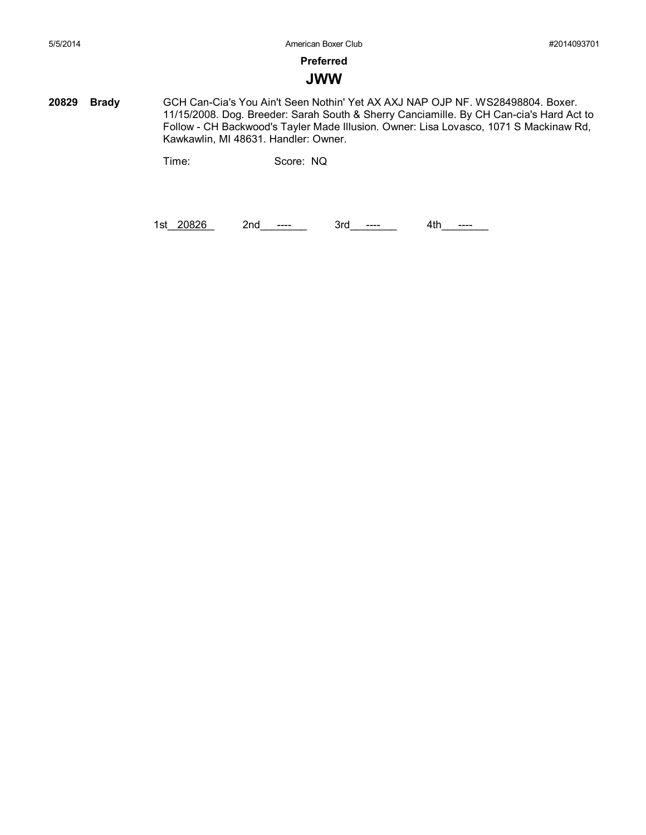## **Preferred**

## **JWW**

**20829 Brady** GCH Can-Cia's You Ain't Seen Nothin' Yet AX AXJ NAP OJP NF. WS28498804. Boxer. 11/15/2008. Dog. Breeder: Sarah South & Sherry Canciamille. By CH Can-cia's Hard Act to Follow - CH Backwood's Tayler Made Illusion. Owner: Lisa Lovasco, 1071 S Mackinaw Rd, Kawkawlin, MI 48631. Handler: Owner.

Time: Score: NQ

1st\_20826 2nd\_\_----\_\_ 3rd\_\_---\_ 4th\_\_---\_\_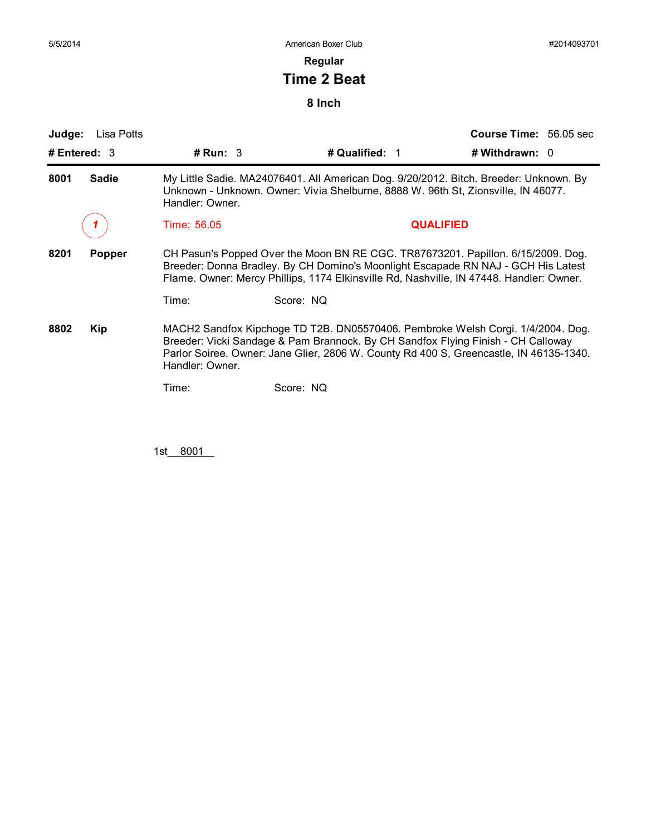## **Regular**

# **Time 2 Beat**

## **8 Inch**

| Judge:<br>Lisa Potts<br># Entered: $3$ | # $Run: 3$                                                                                                                                                                                    | # Qualified: 1                                                                                       | <b>Course Time: 56.05 sec</b><br># Withdrawn: 0                                                                                                                           |  |  |
|----------------------------------------|-----------------------------------------------------------------------------------------------------------------------------------------------------------------------------------------------|------------------------------------------------------------------------------------------------------|---------------------------------------------------------------------------------------------------------------------------------------------------------------------------|--|--|
| <b>Sadie</b><br>8001                   | My Little Sadie. MA24076401. All American Dog. 9/20/2012. Bitch. Breeder: Unknown. By<br>Unknown - Unknown. Owner: Vivia Shelburne, 8888 W. 96th St, Zionsville, IN 46077.<br>Handler: Owner. |                                                                                                      |                                                                                                                                                                           |  |  |
|                                        | Time: 56.05                                                                                                                                                                                   |                                                                                                      | <b>QUALIFIED</b>                                                                                                                                                          |  |  |
| 8201<br><b>Popper</b>                  | Time:                                                                                                                                                                                         | Flame. Owner: Mercy Phillips, 1174 Elkinsville Rd, Nashville, IN 47448. Handler: Owner.<br>Score: NQ | CH Pasun's Popped Over the Moon BN RE CGC. TR87673201. Papillon. 6/15/2009. Dog.<br>Breeder: Donna Bradley. By CH Domino's Moonlight Escapade RN NAJ - GCH His Latest     |  |  |
| 8802<br>Kip                            | Handler: Owner.                                                                                                                                                                               | Breeder: Vicki Sandage & Pam Brannock. By CH Sandfox Flying Finish - CH Calloway                     | MACH2 Sandfox Kipchoge TD T2B. DN05570406. Pembroke Welsh Corgi. 1/4/2004. Dog.<br>Parlor Soiree. Owner: Jane Glier, 2806 W. County Rd 400 S, Greencastle, IN 46135-1340. |  |  |
|                                        | Time:                                                                                                                                                                                         | Score: NQ                                                                                            |                                                                                                                                                                           |  |  |

1st\_\_\_8001\_\_\_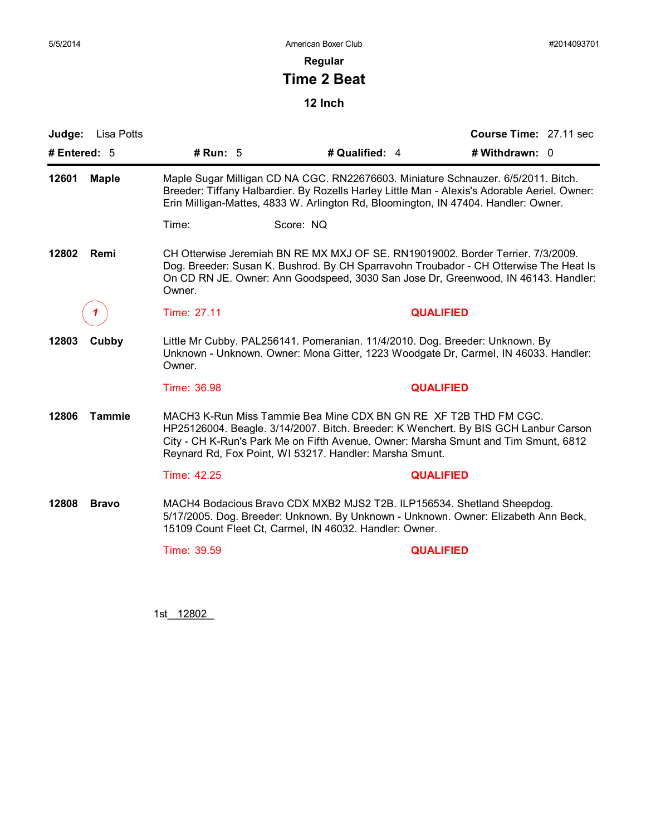**Regular**

# **Time 2 Beat**

**12 Inch**

| Judge:<br>Lisa Potts   |                                                                                                                                                                                                                                                                                                          |                                                                                                                                                                                                                                                                | Course Time: 27.11 sec |  |  |
|------------------------|----------------------------------------------------------------------------------------------------------------------------------------------------------------------------------------------------------------------------------------------------------------------------------------------------------|----------------------------------------------------------------------------------------------------------------------------------------------------------------------------------------------------------------------------------------------------------------|------------------------|--|--|
| # Entered: $5$         | # Run: $5$                                                                                                                                                                                                                                                                                               | # Qualified: 4                                                                                                                                                                                                                                                 | # Withdrawn: 0         |  |  |
| 12601<br><b>Maple</b>  | Maple Sugar Milligan CD NA CGC. RN22676603. Miniature Schnauzer. 6/5/2011. Bitch.<br>Breeder: Tiffany Halbardier. By Rozells Harley Little Man - Alexis's Adorable Aeriel. Owner:<br>Erin Milligan-Mattes, 4833 W. Arlington Rd, Bloomington, IN 47404. Handler: Owner.                                  |                                                                                                                                                                                                                                                                |                        |  |  |
|                        | Time:                                                                                                                                                                                                                                                                                                    | Score: NQ                                                                                                                                                                                                                                                      |                        |  |  |
| 12802<br>Remi          | Owner.                                                                                                                                                                                                                                                                                                   | CH Otterwise Jeremiah BN RE MX MXJ OF SE. RN19019002. Border Terrier. 7/3/2009.<br>Dog. Breeder: Susan K. Bushrod. By CH Sparravohn Troubador - CH Otterwise The Heat Is<br>On CD RN JE. Owner: Ann Goodspeed, 3030 San Jose Dr, Greenwood, IN 46143. Handler: |                        |  |  |
|                        | Time: 27.11                                                                                                                                                                                                                                                                                              | <b>QUALIFIED</b>                                                                                                                                                                                                                                               |                        |  |  |
| 12803<br>Cubby         | Little Mr Cubby. PAL256141. Pomeranian. 11/4/2010. Dog. Breeder: Unknown. By<br>Unknown - Unknown. Owner: Mona Gitter, 1223 Woodgate Dr, Carmel, IN 46033. Handler:<br>Owner.                                                                                                                            |                                                                                                                                                                                                                                                                |                        |  |  |
|                        | Time: 36.98                                                                                                                                                                                                                                                                                              | <b>QUALIFIED</b>                                                                                                                                                                                                                                               |                        |  |  |
| 12806<br><b>Tammie</b> | MACH3 K-Run Miss Tammie Bea Mine CDX BN GN RE XF T2B THD FM CGC.<br>HP25126004. Beagle. 3/14/2007. Bitch. Breeder: K Wenchert. By BIS GCH Lanbur Carson<br>City - CH K-Run's Park Me on Fifth Avenue. Owner: Marsha Smunt and Tim Smunt, 6812<br>Reynard Rd, Fox Point, WI 53217. Handler: Marsha Smunt. |                                                                                                                                                                                                                                                                |                        |  |  |
|                        | Time: 42.25                                                                                                                                                                                                                                                                                              | <b>QUALIFIED</b>                                                                                                                                                                                                                                               |                        |  |  |
| 12808<br><b>Bravo</b>  |                                                                                                                                                                                                                                                                                                          | MACH4 Bodacious Bravo CDX MXB2 MJS2 T2B. ILP156534. Shetland Sheepdog.<br>5/17/2005. Dog. Breeder: Unknown. By Unknown - Unknown. Owner: Elizabeth Ann Beck,<br>15109 Count Fleet Ct, Carmel, IN 46032. Handler: Owner.                                        |                        |  |  |
|                        | Time: 39.59                                                                                                                                                                                                                                                                                              | <b>QUALIFIED</b>                                                                                                                                                                                                                                               |                        |  |  |
|                        |                                                                                                                                                                                                                                                                                                          |                                                                                                                                                                                                                                                                |                        |  |  |

1st\_12802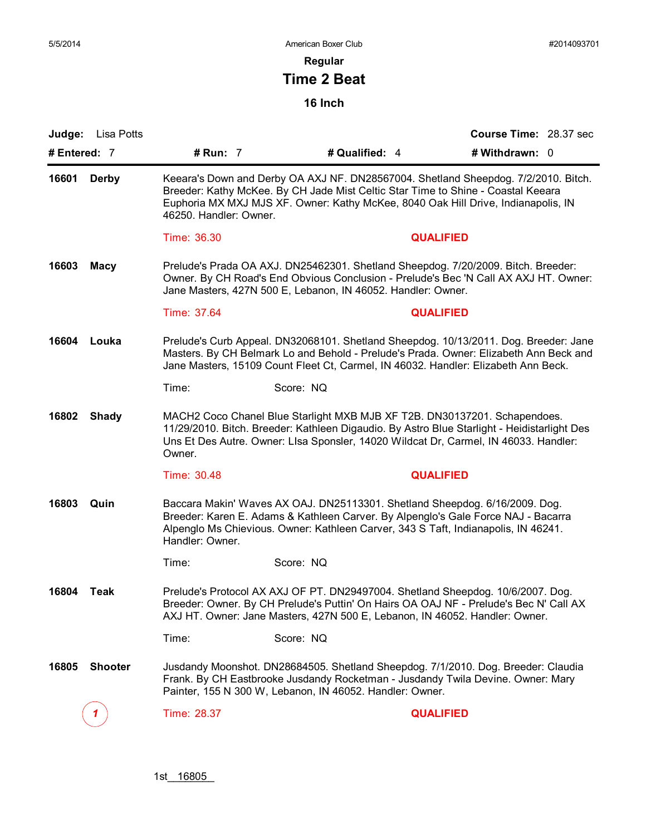### **Regular**

# **Time 2 Beat**

|                | <b>Judge:</b> Lisa Potts |                                                                                                                                                                                                                                                                                       |                                                                                                                                                                                                                                                                  | Course Time: 28.37 sec |  |  |  |
|----------------|--------------------------|---------------------------------------------------------------------------------------------------------------------------------------------------------------------------------------------------------------------------------------------------------------------------------------|------------------------------------------------------------------------------------------------------------------------------------------------------------------------------------------------------------------------------------------------------------------|------------------------|--|--|--|
| # Entered: 7   |                          | # Run: 7                                                                                                                                                                                                                                                                              | # Qualified: 4                                                                                                                                                                                                                                                   | # Withdrawn: 0         |  |  |  |
| 16601<br>Derby |                          | Keeara's Down and Derby OA AXJ NF. DN28567004. Shetland Sheepdog. 7/2/2010. Bitch.<br>Breeder: Kathy McKee. By CH Jade Mist Celtic Star Time to Shine - Coastal Keeara<br>Euphoria MX MXJ MJS XF. Owner: Kathy McKee, 8040 Oak Hill Drive, Indianapolis, IN<br>46250. Handler: Owner. |                                                                                                                                                                                                                                                                  |                        |  |  |  |
|                |                          | Time: 36.30                                                                                                                                                                                                                                                                           |                                                                                                                                                                                                                                                                  | <b>QUALIFIED</b>       |  |  |  |
| 16603<br>Macy  |                          | Prelude's Prada OA AXJ. DN25462301. Shetland Sheepdog. 7/20/2009. Bitch. Breeder:<br>Owner. By CH Road's End Obvious Conclusion - Prelude's Bec 'N Call AX AXJ HT. Owner:<br>Jane Masters, 427N 500 E, Lebanon, IN 46052. Handler: Owner.                                             |                                                                                                                                                                                                                                                                  |                        |  |  |  |
|                |                          | Time: 37.64                                                                                                                                                                                                                                                                           |                                                                                                                                                                                                                                                                  | <b>QUALIFIED</b>       |  |  |  |
| 16604<br>Louka |                          | Prelude's Curb Appeal. DN32068101. Shetland Sheepdog. 10/13/2011. Dog. Breeder: Jane<br>Masters. By CH Belmark Lo and Behold - Prelude's Prada. Owner: Elizabeth Ann Beck and<br>Jane Masters, 15109 Count Fleet Ct, Carmel, IN 46032. Handler: Elizabeth Ann Beck.                   |                                                                                                                                                                                                                                                                  |                        |  |  |  |
|                |                          | Time:                                                                                                                                                                                                                                                                                 | Score: NQ                                                                                                                                                                                                                                                        |                        |  |  |  |
| 16802          | <b>Shady</b>             | Owner.                                                                                                                                                                                                                                                                                | MACH2 Coco Chanel Blue Starlight MXB MJB XF T2B. DN30137201. Schapendoes.<br>11/29/2010. Bitch. Breeder: Kathleen Digaudio. By Astro Blue Starlight - Heidistarlight Des<br>Uns Et Des Autre. Owner: Lisa Sponsler, 14020 Wildcat Dr, Carmel, IN 46033. Handler: |                        |  |  |  |
|                |                          | Time: 30.48                                                                                                                                                                                                                                                                           |                                                                                                                                                                                                                                                                  | <b>QUALIFIED</b>       |  |  |  |
| 16803<br>Quin  |                          | Handler: Owner.                                                                                                                                                                                                                                                                       | Baccara Makin' Waves AX OAJ. DN25113301. Shetland Sheepdog. 6/16/2009. Dog.<br>Breeder: Karen E. Adams & Kathleen Carver. By Alpenglo's Gale Force NAJ - Bacarra<br>Alpenglo Ms Chievious. Owner: Kathleen Carver, 343 S Taft, Indianapolis, IN 46241.           |                        |  |  |  |
|                |                          | Time:                                                                                                                                                                                                                                                                                 | Score: NQ                                                                                                                                                                                                                                                        |                        |  |  |  |
| 16804          | Teak                     |                                                                                                                                                                                                                                                                                       | Prelude's Protocol AX AXJ OF PT. DN29497004. Shetland Sheepdog. 10/6/2007. Dog.<br>Breeder: Owner. By CH Prelude's Puttin' On Hairs OA OAJ NF - Prelude's Bec N' Call AX<br>AXJ HT. Owner: Jane Masters, 427N 500 E, Lebanon, IN 46052. Handler: Owner.          |                        |  |  |  |
|                |                          | Time:                                                                                                                                                                                                                                                                                 | Score: NQ                                                                                                                                                                                                                                                        |                        |  |  |  |
| 16805          | <b>Shooter</b>           |                                                                                                                                                                                                                                                                                       | Jusdandy Moonshot. DN28684505. Shetland Sheepdog. 7/1/2010. Dog. Breeder: Claudia<br>Frank. By CH Eastbrooke Jusdandy Rocketman - Jusdandy Twila Devine. Owner: Mary<br>Painter, 155 N 300 W, Lebanon, IN 46052. Handler: Owner.                                 |                        |  |  |  |
|                |                          | Time: 28.37                                                                                                                                                                                                                                                                           |                                                                                                                                                                                                                                                                  | <b>QUALIFIED</b>       |  |  |  |
|                |                          |                                                                                                                                                                                                                                                                                       |                                                                                                                                                                                                                                                                  |                        |  |  |  |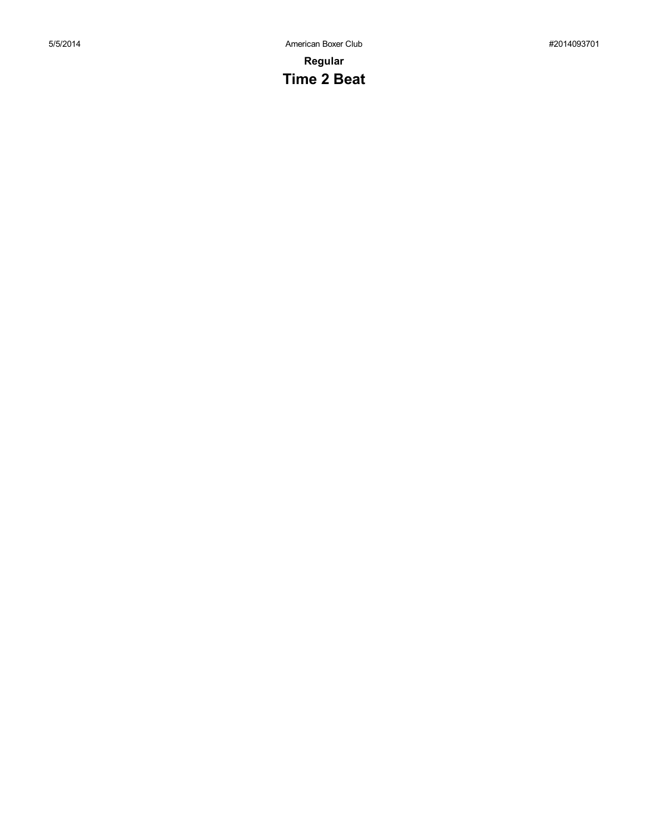# **Time 2 Beat**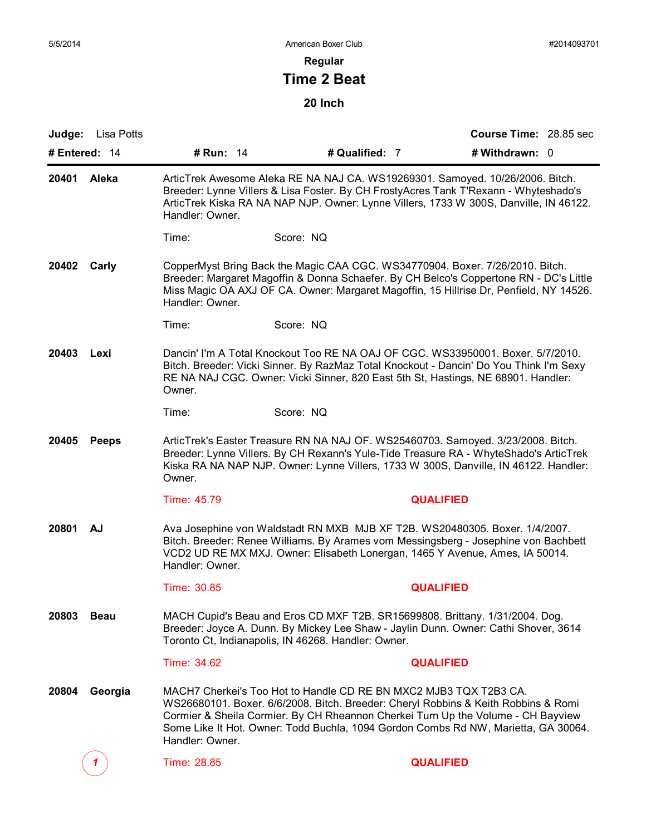**Regular**

# **Time 2 Beat**

| # Entered: 14<br># Run: 14<br># Qualified: 7<br># Withdrawn: 0<br>Aleka<br>ArticTrek Awesome Aleka RE NA NAJ CA. WS19269301. Samoyed. 10/26/2006. Bitch.<br>Breeder: Lynne Villers & Lisa Foster. By CH FrostyAcres Tank T'Rexann - Whyteshado's<br>ArticTrek Kiska RA NA NAP NJP. Owner: Lynne Villers, 1733 W 300S, Danville, IN 46122.<br>Handler: Owner.<br>Time:<br>Score: NQ<br>CopperMyst Bring Back the Magic CAA CGC. WS34770904. Boxer. 7/26/2010. Bitch.<br>Breeder: Margaret Magoffin & Donna Schaefer. By CH Belco's Coppertone RN - DC's Little<br>Miss Magic OA AXJ OF CA. Owner: Margaret Magoffin, 15 Hillrise Dr, Penfield, NY 14526.<br>Handler: Owner.<br>Score: NQ<br>Time:<br>Dancin' I'm A Total Knockout Too RE NA OAJ OF CGC. WS33950001. Boxer. 5/7/2010.<br>Lexi<br>Bitch. Breeder: Vicki Sinner. By RazMaz Total Knockout - Dancin' Do You Think I'm Sexy<br>RE NA NAJ CGC. Owner: Vicki Sinner, 820 East 5th St, Hastings, NE 68901. Handler:<br>Owner.<br>Score: NQ<br>Time:<br>ArticTrek's Easter Treasure RN NA NAJ OF. WS25460703. Samoyed. 3/23/2008. Bitch.<br><b>Peeps</b><br>Breeder: Lynne Villers. By CH Rexann's Yule-Tide Treasure RA - WhyteShado's ArticTrek<br>Kiska RA NA NAP NJP. Owner: Lynne Villers, 1733 W 300S, Danville, IN 46122. Handler:<br>Owner.<br>Time: 45.79<br><b>QUALIFIED</b><br>Ava Josephine von Waldstadt RN MXB MJB XF T2B. WS20480305. Boxer. 1/4/2007.<br>AJ<br>Bitch. Breeder: Renee Williams. By Arames vom Messingsberg - Josephine von Bachbett<br>VCD2 UD RE MX MXJ. Owner: Elisabeth Lonergan, 1465 Y Avenue, Ames, IA 50014.<br>Handler: Owner.<br>Time: 30.85<br><b>QUALIFIED</b><br>MACH Cupid's Beau and Eros CD MXF T2B. SR15699808. Brittany. 1/31/2004. Dog.<br><b>Beau</b><br>Breeder: Joyce A. Dunn. By Mickey Lee Shaw - Jaylin Dunn. Owner: Cathi Shover, 3614<br>Toronto Ct, Indianapolis, IN 46268. Handler: Owner.<br>Time: 34.62<br><b>QUALIFIED</b><br>MACH7 Cherkei's Too Hot to Handle CD RE BN MXC2 MJB3 TQX T2B3 CA.<br>Georgia<br>WS26680101. Boxer. 6/6/2008. Bitch. Breeder: Cheryl Robbins & Keith Robbins & Romi<br>Cormier & Sheila Cormier. By CH Rheannon Cherkei Turn Up the Volume - CH Bayview<br>Some Like It Hot. Owner: Todd Buchla, 1094 Gordon Combs Rd NW, Marietta, GA 30064.<br>Handler: Owner.<br>Time: 28.85<br><b>QUALIFIED</b> | Judge:      | Lisa Potts |  | Course Time: 28.85 sec |  |
|------------------------------------------------------------------------------------------------------------------------------------------------------------------------------------------------------------------------------------------------------------------------------------------------------------------------------------------------------------------------------------------------------------------------------------------------------------------------------------------------------------------------------------------------------------------------------------------------------------------------------------------------------------------------------------------------------------------------------------------------------------------------------------------------------------------------------------------------------------------------------------------------------------------------------------------------------------------------------------------------------------------------------------------------------------------------------------------------------------------------------------------------------------------------------------------------------------------------------------------------------------------------------------------------------------------------------------------------------------------------------------------------------------------------------------------------------------------------------------------------------------------------------------------------------------------------------------------------------------------------------------------------------------------------------------------------------------------------------------------------------------------------------------------------------------------------------------------------------------------------------------------------------------------------------------------------------------------------------------------------------------------------------------------------------------------------------------------------------------------------------------------------------------------------------------------------------------------------------------------------------------------------------------------------------------------------------------------------------|-------------|------------|--|------------------------|--|
|                                                                                                                                                                                                                                                                                                                                                                                                                                                                                                                                                                                                                                                                                                                                                                                                                                                                                                                                                                                                                                                                                                                                                                                                                                                                                                                                                                                                                                                                                                                                                                                                                                                                                                                                                                                                                                                                                                                                                                                                                                                                                                                                                                                                                                                                                                                                                      |             |            |  |                        |  |
|                                                                                                                                                                                                                                                                                                                                                                                                                                                                                                                                                                                                                                                                                                                                                                                                                                                                                                                                                                                                                                                                                                                                                                                                                                                                                                                                                                                                                                                                                                                                                                                                                                                                                                                                                                                                                                                                                                                                                                                                                                                                                                                                                                                                                                                                                                                                                      | 20401       |            |  |                        |  |
|                                                                                                                                                                                                                                                                                                                                                                                                                                                                                                                                                                                                                                                                                                                                                                                                                                                                                                                                                                                                                                                                                                                                                                                                                                                                                                                                                                                                                                                                                                                                                                                                                                                                                                                                                                                                                                                                                                                                                                                                                                                                                                                                                                                                                                                                                                                                                      |             |            |  |                        |  |
|                                                                                                                                                                                                                                                                                                                                                                                                                                                                                                                                                                                                                                                                                                                                                                                                                                                                                                                                                                                                                                                                                                                                                                                                                                                                                                                                                                                                                                                                                                                                                                                                                                                                                                                                                                                                                                                                                                                                                                                                                                                                                                                                                                                                                                                                                                                                                      | 20402 Carly |            |  |                        |  |
|                                                                                                                                                                                                                                                                                                                                                                                                                                                                                                                                                                                                                                                                                                                                                                                                                                                                                                                                                                                                                                                                                                                                                                                                                                                                                                                                                                                                                                                                                                                                                                                                                                                                                                                                                                                                                                                                                                                                                                                                                                                                                                                                                                                                                                                                                                                                                      |             |            |  |                        |  |
|                                                                                                                                                                                                                                                                                                                                                                                                                                                                                                                                                                                                                                                                                                                                                                                                                                                                                                                                                                                                                                                                                                                                                                                                                                                                                                                                                                                                                                                                                                                                                                                                                                                                                                                                                                                                                                                                                                                                                                                                                                                                                                                                                                                                                                                                                                                                                      | 20403       |            |  |                        |  |
|                                                                                                                                                                                                                                                                                                                                                                                                                                                                                                                                                                                                                                                                                                                                                                                                                                                                                                                                                                                                                                                                                                                                                                                                                                                                                                                                                                                                                                                                                                                                                                                                                                                                                                                                                                                                                                                                                                                                                                                                                                                                                                                                                                                                                                                                                                                                                      |             |            |  |                        |  |
|                                                                                                                                                                                                                                                                                                                                                                                                                                                                                                                                                                                                                                                                                                                                                                                                                                                                                                                                                                                                                                                                                                                                                                                                                                                                                                                                                                                                                                                                                                                                                                                                                                                                                                                                                                                                                                                                                                                                                                                                                                                                                                                                                                                                                                                                                                                                                      | 20405       |            |  |                        |  |
|                                                                                                                                                                                                                                                                                                                                                                                                                                                                                                                                                                                                                                                                                                                                                                                                                                                                                                                                                                                                                                                                                                                                                                                                                                                                                                                                                                                                                                                                                                                                                                                                                                                                                                                                                                                                                                                                                                                                                                                                                                                                                                                                                                                                                                                                                                                                                      |             |            |  |                        |  |
|                                                                                                                                                                                                                                                                                                                                                                                                                                                                                                                                                                                                                                                                                                                                                                                                                                                                                                                                                                                                                                                                                                                                                                                                                                                                                                                                                                                                                                                                                                                                                                                                                                                                                                                                                                                                                                                                                                                                                                                                                                                                                                                                                                                                                                                                                                                                                      | 20801       |            |  |                        |  |
|                                                                                                                                                                                                                                                                                                                                                                                                                                                                                                                                                                                                                                                                                                                                                                                                                                                                                                                                                                                                                                                                                                                                                                                                                                                                                                                                                                                                                                                                                                                                                                                                                                                                                                                                                                                                                                                                                                                                                                                                                                                                                                                                                                                                                                                                                                                                                      |             |            |  |                        |  |
|                                                                                                                                                                                                                                                                                                                                                                                                                                                                                                                                                                                                                                                                                                                                                                                                                                                                                                                                                                                                                                                                                                                                                                                                                                                                                                                                                                                                                                                                                                                                                                                                                                                                                                                                                                                                                                                                                                                                                                                                                                                                                                                                                                                                                                                                                                                                                      | 20803       |            |  |                        |  |
|                                                                                                                                                                                                                                                                                                                                                                                                                                                                                                                                                                                                                                                                                                                                                                                                                                                                                                                                                                                                                                                                                                                                                                                                                                                                                                                                                                                                                                                                                                                                                                                                                                                                                                                                                                                                                                                                                                                                                                                                                                                                                                                                                                                                                                                                                                                                                      |             |            |  |                        |  |
|                                                                                                                                                                                                                                                                                                                                                                                                                                                                                                                                                                                                                                                                                                                                                                                                                                                                                                                                                                                                                                                                                                                                                                                                                                                                                                                                                                                                                                                                                                                                                                                                                                                                                                                                                                                                                                                                                                                                                                                                                                                                                                                                                                                                                                                                                                                                                      | 20804       |            |  |                        |  |
|                                                                                                                                                                                                                                                                                                                                                                                                                                                                                                                                                                                                                                                                                                                                                                                                                                                                                                                                                                                                                                                                                                                                                                                                                                                                                                                                                                                                                                                                                                                                                                                                                                                                                                                                                                                                                                                                                                                                                                                                                                                                                                                                                                                                                                                                                                                                                      |             |            |  |                        |  |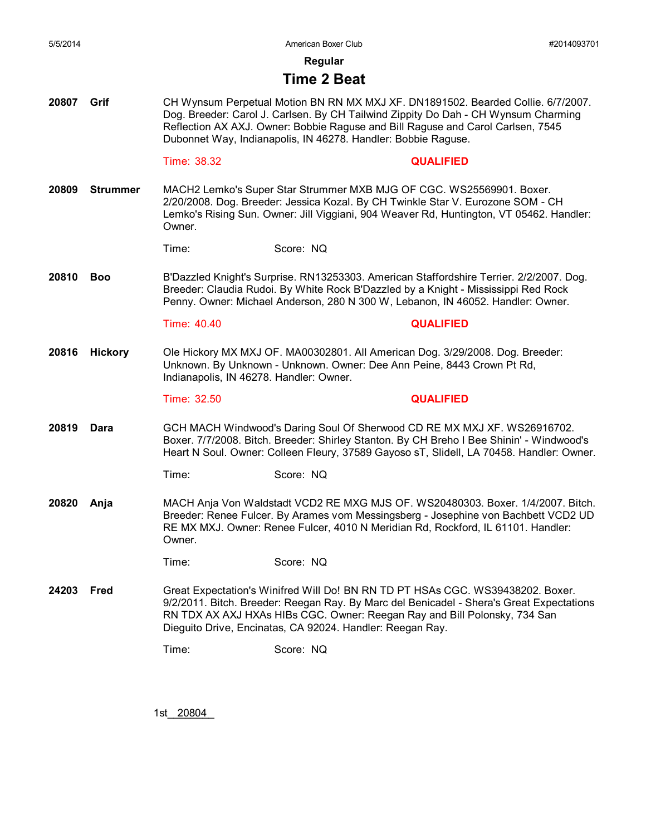**Regular**

### **Time 2 Beat**

**20807 Grif** CH Wynsum Perpetual Motion BN RN MX MXJ XF. DN1891502. Bearded Collie. 6/7/2007. Dog. Breeder: Carol J. Carlsen. By CH Tailwind Zippity Do Dah - CH Wynsum Charming Reflection AX AXJ. Owner: Bobbie Raguse and Bill Raguse and Carol Carlsen, 7545 Dubonnet Way, Indianapolis, IN 46278. Handler: Bobbie Raguse.

### Time: 38.32 **QUALIFIED**

**20809 Strummer** MACH2 Lemko's Super Star Strummer MXB MJG OF CGC. WS25569901. Boxer. 2/20/2008. Dog. Breeder: Jessica Kozal. By CH Twinkle Star V. Eurozone SOM - CH Lemko's Rising Sun. Owner: Jill Viggiani, 904 Weaver Rd, Huntington, VT 05462. Handler: Owner.

Time: Score: NQ

**20810 Boo** B'Dazzled Knight's Surprise. RN13253303. American Staffordshire Terrier. 2/2/2007. Dog. Breeder: Claudia Rudoi. By White Rock B'Dazzled by a Knight - Mississippi Red Rock Penny. Owner: Michael Anderson, 280 N 300 W, Lebanon, IN 46052. Handler: Owner.

Time: 40.40 **QUALIFIED**

**20816 Hickory** Ole Hickory MX MXJ OF. MA00302801. All American Dog. 3/29/2008. Dog. Breeder: Unknown. By Unknown - Unknown. Owner: Dee Ann Peine, 8443 Crown Pt Rd, Indianapolis, IN 46278. Handler: Owner.

Time: 32.50 **QUALIFIED**

**20819 Dara** GCH MACH Windwood's Daring Soul Of Sherwood CD RE MX MXJ XF. WS26916702. Boxer. 7/7/2008. Bitch. Breeder: Shirley Stanton. By CH Breho I Bee Shinin' - Windwood's Heart N Soul. Owner: Colleen Fleury, 37589 Gayoso sT, Slidell, LA 70458. Handler: Owner.

Time: Score: NQ

**20820 Anja** MACH Anja Von Waldstadt VCD2 RE MXG MJS OF. WS20480303. Boxer. 1/4/2007. Bitch. Breeder: Renee Fulcer. By Arames vom Messingsberg - Josephine von Bachbett VCD2 UD RE MX MXJ. Owner: Renee Fulcer, 4010 N Meridian Rd, Rockford, IL 61101. Handler: Owner.

Time: Score: NQ

**24203 Fred** Great Expectation's Winifred Will Do! BN RN TD PT HSAs CGC. WS39438202. Boxer. 9/2/2011. Bitch. Breeder: Reegan Ray. By Marc del Benicadel - Shera's Great Expectations RN TDX AX AXJ HXAs HIBs CGC. Owner: Reegan Ray and Bill Polonsky, 734 San Dieguito Drive, Encinatas, CA 92024. Handler: Reegan Ray.

Time: Score: NQ

1st\_\_\_\_\_\_\_\_ 20804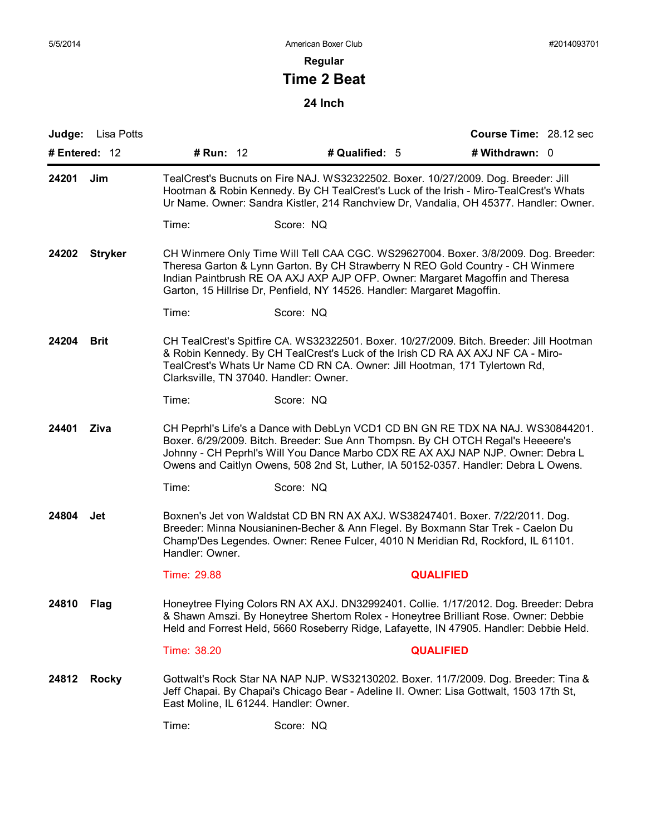### **Regular**

# **Time 2 Beat**

| <b>Judge:</b> Lisa Potts |                                        |                                                                                                                                                                                                                                                                                                                                              |                  | Course Time: 28.12 sec |  |  |
|--------------------------|----------------------------------------|----------------------------------------------------------------------------------------------------------------------------------------------------------------------------------------------------------------------------------------------------------------------------------------------------------------------------------------------|------------------|------------------------|--|--|
| # Entered: 12            | # Run: 12                              | # Qualified: 5                                                                                                                                                                                                                                                                                                                               |                  | # Withdrawn: 0         |  |  |
| 24201<br>Jim             |                                        | TealCrest's Bucnuts on Fire NAJ. WS32322502. Boxer. 10/27/2009. Dog. Breeder: Jill<br>Hootman & Robin Kennedy. By CH TealCrest's Luck of the Irish - Miro-TealCrest's Whats<br>Ur Name. Owner: Sandra Kistler, 214 Ranchview Dr, Vandalia, OH 45377. Handler: Owner.                                                                         |                  |                        |  |  |
|                          | Time:                                  | Score: NQ                                                                                                                                                                                                                                                                                                                                    |                  |                        |  |  |
| 24202 Stryker            |                                        | CH Winmere Only Time Will Tell CAA CGC. WS29627004. Boxer. 3/8/2009. Dog. Breeder:<br>Theresa Garton & Lynn Garton. By CH Strawberry N REO Gold Country - CH Winmere<br>Indian Paintbrush RE OA AXJ AXP AJP OFP. Owner: Margaret Magoffin and Theresa<br>Garton, 15 Hillrise Dr, Penfield, NY 14526. Handler: Margaret Magoffin.             |                  |                        |  |  |
|                          | Time:                                  | Score: NQ                                                                                                                                                                                                                                                                                                                                    |                  |                        |  |  |
| 24204<br><b>Brit</b>     |                                        | CH TealCrest's Spitfire CA. WS32322501. Boxer. 10/27/2009. Bitch. Breeder: Jill Hootman<br>& Robin Kennedy. By CH TealCrest's Luck of the Irish CD RA AX AXJ NF CA - Miro-<br>TealCrest's Whats Ur Name CD RN CA. Owner: Jill Hootman, 171 Tylertown Rd,<br>Clarksville, TN 37040. Handler: Owner.                                           |                  |                        |  |  |
|                          | Time:                                  | Score: NQ                                                                                                                                                                                                                                                                                                                                    |                  |                        |  |  |
| 24401<br>Ziva            |                                        | CH Peprhl's Life's a Dance with DebLyn VCD1 CD BN GN RE TDX NA NAJ. WS30844201.<br>Boxer. 6/29/2009. Bitch. Breeder: Sue Ann Thompsn. By CH OTCH Regal's Heeeere's<br>Johnny - CH Peprhl's Will You Dance Marbo CDX RE AX AXJ NAP NJP. Owner: Debra L<br>Owens and Caitlyn Owens, 508 2nd St, Luther, IA 50152-0357. Handler: Debra L Owens. |                  |                        |  |  |
|                          | Time:                                  | Score: NQ                                                                                                                                                                                                                                                                                                                                    |                  |                        |  |  |
| 24804<br>Jet             | Handler: Owner.                        | Boxnen's Jet von Waldstat CD BN RN AX AXJ. WS38247401. Boxer. 7/22/2011. Dog.<br>Breeder: Minna Nousianinen-Becher & Ann Flegel. By Boxmann Star Trek - Caelon Du<br>Champ'Des Legendes. Owner: Renee Fulcer, 4010 N Meridian Rd, Rockford, IL 61101.                                                                                        |                  |                        |  |  |
|                          | Time: 29.88                            |                                                                                                                                                                                                                                                                                                                                              | <b>QUALIFIED</b> |                        |  |  |
| 24810 Flag               |                                        | Honeytree Flying Colors RN AX AXJ. DN32992401. Collie. 1/17/2012. Dog. Breeder: Debra<br>& Shawn Amszi. By Honeytree Shertom Rolex - Honeytree Brilliant Rose. Owner: Debbie<br>Held and Forrest Held, 5660 Roseberry Ridge, Lafayette, IN 47905. Handler: Debbie Held.                                                                      |                  |                        |  |  |
|                          | Time: 38.20                            |                                                                                                                                                                                                                                                                                                                                              | <b>QUALIFIED</b> |                        |  |  |
| <b>Rocky</b><br>24812    | East Moline, IL 61244. Handler: Owner. | Gottwalt's Rock Star NA NAP NJP. WS32130202. Boxer. 11/7/2009. Dog. Breeder: Tina &<br>Jeff Chapai. By Chapai's Chicago Bear - Adeline II. Owner: Lisa Gottwalt, 1503 17th St,                                                                                                                                                               |                  |                        |  |  |
|                          | Time:                                  | Score: NQ                                                                                                                                                                                                                                                                                                                                    |                  |                        |  |  |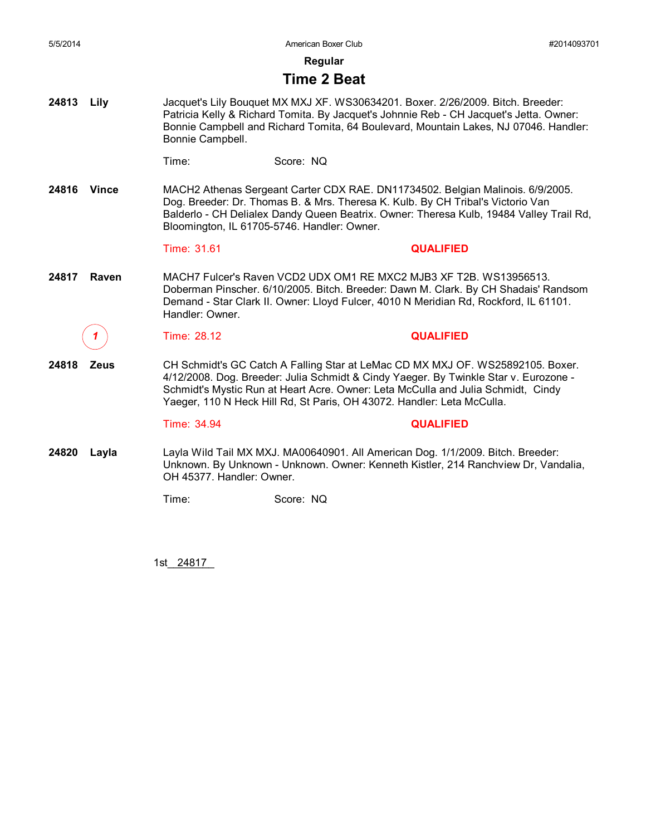**Regular**

### **Time 2 Beat**

**24813 Lily** Jacquet's Lily Bouquet MX MXJ XF. WS30634201. Boxer. 2/26/2009. Bitch. Breeder: Patricia Kelly & Richard Tomita. By Jacquet's Johnnie Reb - CH Jacquet's Jetta. Owner: Bonnie Campbell and Richard Tomita, 64 Boulevard, Mountain Lakes, NJ 07046. Handler: Bonnie Campbell.

| l ime: | Score: NQ |
|--------|-----------|
|        |           |

**24816 Vince** MACH2 Athenas Sergeant Carter CDX RAE. DN11734502. Belgian Malinois. 6/9/2005. Dog. Breeder: Dr. Thomas B. & Mrs. Theresa K. Kulb. By CH Tribal's Victorio Van Balderlo - CH Delialex Dandy Queen Beatrix. Owner: Theresa Kulb, 19484 Valley Trail Rd, Bloomington, IL 61705-5746. Handler: Owner.

### Time: 31.61 **QUALIFIED**

**24817 Raven** MACH7 Fulcer's Raven VCD2 UDX OM1 RE MXC2 MJB3 XF T2B. WS13956513. Doberman Pinscher. 6/10/2005. Bitch. Breeder: Dawn M. Clark. By CH Shadais' Randsom Demand - Star Clark II. Owner: Lloyd Fulcer, 4010 N Meridian Rd, Rockford, IL 61101. Handler: Owner.

**24818 Zeus** CH Schmidt's GC Catch A Falling Star at LeMac CD MX MXJ OF. WS25892105. Boxer. 4/12/2008. Dog. Breeder: Julia Schmidt & Cindy Yaeger. By Twinkle Star v. Eurozone - Schmidt's Mystic Run at Heart Acre. Owner: Leta McCulla and Julia Schmidt, Cindy Yaeger, 110 N Heck Hill Rd, St Paris, OH 43072. Handler: Leta McCulla.

*1* Time: 28.12 **QUALIFIED**

Time: 34.94 **QUALIFIED**

**24820 Layla** Layla Wild Tail MX MXJ. MA00640901. All American Dog. 1/1/2009. Bitch. Breeder: Unknown. By Unknown - Unknown. Owner: Kenneth Kistler, 214 Ranchview Dr, Vandalia, OH 45377. Handler: Owner.

Time: Score: NQ

1st\_\_\_\_\_\_\_\_ 24817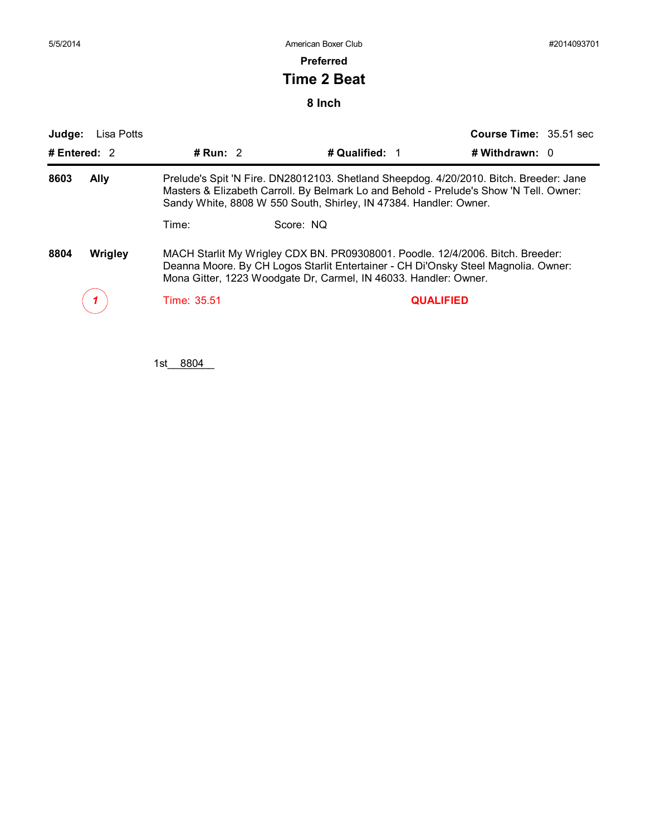**Preferred**

### **Time 2 Beat**

**8 Inch**

| Judge:<br>Lisa Potts<br># Entered: 2 | # Run: $2$                                                                                                                                                                                                                                            | # Qualified: 1 | <b>Course Time: 35.51 sec</b><br># Withdrawn: $0$ |  |  |
|--------------------------------------|-------------------------------------------------------------------------------------------------------------------------------------------------------------------------------------------------------------------------------------------------------|----------------|---------------------------------------------------|--|--|
| 8603<br><b>Ally</b>                  | Prelude's Spit 'N Fire. DN28012103. Shetland Sheepdog. 4/20/2010. Bitch. Breeder: Jane<br>Masters & Elizabeth Carroll. By Belmark Lo and Behold - Prelude's Show 'N Tell. Owner:<br>Sandy White, 8808 W 550 South, Shirley, IN 47384. Handler: Owner. |                |                                                   |  |  |
|                                      | Time:                                                                                                                                                                                                                                                 | Score: NQ      |                                                   |  |  |
| 8804<br><b>Wrigley</b>               | MACH Starlit My Wrigley CDX BN. PR09308001. Poodle. 12/4/2006. Bitch. Breeder:<br>Deanna Moore. By CH Logos Starlit Entertainer - CH Di'Onsky Steel Magnolia. Owner:<br>Mona Gitter, 1223 Woodgate Dr, Carmel, IN 46033. Handler: Owner.              |                |                                                   |  |  |
|                                      | Time: 35.51                                                                                                                                                                                                                                           |                | <b>QUALIFIED</b>                                  |  |  |

1st\_8804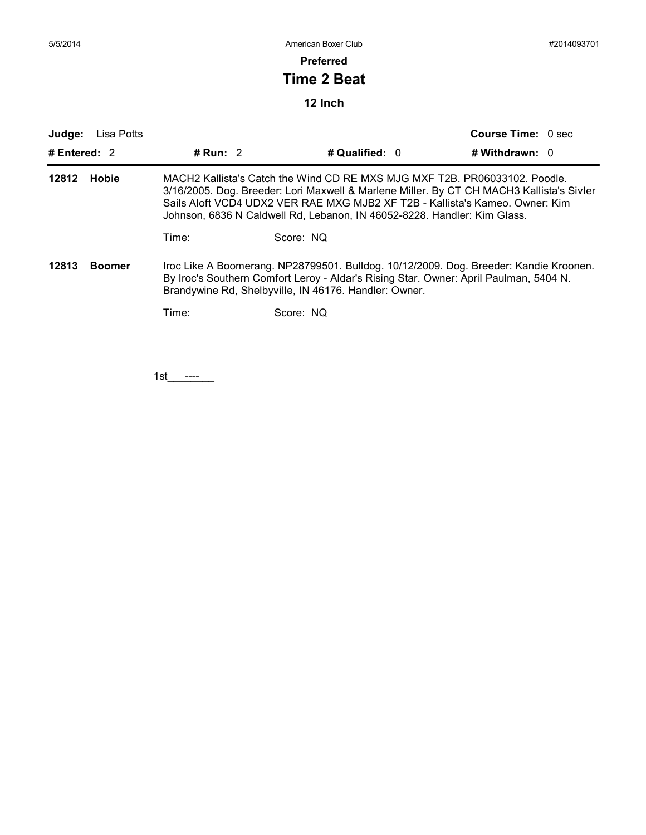### **Preferred**

# **Time 2 Beat**

### **12 Inch**

| Judge:                | Lisa Potts    |                                                                                                                                                                                                                                                                                                                                    |                  | <b>Course Time: 0 sec</b> |  |  |
|-----------------------|---------------|------------------------------------------------------------------------------------------------------------------------------------------------------------------------------------------------------------------------------------------------------------------------------------------------------------------------------------|------------------|---------------------------|--|--|
| # Entered: $2$        |               | # Run: $2$                                                                                                                                                                                                                                                                                                                         | # Qualified: $0$ | # Withdrawn: 0            |  |  |
| 12812<br><b>Hobie</b> |               | MACH2 Kallista's Catch the Wind CD RE MXS MJG MXF T2B. PR06033102. Poodle.<br>3/16/2005. Dog. Breeder: Lori Maxwell & Marlene Miller. By CT CH MACH3 Kallista's Sivler<br>Sails Aloft VCD4 UDX2 VER RAE MXG MJB2 XF T2B - Kallista's Kameo. Owner: Kim<br>Johnson, 6836 N Caldwell Rd, Lebanon, IN 46052-8228. Handler: Kim Glass. |                  |                           |  |  |
|                       |               | Time:                                                                                                                                                                                                                                                                                                                              | Score: NQ        |                           |  |  |
| 12813                 | <b>Boomer</b> | Iroc Like A Boomerang. NP28799501. Bulldog. 10/12/2009. Dog. Breeder: Kandie Kroonen.<br>By Iroc's Southern Comfort Leroy - Aldar's Rising Star. Owner: April Paulman, 5404 N.<br>Brandywine Rd, Shelbyville, IN 46176. Handler: Owner.                                                                                            |                  |                           |  |  |
|                       |               | Time:                                                                                                                                                                                                                                                                                                                              | Score: NQ        |                           |  |  |

1st\_\_\_\_<del>\_\_\_\_</del>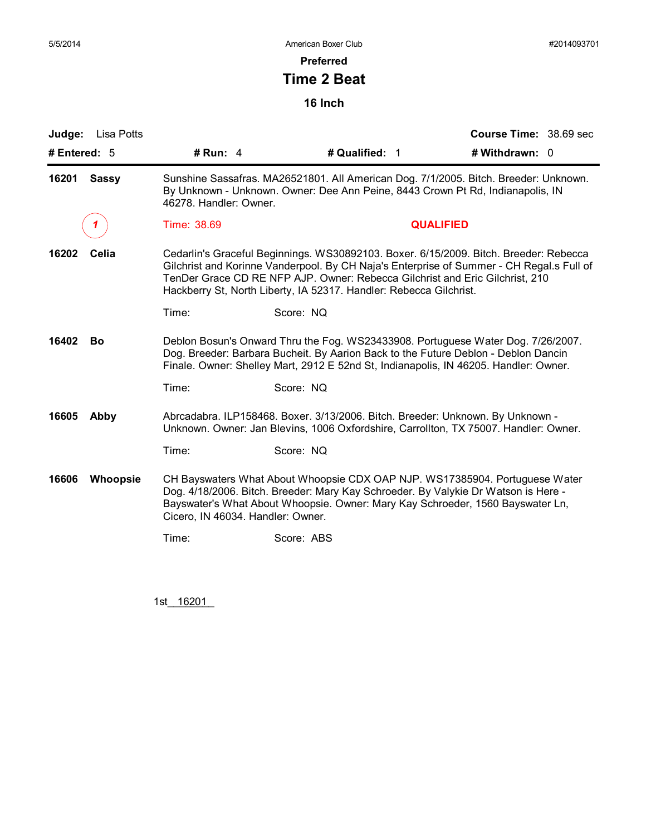### **Preferred**

# **Time 2 Beat**

**16 Inch**

| Judge: Lisa Potts        |                                                                                                                                                                                                                                                                                                                                         |                                                                                                                                                                                                                                                     | Course Time: 38.69 sec |  |  |
|--------------------------|-----------------------------------------------------------------------------------------------------------------------------------------------------------------------------------------------------------------------------------------------------------------------------------------------------------------------------------------|-----------------------------------------------------------------------------------------------------------------------------------------------------------------------------------------------------------------------------------------------------|------------------------|--|--|
| # Entered: 5             | # Run: $4$                                                                                                                                                                                                                                                                                                                              | # Qualified: 1                                                                                                                                                                                                                                      | # Withdrawn: 0         |  |  |
| 16201<br><b>Sassy</b>    | Sunshine Sassafras. MA26521801. All American Dog. 7/1/2005. Bitch. Breeder: Unknown.<br>By Unknown - Unknown. Owner: Dee Ann Peine, 8443 Crown Pt Rd, Indianapolis, IN<br>46278. Handler: Owner.                                                                                                                                        |                                                                                                                                                                                                                                                     |                        |  |  |
|                          | Time: 38.69                                                                                                                                                                                                                                                                                                                             | <b>QUALIFIED</b>                                                                                                                                                                                                                                    |                        |  |  |
| 16202<br>Celia           | Cedarlin's Graceful Beginnings. WS30892103. Boxer. 6/15/2009. Bitch. Breeder: Rebecca<br>Gilchrist and Korinne Vanderpool. By CH Naja's Enterprise of Summer - CH Regal.s Full of<br>TenDer Grace CD RE NFP AJP. Owner: Rebecca Gilchrist and Eric Gilchrist, 210<br>Hackberry St, North Liberty, IA 52317. Handler: Rebecca Gilchrist. |                                                                                                                                                                                                                                                     |                        |  |  |
|                          | Time:                                                                                                                                                                                                                                                                                                                                   | Score: NQ                                                                                                                                                                                                                                           |                        |  |  |
| 16402<br>Bo              | Deblon Bosun's Onward Thru the Fog. WS23433908. Portuguese Water Dog. 7/26/2007.<br>Dog. Breeder: Barbara Bucheit. By Aarion Back to the Future Deblon - Deblon Dancin<br>Finale. Owner: Shelley Mart, 2912 E 52nd St, Indianapolis, IN 46205. Handler: Owner.                                                                          |                                                                                                                                                                                                                                                     |                        |  |  |
|                          | Time:                                                                                                                                                                                                                                                                                                                                   | Score: NQ                                                                                                                                                                                                                                           |                        |  |  |
| 16605<br>Abby            | Abrcadabra. ILP158468. Boxer. 3/13/2006. Bitch. Breeder: Unknown. By Unknown -<br>Unknown. Owner: Jan Blevins, 1006 Oxfordshire, Carrollton, TX 75007. Handler: Owner.                                                                                                                                                                  |                                                                                                                                                                                                                                                     |                        |  |  |
|                          | Time:                                                                                                                                                                                                                                                                                                                                   | Score: NQ                                                                                                                                                                                                                                           |                        |  |  |
| 16606<br><b>Whoopsie</b> | Cicero, IN 46034. Handler: Owner.                                                                                                                                                                                                                                                                                                       | CH Bayswaters What About Whoopsie CDX OAP NJP. WS17385904. Portuguese Water<br>Dog. 4/18/2006. Bitch. Breeder: Mary Kay Schroeder. By Valykie Dr Watson is Here -<br>Bayswater's What About Whoopsie. Owner: Mary Kay Schroeder, 1560 Bayswater Ln, |                        |  |  |
|                          | Time:                                                                                                                                                                                                                                                                                                                                   | Score: ABS                                                                                                                                                                                                                                          |                        |  |  |
|                          |                                                                                                                                                                                                                                                                                                                                         |                                                                                                                                                                                                                                                     |                        |  |  |

1st\_16201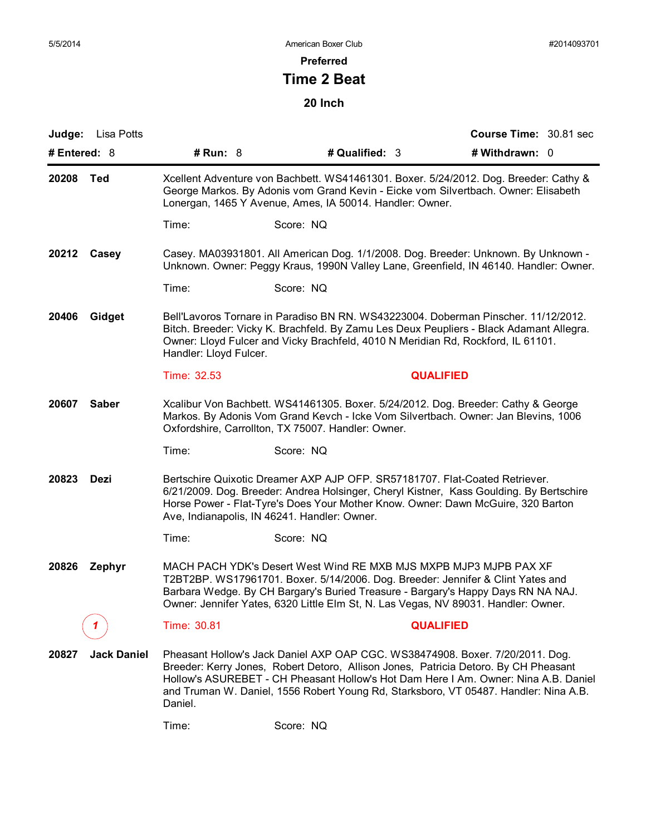**Preferred**

# **Time 2 Beat**

|                       | <b>Judge:</b> Lisa Potts                                                                                                                                                                                                                                                                    |                                                                                                                                                                                                                               |                                                                                                                                                                                                                                                                                                                                                     |                  | Course Time: 30.81 sec |  |
|-----------------------|---------------------------------------------------------------------------------------------------------------------------------------------------------------------------------------------------------------------------------------------------------------------------------------------|-------------------------------------------------------------------------------------------------------------------------------------------------------------------------------------------------------------------------------|-----------------------------------------------------------------------------------------------------------------------------------------------------------------------------------------------------------------------------------------------------------------------------------------------------------------------------------------------------|------------------|------------------------|--|
| # Entered: 8          |                                                                                                                                                                                                                                                                                             | # Run: 8                                                                                                                                                                                                                      | # Qualified: 3                                                                                                                                                                                                                                                                                                                                      |                  | # Withdrawn: 0         |  |
| 20208<br>Ted          |                                                                                                                                                                                                                                                                                             |                                                                                                                                                                                                                               | Xcellent Adventure von Bachbett. WS41461301. Boxer. 5/24/2012. Dog. Breeder: Cathy &<br>George Markos. By Adonis vom Grand Kevin - Eicke vom Silvertbach. Owner: Elisabeth<br>Lonergan, 1465 Y Avenue, Ames, IA 50014. Handler: Owner.                                                                                                              |                  |                        |  |
|                       |                                                                                                                                                                                                                                                                                             | Time:                                                                                                                                                                                                                         | Score: NQ                                                                                                                                                                                                                                                                                                                                           |                  |                        |  |
| 20212 Casey           | Casey. MA03931801. All American Dog. 1/1/2008. Dog. Breeder: Unknown. By Unknown -<br>Unknown. Owner: Peggy Kraus, 1990N Valley Lane, Greenfield, IN 46140. Handler: Owner.                                                                                                                 |                                                                                                                                                                                                                               |                                                                                                                                                                                                                                                                                                                                                     |                  |                        |  |
|                       | Time:                                                                                                                                                                                                                                                                                       | Score: NQ                                                                                                                                                                                                                     |                                                                                                                                                                                                                                                                                                                                                     |                  |                        |  |
| 20406<br>Gidget       | Bell'Lavoros Tornare in Paradiso BN RN. WS43223004. Doberman Pinscher. 11/12/2012.<br>Bitch. Breeder: Vicky K. Brachfeld. By Zamu Les Deux Peupliers - Black Adamant Allegra.<br>Owner: Lloyd Fulcer and Vicky Brachfeld, 4010 N Meridian Rd, Rockford, IL 61101.<br>Handler: Lloyd Fulcer. |                                                                                                                                                                                                                               |                                                                                                                                                                                                                                                                                                                                                     |                  |                        |  |
|                       |                                                                                                                                                                                                                                                                                             | Time: 32.53                                                                                                                                                                                                                   |                                                                                                                                                                                                                                                                                                                                                     | <b>QUALIFIED</b> |                        |  |
| 20607<br><b>Saber</b> |                                                                                                                                                                                                                                                                                             | Xcalibur Von Bachbett. WS41461305. Boxer. 5/24/2012. Dog. Breeder: Cathy & George<br>Markos. By Adonis Vom Grand Kevch - Icke Vom Silvertbach. Owner: Jan Blevins, 1006<br>Oxfordshire, Carrollton, TX 75007. Handler: Owner. |                                                                                                                                                                                                                                                                                                                                                     |                  |                        |  |
|                       |                                                                                                                                                                                                                                                                                             | Time:                                                                                                                                                                                                                         | Score: NQ                                                                                                                                                                                                                                                                                                                                           |                  |                        |  |
| 20823<br>Dezi         |                                                                                                                                                                                                                                                                                             |                                                                                                                                                                                                                               | Bertschire Quixotic Dreamer AXP AJP OFP. SR57181707. Flat-Coated Retriever.<br>6/21/2009. Dog. Breeder: Andrea Holsinger, Cheryl Kistner, Kass Goulding. By Bertschire<br>Horse Power - Flat-Tyre's Does Your Mother Know. Owner: Dawn McGuire, 320 Barton<br>Ave, Indianapolis, IN 46241. Handler: Owner.                                          |                  |                        |  |
|                       |                                                                                                                                                                                                                                                                                             | Time:                                                                                                                                                                                                                         | Score: NQ                                                                                                                                                                                                                                                                                                                                           |                  |                        |  |
| 20826                 | Zephyr                                                                                                                                                                                                                                                                                      |                                                                                                                                                                                                                               | MACH PACH YDK's Desert West Wind RE MXB MJS MXPB MJP3 MJPB PAX XF<br>T2BT2BP. WS17961701. Boxer. 5/14/2006. Dog. Breeder: Jennifer & Clint Yates and<br>Barbara Wedge. By CH Bargary's Buried Treasure - Bargary's Happy Days RN NA NAJ.<br>Owner: Jennifer Yates, 6320 Little Elm St, N. Las Vegas, NV 89031. Handler: Owner.                      |                  |                        |  |
|                       |                                                                                                                                                                                                                                                                                             | Time: 30.81                                                                                                                                                                                                                   |                                                                                                                                                                                                                                                                                                                                                     | <b>QUALIFIED</b> |                        |  |
| 20827                 | <b>Jack Daniel</b>                                                                                                                                                                                                                                                                          | Daniel.                                                                                                                                                                                                                       | Pheasant Hollow's Jack Daniel AXP OAP CGC. WS38474908. Boxer. 7/20/2011. Dog.<br>Breeder: Kerry Jones, Robert Detoro, Allison Jones, Patricia Detoro. By CH Pheasant<br>Hollow's ASUREBET - CH Pheasant Hollow's Hot Dam Here I Am. Owner: Nina A.B. Daniel<br>and Truman W. Daniel, 1556 Robert Young Rd, Starksboro, VT 05487. Handler: Nina A.B. |                  |                        |  |
|                       |                                                                                                                                                                                                                                                                                             | Time:                                                                                                                                                                                                                         | Score: NQ                                                                                                                                                                                                                                                                                                                                           |                  |                        |  |